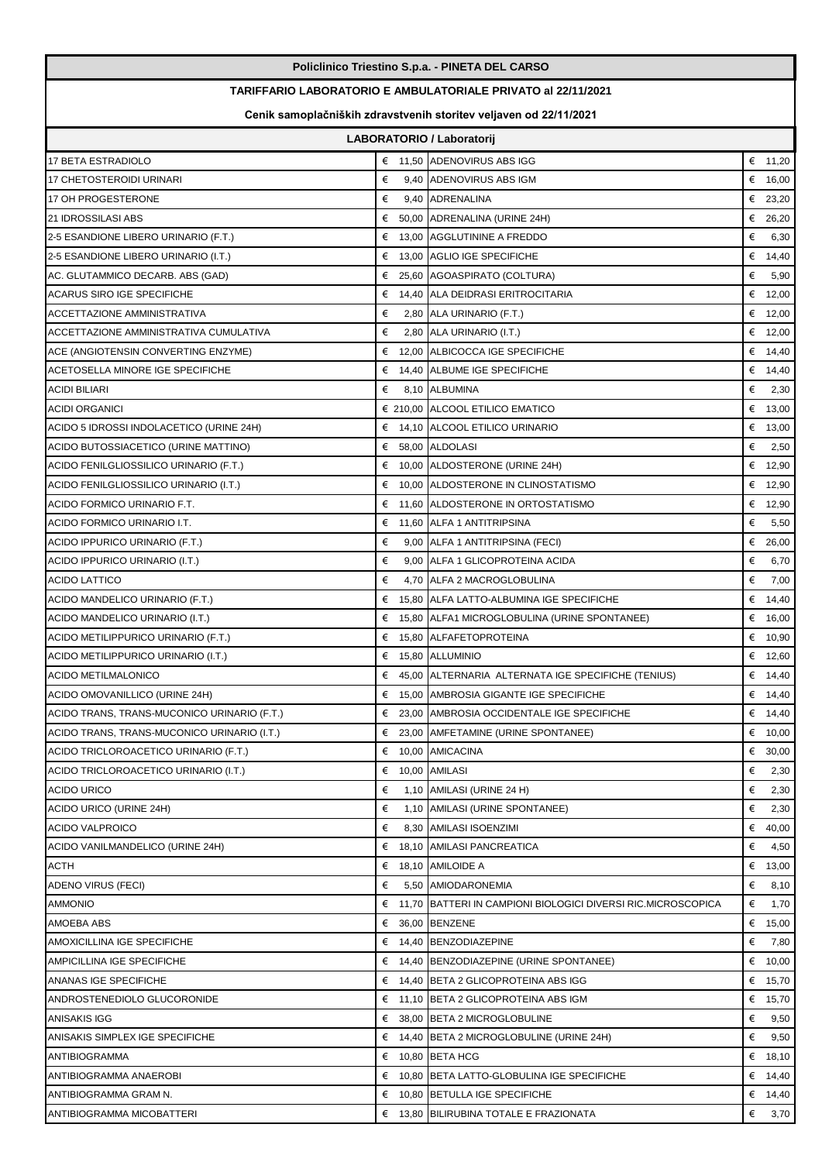|                                                                                                                                          |           | Policlinico Triestino S.p.a. - PINETA DEL CARSO                |            |  |  |  |
|------------------------------------------------------------------------------------------------------------------------------------------|-----------|----------------------------------------------------------------|------------|--|--|--|
| <b>TARIFFARIO LABORATORIO E AMBULATORIALE PRIVATO al 22/11/2021</b><br>Cenik samoplačniških zdravstvenih storitev veljaven od 22/11/2021 |           |                                                                |            |  |  |  |
|                                                                                                                                          |           |                                                                |            |  |  |  |
| 17 BETA ESTRADIOLO                                                                                                                       |           | € 11,50 ADENOVIRUS ABS IGG                                     | € 11,20    |  |  |  |
| 17 CHETOSTEROIDI URINARI                                                                                                                 | €         | 9,40 ADENOVIRUS ABS IGM                                        | € $16,00$  |  |  |  |
| 17 OH PROGESTERONE                                                                                                                       | €         | 9,40 ADRENALINA                                                | € 23,20    |  |  |  |
| 21 IDROSSILASI ABS                                                                                                                       | €         | 50,00 ADRENALINA (URINE 24H)                                   | € 26,20    |  |  |  |
| 2-5 ESANDIONE LIBERO URINARIO (F.T.)                                                                                                     |           | € 13,00 AGGLUTININE A FREDDO                                   | €<br>6,30  |  |  |  |
| 2-5 ESANDIONE LIBERO URINARIO (I.T.)                                                                                                     |           | € 13,00 AGLIO IGE SPECIFICHE                                   | € $14,40$  |  |  |  |
| AC. GLUTAMMICO DECARB. ABS (GAD)                                                                                                         |           | € 25,60 AGOASPIRATO (COLTURA)                                  | €<br>5,90  |  |  |  |
| <b>ACARUS SIRO IGE SPECIFICHE</b>                                                                                                        | €         | 14,40 ALLA DEIDRASI ERITROCITARIA                              | € $12,00$  |  |  |  |
| <b>ACCETTAZIONE AMMINISTRATIVA</b>                                                                                                       | €         | 2,80 ALA URINARIO (F.T.)                                       | € 12,00    |  |  |  |
| ACCETTAZIONE AMMINISTRATIVA CUMULATIVA                                                                                                   | €         | 2,80 ALA URINARIO (I.T.)                                       | € 12,00    |  |  |  |
| ACE (ANGIOTENSIN CONVERTING ENZYME)                                                                                                      | €         | 12,00 ALBICOCCA IGE SPECIFICHE                                 | € 14,40    |  |  |  |
| ACETOSELLA MINORE IGE SPECIFICHE                                                                                                         | €         | 14,40 ALBUME IGE SPECIFICHE                                    | € 14,40    |  |  |  |
| <b>ACIDI BILIARI</b>                                                                                                                     | €         | 8.10 ALBUMINA                                                  | €<br>2,30  |  |  |  |
| <b>ACIDI ORGANICI</b>                                                                                                                    |           | € 210,00 ALCOOL ETILICO EMATICO                                | € $13,00$  |  |  |  |
| ACIDO 5 IDROSSI INDOLACETICO (URINE 24H)                                                                                                 |           | € 14.10 ALCOOL ETILICO URINARIO                                | € $13,00$  |  |  |  |
| ACIDO BUTOSSIACETICO (URINE MATTINO)                                                                                                     |           | € 58,00 ALDOLASI                                               | €<br>2,50  |  |  |  |
| ACIDO FENILGLIOSSILICO URINARIO (F.T.)                                                                                                   | €         | 10,00 ALDOSTERONE (URINE 24H)                                  | € 12,90    |  |  |  |
| ACIDO FENILGLIOSSILICO URINARIO (I.T.)                                                                                                   | €         | 10,00 ALDOSTERONE IN CLINOSTATISMO                             | € 12,90    |  |  |  |
| ACIDO FORMICO URINARIO F.T.                                                                                                              |           | € 11,60 ALDOSTERONE IN ORTOSTATISMO                            | € 12,90    |  |  |  |
| ACIDO FORMICO URINARIO I.T.                                                                                                              |           | € 11,60 ALFA 1 ANTITRIPSINA                                    | €<br>5,50  |  |  |  |
| ACIDO IPPURICO URINARIO (F.T.)                                                                                                           | €         | 9,00 ALFA 1 ANTITRIPSINA (FECI)                                | € 26,00    |  |  |  |
| ACIDO IPPURICO URINARIO (I.T.)                                                                                                           | €         | 9,00 ALFA 1 GLICOPROTEINA ACIDA                                | €<br>6,70  |  |  |  |
| <b>ACIDO LATTICO</b>                                                                                                                     | €         | 4,70 ALFA 2 MACROGLOBULINA                                     | €<br>7,00  |  |  |  |
| ACIDO MANDELICO URINARIO (F.T.)                                                                                                          | €         | 15,80 ALFA LATTO-ALBUMINA IGE SPECIFICHE                       | € 14,40    |  |  |  |
| ACIDO MANDELICO URINARIO (I.T.)                                                                                                          |           | € 15,80 ALFA1 MICROGLOBULINA (URINE SPONTANEE)                 | € 16,00    |  |  |  |
| ACIDO METILIPPURICO URINARIO (F.T.)                                                                                                      |           | € 15,80 ALFAFETOPROTEINA                                       | € 10,90    |  |  |  |
| ACIDO METILIPPURICO URINARIO (I.T.)                                                                                                      |           | $\epsilon$ 15.80 ALLUMINIO                                     | € $12,60$  |  |  |  |
| ACIDO METILMALONICO                                                                                                                      |           | 45,00 ALTERNARIA ALTERNATA IGE SPECIFICHE (TENIUS)             | € 14,40    |  |  |  |
| ACIDO OMOVANILLICO (URINE 24H)                                                                                                           |           | € 15,00 AMBROSIA GIGANTE IGE SPECIFICHE                        | € 14,40    |  |  |  |
| ACIDO TRANS, TRANS-MUCONICO URINARIO (F.T.)                                                                                              |           | € 23,00 AMBROSIA OCCIDENTALE IGE SPECIFICHE                    | € 14,40    |  |  |  |
| ACIDO TRANS, TRANS-MUCONICO URINARIO (I.T.)                                                                                              |           | € 23,00 AMFETAMINE (URINE SPONTANEE)                           | € 10,00    |  |  |  |
| ACIDO TRICLOROACETICO URINARIO (F.T.)                                                                                                    | € $10,00$ | AMICACINA                                                      | € 30,00    |  |  |  |
| ACIDO TRICLOROACETICO URINARIO (I.T.)                                                                                                    | €         | 10,00 AMILASI                                                  | €<br>2,30  |  |  |  |
| <b>ACIDO URICO</b>                                                                                                                       | €         | 1,10 AMILASI (URINE 24 H)                                      | €<br>2,30  |  |  |  |
| ACIDO URICO (URINE 24H)                                                                                                                  | €         | 1,10 AMILASI (URINE SPONTANEE)                                 | €<br>2,30  |  |  |  |
| <b>ACIDO VALPROICO</b>                                                                                                                   | €         | 8,30 AMILASI ISOENZIMI                                         | €<br>40,00 |  |  |  |
| ACIDO VANILMANDELICO (URINE 24H)                                                                                                         | €         | 18,10 AMILASI PANCREATICA                                      | €<br>4,50  |  |  |  |
| ACTH                                                                                                                                     |           | $\epsilon$ 18,10 AMILOIDE A                                    | € 13,00    |  |  |  |
| <b>ADENO VIRUS (FECI)</b>                                                                                                                | €         | 5,50 AMIODARONEMIA                                             | €<br>8,10  |  |  |  |
| <b>AMMONIO</b>                                                                                                                           |           | € 11,70 BATTERI IN CAMPIONI BIOLOGICI DIVERSI RIC.MICROSCOPICA | €<br>1,70  |  |  |  |
| AMOEBA ABS                                                                                                                               | €         | 36,00 BENZENE                                                  | € $15,00$  |  |  |  |
| AMOXICILLINA IGE SPECIFICHE                                                                                                              | € 14,40   | BENZODIAZEPINE                                                 | €<br>7,80  |  |  |  |
| AMPICILLINA IGE SPECIFICHE                                                                                                               |           | $\epsilon$ 14,40 BENZODIAZEPINE (URINE SPONTANEE)              | €<br>10,00 |  |  |  |
| ANANAS IGE SPECIFICHE                                                                                                                    |           | € 14,40 BETA 2 GLICOPROTEINA ABS IGG                           | € 15,70    |  |  |  |
| ANDROSTENEDIOLO GLUCORONIDE                                                                                                              |           | € 11,10 BETA 2 GLICOPROTEINA ABS IGM                           | € 15,70    |  |  |  |
| <b>ANISAKIS IGG</b>                                                                                                                      | €         | 38,00 BETA 2 MICROGLOBULINE                                    | €<br>9,50  |  |  |  |
| ANISAKIS SIMPLEX IGE SPECIFICHE                                                                                                          |           | $\epsilon$ 14,40 BETA 2 MICROGLOBULINE (URINE 24H)             | €<br>9,50  |  |  |  |
| <b>ANTIBIOGRAMMA</b>                                                                                                                     |           | $\epsilon$ 10,80 BETA HCG                                      | €<br>18,10 |  |  |  |
| ANTIBIOGRAMMA ANAEROBI                                                                                                                   |           | € 10,80 BETA LATTO-GLOBULINA IGE SPECIFICHE                    | € 14,40    |  |  |  |
| ANTIBIOGRAMMA GRAM N.                                                                                                                    |           | € 10,80 BETULLA IGE SPECIFICHE                                 | € 14,40    |  |  |  |
| ANTIBIOGRAMMA MICOBATTERI                                                                                                                |           | € 13,80 BILIRUBINA TOTALE E FRAZIONATA                         | €<br>3,70  |  |  |  |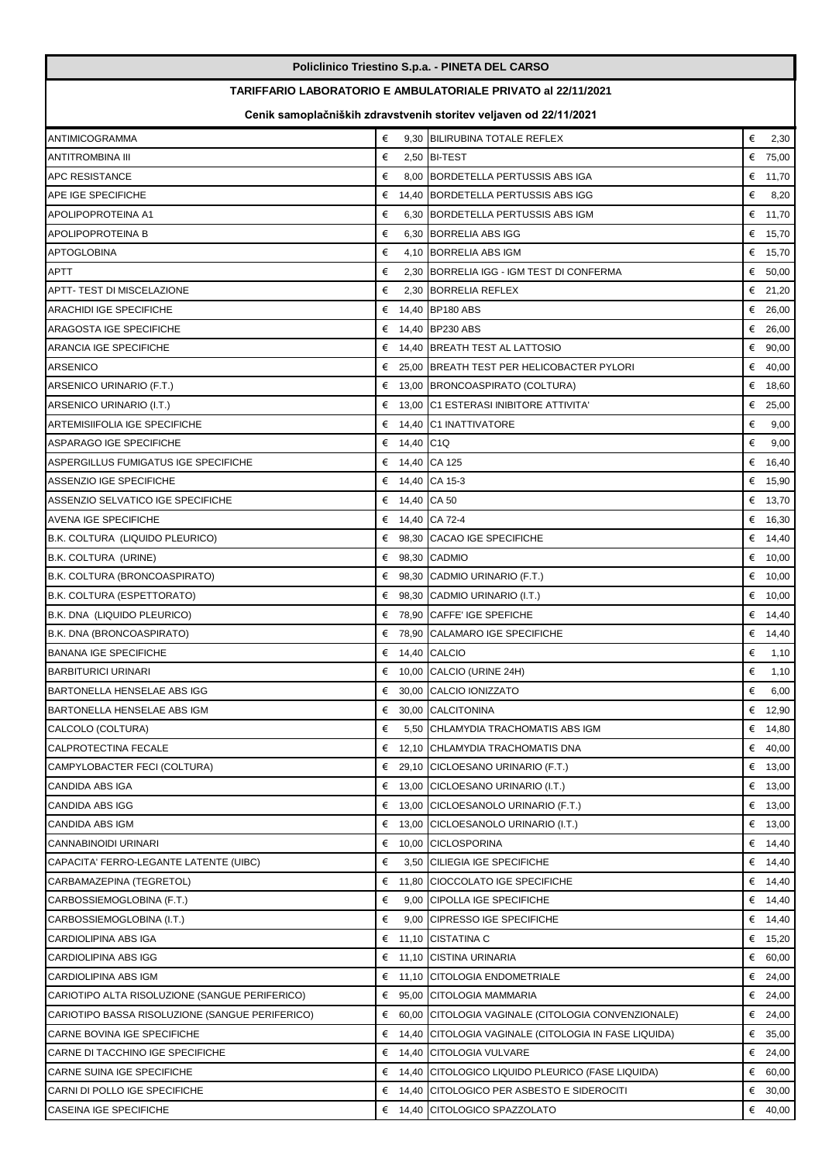|                                                                     |                | Policlinico Triestino S.p.a. - PINETA DEL CARSO                   |            |  |  |  |
|---------------------------------------------------------------------|----------------|-------------------------------------------------------------------|------------|--|--|--|
| <b>TARIFFARIO LABORATORIO E AMBULATORIALE PRIVATO al 22/11/2021</b> |                |                                                                   |            |  |  |  |
|                                                                     |                | Cenik samoplačniških zdravstvenih storitev veljaven od 22/11/2021 |            |  |  |  |
| <b>ANTIMICOGRAMMA</b>                                               | €              | 9,30 BILIRUBINA TOTALE REFLEX                                     | €<br>2,30  |  |  |  |
| ANTITROMBINA III                                                    | €              | 2,50 BI-TEST                                                      | € 75,00    |  |  |  |
| <b>APC RESISTANCE</b>                                               | €              | 8,00 BORDETELLA PERTUSSIS ABS IGA                                 | € 11,70    |  |  |  |
| APE IGE SPECIFICHE                                                  | €              | 14,40 BORDETELLA PERTUSSIS ABS IGG                                | €<br>8,20  |  |  |  |
| APOLIPOPROTEINA A1                                                  | €              | 6,30 BORDETELLA PERTUSSIS ABS IGM                                 | € 11,70    |  |  |  |
| <b>APOLIPOPROTEINA B</b>                                            | €              | 6,30 BORRELIA ABS IGG                                             | € 15,70    |  |  |  |
| <b>APTOGLOBINA</b>                                                  | €              | 4,10 BORRELIA ABS IGM                                             | € $15,70$  |  |  |  |
| APTT                                                                | €              | 2,30 BORRELIA IGG - IGM TEST DI CONFERMA                          | € $50,00$  |  |  |  |
| APTT- TEST DI MISCELAZIONE                                          | €              | 2,30 BORRELIA REFLEX                                              | € 21,20    |  |  |  |
| <b>ARACHIDI IGE SPECIFICHE</b>                                      | €              | 14,40 BP180 ABS                                                   | € 26,00    |  |  |  |
| ARAGOSTA IGE SPECIFICHE                                             | €              | 14,40 BP230 ABS                                                   | € 26,00    |  |  |  |
| ARANCIA IGE SPECIFICHE                                              | €              | 14.40 BREATH TEST AL LATTOSIO                                     | € 90,00    |  |  |  |
| <b>ARSENICO</b>                                                     |                | € 25,00 BREATH TEST PER HELICOBACTER PYLORI                       | € 40,00    |  |  |  |
| ARSENICO URINARIO (F.T.)                                            | €              | 13,00 BRONCOASPIRATO (COLTURA)                                    | € 18,60    |  |  |  |
| ARSENICO URINARIO (I.T.)                                            | €              | 13,00 C1 ESTERASI INIBITORE ATTIVITA'                             | € 25,00    |  |  |  |
| ARTEMISIIFOLIA IGE SPECIFICHE                                       | €              | 14,40 C1 INATTIVATORE                                             | €<br>9,00  |  |  |  |
| <b>ASPARAGO IGE SPECIFICHE</b>                                      | 14,40 C1Q<br>€ |                                                                   | €<br>9,00  |  |  |  |
| ASPERGILLUS FUMIGATUS IGE SPECIFICHE                                | €              | 14,40 CA 125                                                      | € 16,40    |  |  |  |
| <b>ASSENZIO IGE SPECIFICHE</b>                                      | €              | 14,40 CA 15-3                                                     | € 15,90    |  |  |  |
| ASSENZIO SELVATICO IGE SPECIFICHE                                   | € 14,40 CA 50  |                                                                   | € 13,70    |  |  |  |
| <b>AVENA IGE SPECIFICHE</b>                                         |                | € 14,40 CA 72-4                                                   | € 16,30    |  |  |  |
| B.K. COLTURA (LIQUIDO PLEURICO)                                     | €              | 98,30 CACAO IGE SPECIFICHE                                        | € $14,40$  |  |  |  |
| B.K. COLTURA (URINE)                                                |                | $\epsilon$ 98,30 CADMIO                                           | € 10,00    |  |  |  |
| B.K. COLTURA (BRONCOASPIRATO)                                       | €              | 98,30 CADMIO URINARIO (F.T.)                                      | € $10,00$  |  |  |  |
| B.K. COLTURA (ESPETTORATO)                                          |                | € 98,30 CADMIO URINARIO (I.T.)                                    | € $10,00$  |  |  |  |
| B.K. DNA (LIQUIDO PLEURICO)                                         | €              | 78,90 CAFFE' IGE SPEFICHE                                         | € 14,40    |  |  |  |
| B.K. DNA (BRONCOASPIRATO)                                           |                | € 78,90 CALAMARO IGE SPECIFICHE                                   | € $14,40$  |  |  |  |
| <b>BANANA IGE SPECIFICHE</b>                                        |                | $\epsilon$ 14,40 CALCIO                                           | €<br>1,10  |  |  |  |
| <b>BARBITURICI URINARI</b>                                          |                | $\epsilon$ 10,00 CALCIO (URINE 24H)                               | €<br>1,10  |  |  |  |
| <b>BARTONELLA HENSELAE ABS IGG</b>                                  | € 30,00        | CALCIO IONIZZATO                                                  | €<br>6,00  |  |  |  |
| BARTONELLA HENSELAE ABS IGM                                         | €              | 30,00 CALCITONINA                                                 | € 12,90    |  |  |  |
| CALCOLO (COLTURA)                                                   | €              | 5,50 CHLAMYDIA TRACHOMATIS ABS IGM                                | € 14,80    |  |  |  |
| CALPROTECTINA FECALE                                                | €              | 12,10 CHLAMYDIA TRACHOMATIS DNA                                   | € 40,00    |  |  |  |
| CAMPYLOBACTER FECI (COLTURA)                                        | €              | 29,10 CICLOESANO URINARIO (F.T.)                                  | € $13,00$  |  |  |  |
| CANDIDA ABS IGA                                                     | €              | 13,00 CICLOESANO URINARIO (I.T.)                                  | € $13,00$  |  |  |  |
| CANDIDA ABS IGG                                                     | €              | 13,00 CICLOESANOLO URINARIO (F.T.)                                | € $13,00$  |  |  |  |
| CANDIDA ABS IGM                                                     | €              | 13,00 CICLOESANOLO URINARIO (I.T.)                                | € $13,00$  |  |  |  |
| CANNABINOIDI URINARI                                                | €              | 10,00 CICLOSPORINA                                                | € 14,40    |  |  |  |
| CAPACITA' FERRO-LEGANTE LATENTE (UIBC)                              | €              | 3,50 CILIEGIA IGE SPECIFICHE                                      | € 14,40    |  |  |  |
| CARBAMAZEPINA (TEGRETOL)                                            | €<br>11,80     | CIOCCOLATO IGE SPECIFICHE                                         | € 14,40    |  |  |  |
| CARBOSSIEMOGLOBINA (F.T.)                                           | €              | 9,00 CIPOLLA IGE SPECIFICHE                                       | € 14,40    |  |  |  |
| CARBOSSIEMOGLOBINA (I.T.)                                           | €              | 9,00 CIPRESSO IGE SPECIFICHE                                      | € 14,40    |  |  |  |
| CARDIOLIPINA ABS IGA                                                | €              | 11,10 CISTATINA C                                                 | € 15,20    |  |  |  |
| CARDIOLIPINA ABS IGG                                                | €              | 11,10 CISTINA URINARIA                                            | € 60,00    |  |  |  |
| CARDIOLIPINA ABS IGM                                                | €              | 11,10 CITOLOGIA ENDOMETRIALE                                      | € 24,00    |  |  |  |
| CARIOTIPO ALTA RISOLUZIONE (SANGUE PERIFERICO)                      | €              | 95,00 CITOLOGIA MAMMARIA                                          | € 24,00    |  |  |  |
| CARIOTIPO BASSA RISOLUZIONE (SANGUE PERIFERICO)                     | €<br>60,00     | CITOLOGIA VAGINALE (CITOLOGIA CONVENZIONALE)                      | € 24,00    |  |  |  |
| CARNE BOVINA IGE SPECIFICHE                                         | €              | 14,40 CITOLOGIA VAGINALE (CITOLOGIA IN FASE LIQUIDA)              | €<br>35,00 |  |  |  |
| CARNE DI TACCHINO IGE SPECIFICHE                                    | €              | 14,40 CITOLOGIA VULVARE                                           | € 24,00    |  |  |  |
| CARNE SUINA IGE SPECIFICHE                                          | €              | 14,40 CITOLOGICO LIQUIDO PLEURICO (FASE LIQUIDA)                  | € 60,00    |  |  |  |
| CARNI DI POLLO IGE SPECIFICHE                                       | €              | 14,40 CITOLOGICO PER ASBESTO E SIDEROCITI                         | € 30,00    |  |  |  |
| CASEINA IGE SPECIFICHE                                              | €              | 14,40 CITOLOGICO SPAZZOLATO                                       | € 40,00    |  |  |  |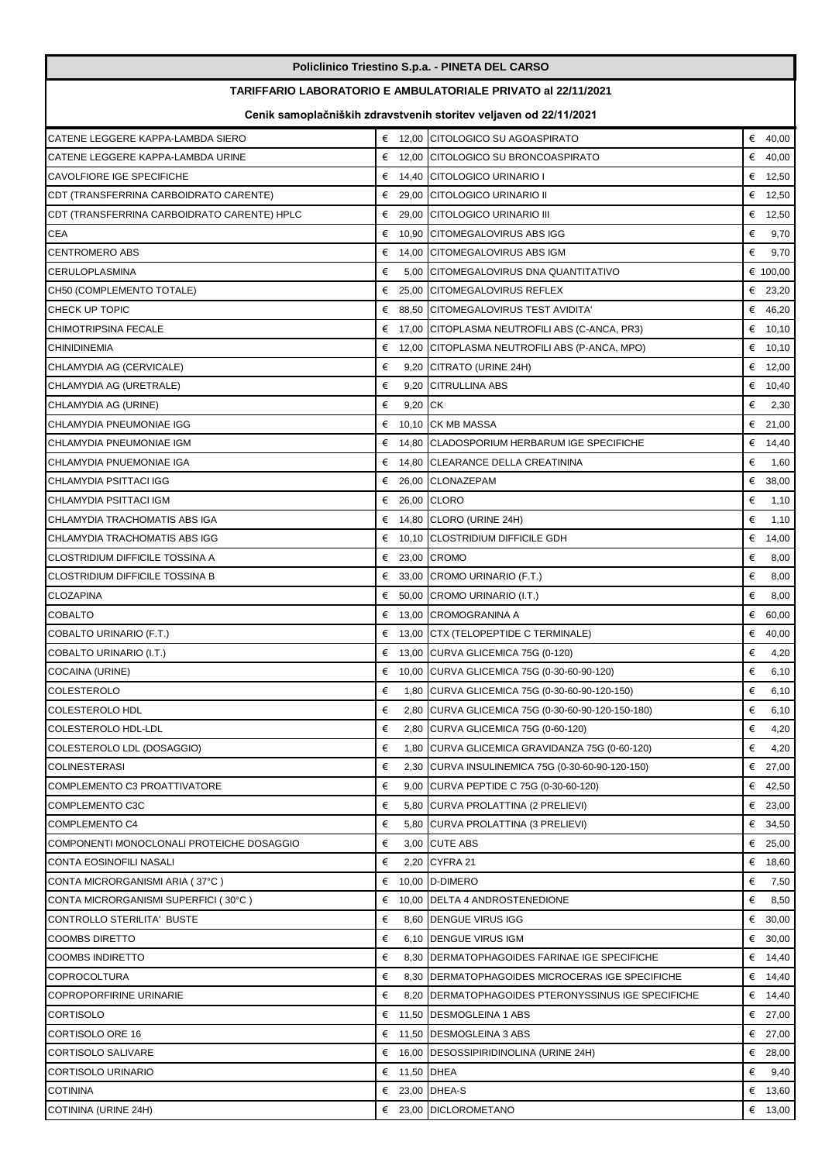|                                             |                                                                     |              | Policlinico Triestino S.p.a. - PINETA DEL CARSO                   |   |           |  |
|---------------------------------------------|---------------------------------------------------------------------|--------------|-------------------------------------------------------------------|---|-----------|--|
|                                             | <b>TARIFFARIO LABORATORIO E AMBULATORIALE PRIVATO al 22/11/2021</b> |              |                                                                   |   |           |  |
|                                             |                                                                     |              | Cenik samoplačniških zdravstvenih storitev veljaven od 22/11/2021 |   |           |  |
| CATENE LEGGERE KAPPA-LAMBDA SIERO           |                                                                     |              | € 12,00 CITOLOGICO SU AGOASPIRATO                                 |   | € $40,00$ |  |
| CATENE LEGGERE KAPPA-LAMBDA URINE           | €                                                                   |              | 12,00 CITOLOGICO SU BRONCOASPIRATO                                | € | 40,00     |  |
| <b>CAVOLFIORE IGE SPECIFICHE</b>            | €                                                                   |              | 14,40 CITOLOGICO URINARIO I                                       |   | € 12,50   |  |
| CDT (TRANSFERRINA CARBOIDRATO CARENTE)      |                                                                     |              | € 29.00 CITOLOGICO URINARIO II                                    |   | € 12,50   |  |
| CDT (TRANSFERRINA CARBOIDRATO CARENTE) HPLC |                                                                     |              | € 29,00 CITOLOGICO URINARIO III                                   |   | € 12,50   |  |
| <b>CEA</b>                                  |                                                                     |              | € 10,90 CITOMEGALOVIRUS ABS IGG                                   | € | 9,70      |  |
| <b>CENTROMERO ABS</b>                       | €                                                                   |              | 14,00 CITOMEGALOVIRUS ABS IGM                                     | € | 9,70      |  |
| <b>CERULOPLASMINA</b>                       | €                                                                   |              | 5,00 CITOMEGALOVIRUS DNA QUANTITATIVO                             |   | € 100,00  |  |
| CH50 (COMPLEMENTO TOTALE)                   | €                                                                   |              | 25,00 CITOMEGALOVIRUS REFLEX                                      |   | € 23,20   |  |
| <b>CHECK UP TOPIC</b>                       | €                                                                   |              | 88,50 CITOMEGALOVIRUS TEST AVIDITA'                               |   | € 46,20   |  |
| <b>CHIMOTRIPSINA FECALE</b>                 |                                                                     |              | € 17,00 CITOPLASMA NEUTROFILI ABS (C-ANCA, PR3)                   |   | € 10,10   |  |
| <b>CHINIDINEMIA</b>                         |                                                                     |              | € 12,00 CITOPLASMA NEUTROFILI ABS (P-ANCA, MPO)                   |   | € 10,10   |  |
| CHLAMYDIA AG (CERVICALE)                    | €                                                                   |              | 9,20 CITRATO (URINE 24H)                                          |   | € 12,00   |  |
| CHLAMYDIA AG (URETRALE)                     | €                                                                   |              | 9,20 CITRULLINA ABS                                               |   | € $10,40$ |  |
| CHLAMYDIA AG (URINE)                        | €                                                                   | 9,20 CK      |                                                                   | € | 2,30      |  |
| CHLAMYDIA PNEUMONIAE IGG                    |                                                                     |              | $\epsilon$ 10.10 CK MB MASSA                                      |   | € 21,00   |  |
| CHLAMYDIA PNEUMONIAE IGM                    |                                                                     |              | € 14,80 CLADOSPORIUM HERBARUM IGE SPECIFICHE                      | € | 14,40     |  |
| CHLAMYDIA PNUEMONIAE IGA                    | €                                                                   |              | 14,80 CLEARANCE DELLA CREATININA                                  | € | 1,60      |  |
| CHLAMYDIA PSITTACI IGG                      |                                                                     |              | € 26,00 CLONAZEPAM                                                |   | € 38,00   |  |
| CHLAMYDIA PSITTACI IGM                      | €                                                                   |              | 26,00 CLORO                                                       | € | 1,10      |  |
| CHLAMYDIA TRACHOMATIS ABS IGA               |                                                                     |              | € 14,80 CLORO (URINE 24H)                                         | € | 1,10      |  |
| CHLAMYDIA TRACHOMATIS ABS IGG               | €                                                                   |              | 10,10 CLOSTRIDIUM DIFFICILE GDH                                   | € | 14,00     |  |
| CLOSTRIDIUM DIFFICILE TOSSINA A             |                                                                     |              | € 23,00 CROMO                                                     | € |           |  |
|                                             |                                                                     |              |                                                                   | € | 8,00      |  |
| CLOSTRIDIUM DIFFICILE TOSSINA B             | €                                                                   |              | 33,00 CROMO URINARIO (F.T.)                                       |   | 8,00      |  |
| <b>CLOZAPINA</b>                            | €                                                                   |              | 50,00 CROMO URINARIO (I.T.)                                       | € | 8,00      |  |
| <b>COBALTO</b>                              |                                                                     |              | € 13,00 CROMOGRANINA A                                            |   | € 60,00   |  |
| COBALTO URINARIO (F.T.)                     |                                                                     |              | € 13,00 CTX (TELOPEPTIDE C TERMINALE)                             |   | € 40,00   |  |
| COBALTO URINARIO (I.T.)                     |                                                                     |              | € 13,00 CURVA GLICEMICA 75G (0-120)                               | € | 4,20      |  |
| COCAINA (URINE)                             |                                                                     |              | € 10,00 CURVA GLICEMICA 75G (0-30-60-90-120)                      | € | 6, 10     |  |
| <b>COLESTEROLO</b>                          | €                                                                   |              | 1,80 CURVA GLICEMICA 75G (0-30-60-90-120-150)                     | € | 6,10      |  |
| <b>COLESTEROLO HDL</b>                      | €                                                                   |              | 2,80 CURVA GLICEMICA 75G (0-30-60-90-120-150-180)                 | € | 6, 10     |  |
| COLESTEROLO HDL-LDL                         | €                                                                   |              | 2,80 CURVA GLICEMICA 75G (0-60-120)                               | € | 4,20      |  |
| COLESTEROLO LDL (DOSAGGIO)                  | €                                                                   |              | 1,80 CURVA GLICEMICA GRAVIDANZA 75G (0-60-120)                    | € | 4,20      |  |
| <b>COLINESTERASI</b>                        | €                                                                   |              | 2,30 CURVA INSULINEMICA 75G (0-30-60-90-120-150)                  |   | € 27,00   |  |
| COMPLEMENTO C3 PROATTIVATORE                | €                                                                   |              | 9,00 CURVA PEPTIDE C 75G (0-30-60-120)                            |   | € 42,50   |  |
| COMPLEMENTO C3C                             | €                                                                   |              | 5,80 CURVA PROLATTINA (2 PRELIEVI)                                |   | € 23,00   |  |
| <b>COMPLEMENTO C4</b>                       | €                                                                   |              | 5,80 CURVA PROLATTINA (3 PRELIEVI)                                |   | € 34,50   |  |
| COMPONENTI MONOCLONALI PROTEICHE DOSAGGIO   | €                                                                   |              | 3,00 CUTE ABS                                                     |   | € 25,00   |  |
| CONTA EOSINOFILI NASALI                     | €                                                                   |              | 2,20 CYFRA 21                                                     |   | € 18,60   |  |
| CONTA MICRORGANISMI ARIA (37°C)             | €                                                                   |              | 10,00 D-DIMERO                                                    | € | 7,50      |  |
| CONTA MICRORGANISMI SUPERFICI (30°C)        |                                                                     |              | € 10,00 DELTA 4 ANDROSTENEDIONE                                   | € | 8,50      |  |
| CONTROLLO STERILITA' BUSTE                  | €                                                                   |              | 8,60 DENGUE VIRUS IGG                                             |   | € 30,00   |  |
| <b>COOMBS DIRETTO</b>                       | €                                                                   |              | 6,10 DENGUE VIRUS IGM                                             |   | € 30,00   |  |
| <b>COOMBS INDIRETTO</b>                     | €                                                                   |              | 8,30 DERMATOPHAGOIDES FARINAE IGE SPECIFICHE                      |   | € 14,40   |  |
| <b>COPROCOLTURA</b>                         | €                                                                   |              | 8,30 DERMATOPHAGOIDES MICROCERAS IGE SPECIFICHE                   |   | € 14,40   |  |
| <b>COPROPORFIRINE URINARIE</b>              | €                                                                   |              | 8,20 DERMATOPHAGOIDES PTERONYSSINUS IGE SPECIFICHE                |   | € 14,40   |  |
| <b>CORTISOLO</b>                            | €                                                                   |              | 11,50 DESMOGLEINA 1 ABS                                           |   | € 27,00   |  |
| CORTISOLO ORE 16                            |                                                                     |              | € 11,50 DESMOGLEINA 3 ABS                                         |   | € 27,00   |  |
| CORTISOLO SALIVARE                          |                                                                     |              | € 16,00 DESOSSIPIRIDINOLINA (URINE 24H)                           |   | € 28,00   |  |
| <b>CORTISOLO URINARIO</b>                   |                                                                     | € 11,50 DHEA |                                                                   | € | 9,40      |  |
| <b>COTININA</b>                             |                                                                     |              | € 23,00 DHEA-S                                                    |   | € 13,60   |  |
| COTININA (URINE 24H)                        |                                                                     |              | € 23,00 DICLOROMETANO                                             |   | € 13,00   |  |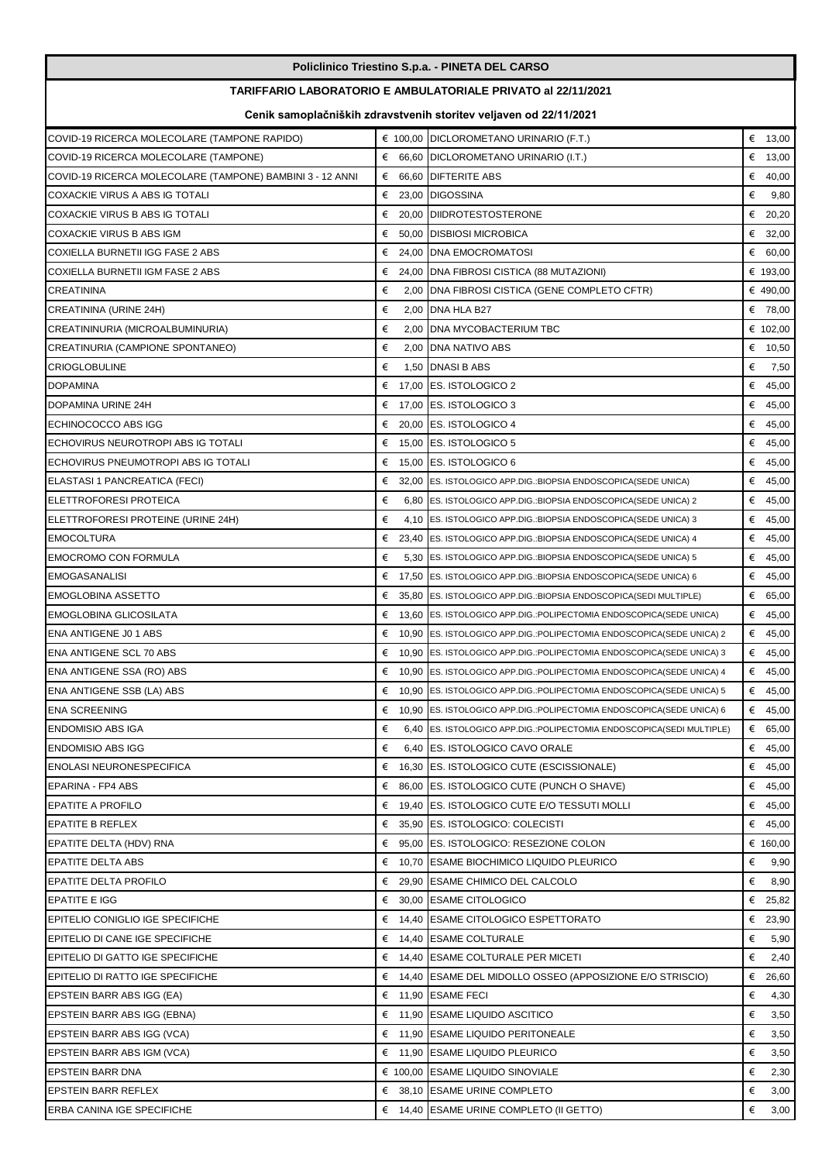| Policlinico Triestino S.p.a. - PINETA DEL CARSO           |        |                                                                        |            |  |
|-----------------------------------------------------------|--------|------------------------------------------------------------------------|------------|--|
|                                                           |        | TARIFFARIO LABORATORIO E AMBULATORIALE PRIVATO al 22/11/2021           |            |  |
|                                                           |        | Cenik samoplačniških zdravstvenih storitev veljaven od 22/11/2021      |            |  |
| COVID-19 RICERCA MOLECOLARE (TAMPONE RAPIDO)              |        | € 100,00 DICLOROMETANO URINARIO (F.T.)                                 | € $13,00$  |  |
| COVID-19 RICERCA MOLECOLARE (TAMPONE)                     |        | $66,60$ DICLOROMETANO URINARIO (I.T.)                                  | € $13,00$  |  |
| COVID-19 RICERCA MOLECOLARE (TAMPONE) BAMBINI 3 - 12 ANNI | €      | 66,60 DIFTERITE ABS                                                    | € 40,00    |  |
| COXACKIE VIRUS A ABS IG TOTALI                            |        | € 23,00 DIGOSSINA                                                      | €<br>9,80  |  |
| COXACKIE VIRUS B ABS IG TOTALI                            | €      | 20,00 DIIDROTESTOSTERONE                                               | € 20,20    |  |
| COXACKIE VIRUS B ABS IGM                                  | €      | 50,00 DISBIOSI MICROBICA                                               | € 32,00    |  |
| COXIELLA BURNETII IGG FASE 2 ABS                          | €      | 24,00 DNA EMOCROMATOSI                                                 | € 60,00    |  |
| COXIELLA BURNETII IGM FASE 2 ABS                          | €      | 24,00 DNA FIBROSI CISTICA (88 MUTAZIONI)                               | € 193,00   |  |
| <b>CREATININA</b>                                         | €      | 2,00 DNA FIBROSI CISTICA (GENE COMPLETO CFTR)                          | € 490,00   |  |
| CREATININA (URINE 24H)                                    | €      | 2,00 DNA HLA B27                                                       | € 78,00    |  |
| CREATININURIA (MICROALBUMINURIA)                          | €      | 2,00 DNA MYCOBACTERIUM TBC                                             | € 102,00   |  |
| CREATINURIA (CAMPIONE SPONTANEO)                          | €      | 2,00 DNA NATIVO ABS                                                    | € 10,50    |  |
| <b>CRIOGLOBULINE</b>                                      | €      | 1,50 DNASI B ABS                                                       | €<br>7,50  |  |
| <b>DOPAMINA</b>                                           | €      | 17,00 ES. ISTOLOGICO 2                                                 | € 45,00    |  |
| DOPAMINA URINE 24H                                        | €      | 17,00 ES. ISTOLOGICO 3                                                 | € 45,00    |  |
| ECHINOCOCCO ABS IGG                                       | €      | 20.00 ES. ISTOLOGICO 4                                                 | € 45,00    |  |
| ECHOVIRUS NEUROTROPI ABS IG TOTALI                        | €      | 15,00 ES. ISTOLOGICO 5                                                 | € 45,00    |  |
| ECHOVIRUS PNEUMOTROPI ABS IG TOTALI                       | €      | 15,00 ES. ISTOLOGICO 6                                                 | € 45,00    |  |
|                                                           | €      | 32,00 ES. ISTOLOGICO APP.DIG.: BIOPSIA ENDOSCOPICA (SEDE UNICA)        |            |  |
| ELASTASI 1 PANCREATICA (FECI)                             |        |                                                                        | € 45,00    |  |
| <b>ELETTROFORESI PROTEICA</b>                             | €<br>€ | 6,80 ES. ISTOLOGICO APP.DIG.: BIOPSIA ENDOSCOPICA (SEDE UNICA) 2       | € 45,00    |  |
| ELETTROFORESI PROTEINE (URINE 24H)                        |        | 4,10 ES. ISTOLOGICO APP.DIG.: BIOPSIA ENDOSCOPICA (SEDE UNICA) 3       | € 45,00    |  |
| <b>EMOCOLTURA</b>                                         | €      | 23,40 ES. ISTOLOGICO APP.DIG.: BIOPSIA ENDOSCOPICA (SEDE UNICA) 4      | € 45,00    |  |
| <b>EMOCROMO CON FORMULA</b>                               | €      | 5,30 ES. ISTOLOGICO APP.DIG.: BIOPSIA ENDOSCOPICA (SEDE UNICA) 5       | € 45,00    |  |
| <b>EMOGASANALISI</b>                                      | €      | 17,50 ES. ISTOLOGICO APP.DIG.: BIOPSIA ENDOSCOPICA (SEDE UNICA) 6      | € 45,00    |  |
| <b>EMOGLOBINA ASSETTO</b>                                 | €      | 35,80 ES. ISTOLOGICO APP.DIG.: BIOPSIA ENDOSCOPICA (SEDI MULTIPLE)     | € 65,00    |  |
| EMOGLOBINA GLICOSILATA                                    | €      | 13,60 ES. ISTOLOGICO APP.DIG.: POLIPECTOMIA ENDOSCOPICA (SEDE UNICA)   | € 45,00    |  |
| ENA ANTIGENE J0 1 ABS                                     | €      | 10,90 ES. ISTOLOGICO APP.DIG.:POLIPECTOMIA ENDOSCOPICA(SEDE UNICA) 2   | € 45,00    |  |
| ENA ANTIGENE SCL 70 ABS                                   | €      | 10,90 ES. ISTOLOGICO APP.DIG.:POLIPECTOMIA ENDOSCOPICA(SEDE UNICA) 3   | € 45,00    |  |
| ENA ANTIGENE SSA (RO) ABS                                 |        | € 10,90 ES. ISTOLOGICO APP.DIG.:POLIPECTOMIA ENDOSCOPICA(SEDE UNICA) 4 | € 45,00    |  |
| <b>ENA ANTIGENE SSB (LA) ABS</b>                          |        | € 10,90 ES. ISTOLOGICO APP.DIG.:POLIPECTOMIA ENDOSCOPICA(SEDE UNICA) 5 | € 45,00    |  |
| <b>ENA SCREENING</b>                                      |        | € 10,90 ES. ISTOLOGICO APP.DIG.:POLIPECTOMIA ENDOSCOPICA(SEDE UNICA) 6 | € 45,00    |  |
| <b>ENDOMISIO ABS IGA</b>                                  | €      | 6,40 ES. ISTOLOGICO APP.DIG.: POLIPECTOMIA ENDOSCOPICA (SEDI MULTIPLE) | € 65,00    |  |
| <b>ENDOMISIO ABS IGG</b>                                  | €      | 6,40 ES. ISTOLOGICO CAVO ORALE                                         | € 45,00    |  |
| ENOLASI NEURONESPECIFICA                                  | €      | 16,30 ES. ISTOLOGICO CUTE (ESCISSIONALE)                               | € 45,00    |  |
| EPARINA - FP4 ABS                                         | €      | 86,00 ES. ISTOLOGICO CUTE (PUNCH O SHAVE)                              | € 45,00    |  |
| <b>EPATITE A PROFILO</b>                                  | €      | 19,40 ES. ISTOLOGICO CUTE E/O TESSUTI MOLLI                            | € 45,00    |  |
| <b>EPATITE B REFLEX</b>                                   | €      | 35,90 ES. ISTOLOGICO: COLECISTI                                        | € 45,00    |  |
| EPATITE DELTA (HDV) RNA                                   |        | € 95,00 ES. ISTOLOGICO: RESEZIONE COLON                                | € 160,00   |  |
| <b>EPATITE DELTA ABS</b>                                  |        | € 10,70 ESAME BIOCHIMICO LIQUIDO PLEURICO                              | €<br>9,90  |  |
| <b>EPATITE DELTA PROFILO</b>                              |        | € 29,90 ESAME CHIMICO DEL CALCOLO                                      | €<br>8,90  |  |
| <b>EPATITE E IGG</b>                                      |        | € 30,00 ESAME CITOLOGICO                                               | € 25,82    |  |
| EPITELIO CONIGLIO IGE SPECIFICHE                          |        | € 14,40 ESAME CITOLOGICO ESPETTORATO                                   | € 23,90    |  |
| EPITELIO DI CANE IGE SPECIFICHE                           |        | € 14,40 ESAME COLTURALE                                                | €<br>5,90  |  |
| EPITELIO DI GATTO IGE SPECIFICHE                          |        | € 14,40 ESAME COLTURALE PER MICETI                                     | €<br>2,40  |  |
| EPITELIO DI RATTO IGE SPECIFICHE                          |        | $∈$ 14,40 [ESAME DEL MIDOLLO OSSEO (APPOSIZIONE E/O STRISCIO)          | €<br>26,60 |  |
| EPSTEIN BARR ABS IGG (EA)                                 |        | € 11,90 ESAME FECI                                                     | €<br>4,30  |  |
| EPSTEIN BARR ABS IGG (EBNA)                               |        | € 11,90 ESAME LIQUIDO ASCITICO                                         | €<br>3,50  |  |
| EPSTEIN BARR ABS IGG (VCA)                                |        | € 11,90 ESAME LIQUIDO PERITONEALE                                      | €<br>3,50  |  |
| EPSTEIN BARR ABS IGM (VCA)                                |        | € 11,90 ESAME LIQUIDO PLEURICO                                         | €<br>3,50  |  |
| <b>EPSTEIN BARR DNA</b>                                   |        | € 100,00 ESAME LIQUIDO SINOVIALE                                       | €<br>2,30  |  |
| EPSTEIN BARR REFLEX                                       |        | € 38,10 ESAME URINE COMPLETO                                           | €<br>3,00  |  |
| ERBA CANINA IGE SPECIFICHE                                |        | € 14,40 ESAME URINE COMPLETO (II GETTO)                                | €<br>3,00  |  |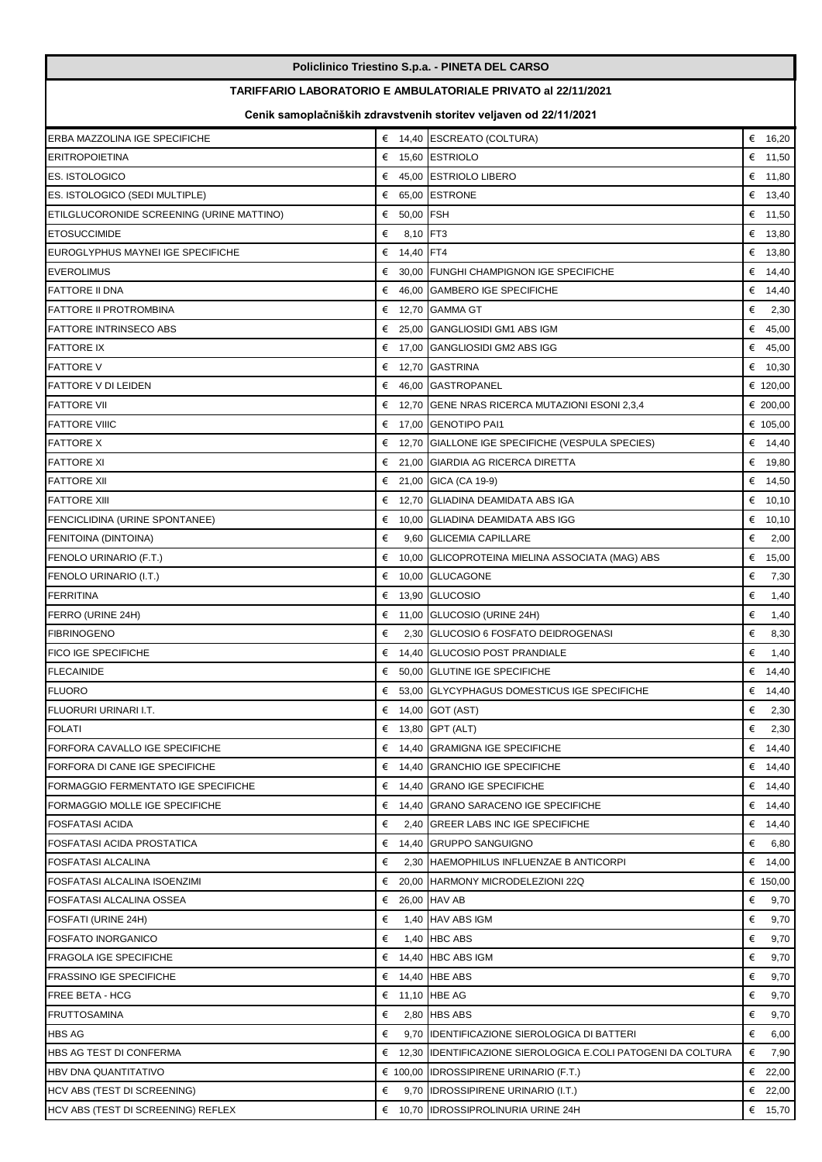| Policlinico Triestino S.p.a. - PINETA DEL CARSO |                         |                                                                   |                 |  |
|-------------------------------------------------|-------------------------|-------------------------------------------------------------------|-----------------|--|
|                                                 |                         | TARIFFARIO LABORATORIO E AMBULATORIALE PRIVATO al 22/11/2021      |                 |  |
|                                                 |                         | Cenik samoplačniških zdravstvenih storitev veljaven od 22/11/2021 |                 |  |
| ERBA MAZZOLINA IGE SPECIFICHE                   |                         | € 14,40 ESCREATO (COLTURA)                                        | € $16,20$       |  |
| <b>ERITROPOIETINA</b>                           |                         | € 15,60 ESTRIOLO                                                  | € $11,50$       |  |
| <b>ES. ISTOLOGICO</b>                           |                         | € 45,00 ESTRIOLO LIBERO                                           | € 11,80         |  |
| ES. ISTOLOGICO (SEDI MULTIPLE)                  |                         | € 65.00 ESTRONE                                                   | € $13,40$       |  |
| ETILGLUCORONIDE SCREENING (URINE MATTINO)       | € 50,00 FSH             |                                                                   | € 11,50         |  |
| <b>ETOSUCCIMIDE</b>                             | 8,10 FT3<br>€           |                                                                   | € $13,80$       |  |
| EUROGLYPHUS MAYNEI IGE SPECIFICHE               | € 14,40 FT4             |                                                                   | € 13,80         |  |
| <b>EVEROLIMUS</b>                               |                         | € 30,00 FUNGHI CHAMPIGNON IGE SPECIFICHE                          | € 14,40         |  |
| <b>FATTORE II DNA</b>                           |                         | € 46,00 GAMBERO IGE SPECIFICHE                                    | € 14,40         |  |
| <b>FATTORE II PROTROMBINA</b>                   |                         | € 12,70 GAMMA GT                                                  | €<br>2,30       |  |
| <b>FATTORE INTRINSECO ABS</b>                   |                         | € 25.00 GANGLIOSIDI GM1 ABS IGM                                   | € 45,00         |  |
| <b>FATTORE IX</b>                               |                         | € 17,00 GANGLIOSIDI GM2 ABS IGG                                   | € 45,00         |  |
| <b>FATTORE V</b>                                |                         | € 12,70 GASTRINA                                                  | € $10,30$       |  |
| <b>FATTORE V DI LEIDEN</b>                      |                         | € 46,00 GASTROPANEL                                               | € 120,00        |  |
| <b>FATTORE VII</b>                              |                         | $\epsilon$ 12,70 GENE NRAS RICERCA MUTAZIONI ESONI 2,3,4          | € 200,00        |  |
| <b>FATTORE VIIIC</b>                            |                         | € 17,00 GENOTIPO PAI1                                             | € 105,00        |  |
| <b>FATTORE X</b>                                |                         | € 12,70 GIALLONE IGE SPECIFICHE (VESPULA SPECIES)                 | € $14,40$       |  |
| <b>FATTORE XI</b>                               |                         | € 21,00 GIARDIA AG RICERCA DIRETTA                                | € 19,80         |  |
| <b>FATTORE XII</b>                              |                         | € 21,00 GICA (CA 19-9)                                            | € 14,50         |  |
| <b>FATTORE XIII</b>                             |                         | € 12,70 GLIADINA DEAMIDATA ABS IGA                                | € 10,10         |  |
| FENCICLIDINA (URINE SPONTANEE)                  |                         | € 10,00 GLIADINA DEAMIDATA ABS IGG                                | € $10,10$       |  |
| FENITOINA (DINTOINA)                            | €                       | 9,60 GLICEMIA CAPILLARE                                           | €<br>2,00       |  |
| FENOLO URINARIO (F.T.)                          |                         | € 10,00 GLICOPROTEINA MIELINA ASSOCIATA (MAG) ABS                 | € 15,00         |  |
| FENOLO URINARIO (I.T.)                          |                         | € 10,00 GLUCAGONE                                                 | €<br>7,30       |  |
| <b>FERRITINA</b>                                |                         | € 13,90 GLUCOSIO                                                  | €<br>1,40       |  |
| FERRO (URINE 24H)                               |                         | € 11,00 GLUCOSIO (URINE 24H)                                      | €<br>1,40       |  |
| <b>FIBRINOGENO</b>                              | €                       | 2,30 GLUCOSIO 6 FOSFATO DEIDROGENASI                              | €<br>8,30       |  |
| <b>FICO IGE SPECIFICHE</b>                      |                         | € 14,40 GLUCOSIO POST PRANDIALE                                   | €<br>1,40       |  |
| <b>FLECAINIDE</b>                               | €                       | 50,00 GLUTINE IGE SPECIFICHE                                      | € $14,40$       |  |
| <b>FLUORO</b>                                   |                         | € 53,00 GLYCYPHAGUS DOMESTICUS IGE SPECIFICHE                     | € 14,40         |  |
| FLUORURI URINARI I.T.                           |                         | $\epsilon$ 14,00 GOT (AST)                                        | $\epsilon$ 2,30 |  |
| <b>FOLATI</b>                                   |                         | € 13,80 GPT (ALT)                                                 | €<br>2,30       |  |
| FORFORA CAVALLO IGE SPECIFICHE                  |                         | € 14,40 GRAMIGNA IGE SPECIFICHE                                   | € 14,40         |  |
| FORFORA DI CANE IGE SPECIFICHE                  |                         | € 14,40 GRANCHIO IGE SPECIFICHE                                   | € 14,40         |  |
| <b>FORMAGGIO FERMENTATO IGE SPECIFICHE</b>      |                         | $\epsilon$ 14,40 GRANO IGE SPECIFICHE                             | € 14,40         |  |
| FORMAGGIO MOLLE IGE SPECIFICHE                  |                         | $\epsilon$ 14,40 GRANO SARACENO IGE SPECIFICHE                    | € 14,40         |  |
| <b>FOSFATASI ACIDA</b>                          | €                       | 2,40 GREER LABS INC IGE SPECIFICHE                                | € 14,40         |  |
| <b>FOSFATASI ACIDA PROSTATICA</b>               |                         | € 14,40 GRUPPO SANGUIGNO                                          | €<br>6,80       |  |
| <b>FOSFATASI ALCALINA</b>                       | €                       | 2,30 HAEMOPHILUS INFLUENZAE B ANTICORPI                           | € 14,00         |  |
| FOSFATASI ALCALINA ISOENZIMI                    |                         | € 20,00 HARMONY MICRODELEZIONI 22Q                                | € 150,00        |  |
| FOSFATASI ALCALINA OSSEA                        | $\epsilon$ 26,00 HAV AB |                                                                   | $\epsilon$ 9,70 |  |
| FOSFATI (URINE 24H)                             | €                       | 1,40 HAV ABS IGM                                                  | €<br>9,70       |  |
| <b>FOSFATO INORGANICO</b>                       | €                       | $1,40$ HBC ABS                                                    | €<br>9,70       |  |
| <b>FRAGOLA IGE SPECIFICHE</b>                   |                         | $\epsilon$ 14,40 HBC ABS IGM                                      | €<br>9,70       |  |
| <b>FRASSINO IGE SPECIFICHE</b>                  |                         | € 14,40 HBE ABS                                                   | €<br>9,70       |  |
| <b>FREE BETA - HCG</b>                          | € 11,10 HBE AG          |                                                                   | €<br>9,70       |  |
| <b>FRUTTOSAMINA</b>                             | €                       | 2,80 HBS ABS                                                      | €<br>9,70       |  |
| <b>HBS AG</b>                                   | €                       | 9,70 IDENTIFICAZIONE SIEROLOGICA DI BATTERI                       | €<br>6,00       |  |
| HBS AG TEST DI CONFERMA                         |                         | € 12,30 IDENTIFICAZIONE SIEROLOGICA E.COLI PATOGENI DA COLTURA    | €<br>7,90       |  |
| <b>HBV DNA QUANTITATIVO</b>                     |                         | $\epsilon$ 100,00 <b>IDROSSIPIRENE URINARIO (F.T.)</b>            | € 22,00         |  |
| HCV ABS (TEST DI SCREENING)                     |                         | $\epsilon$ 9,70 IDROSSIPIRENE URINARIO (I.T.)                     | € 22,00         |  |
| HCV ABS (TEST DI SCREENING) REFLEX              |                         | € 10,70 IDROSSIPROLINURIA URINE 24H                               | € $15,70$       |  |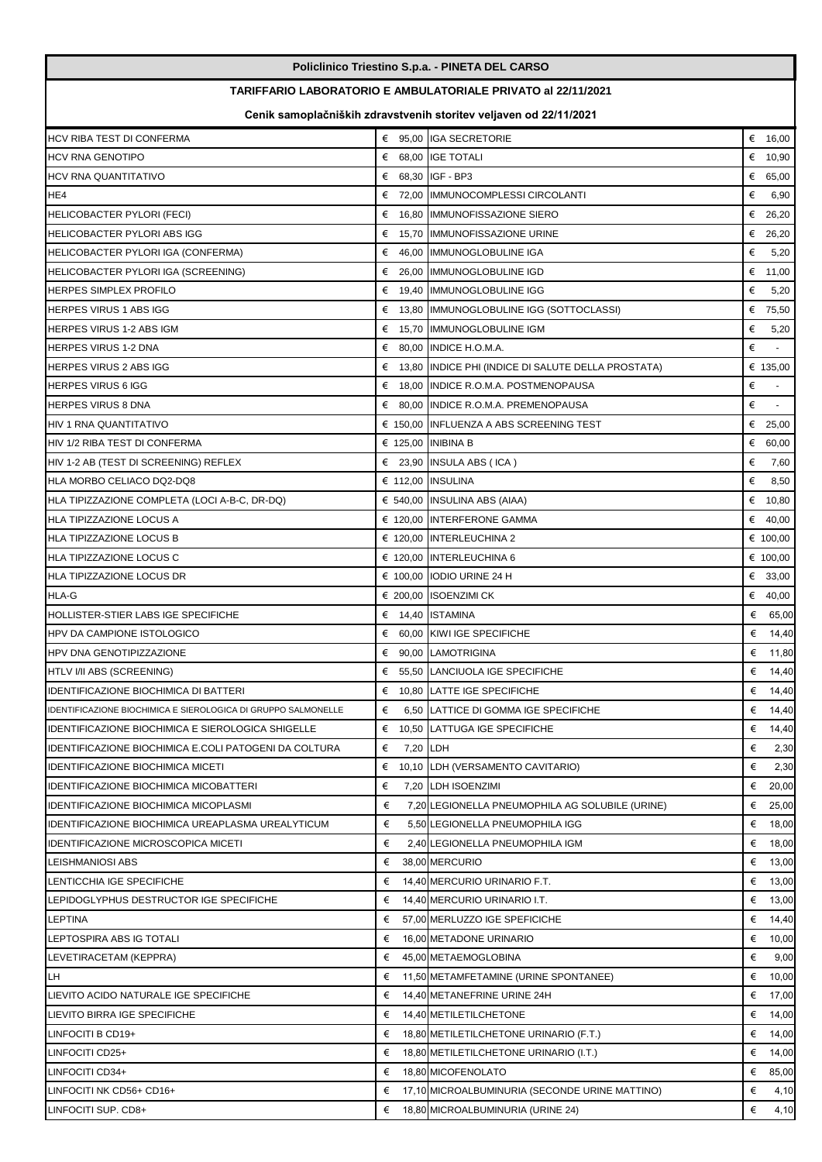| Policlinico Triestino S.p.a. - PINETA DEL CARSO               |                                                                   |                                                               |               |  |  |  |
|---------------------------------------------------------------|-------------------------------------------------------------------|---------------------------------------------------------------|---------------|--|--|--|
| TARIFFARIO LABORATORIO E AMBULATORIALE PRIVATO al 22/11/2021  |                                                                   |                                                               |               |  |  |  |
|                                                               | Cenik samoplačniških zdravstvenih storitev veljaven od 22/11/2021 |                                                               |               |  |  |  |
| HCV RIBA TEST DI CONFERMA                                     |                                                                   | € 95,00 IGA SECRETORIE                                        | € 16,00       |  |  |  |
| <b>HCV RNA GENOTIPO</b>                                       |                                                                   | € 68.00 IGE TOTALI                                            | € $10,90$     |  |  |  |
| HCV RNA QUANTITATIVO                                          |                                                                   | € 68,30 IGF - BP3                                             | € 65,00       |  |  |  |
| HE4                                                           |                                                                   | € 72,00 IMMUNOCOMPLESSI CIRCOLANTI                            | €<br>6,90     |  |  |  |
| <b>HELICOBACTER PYLORI (FECI)</b>                             |                                                                   | € 16,80 IMMUNOFISSAZIONE SIERO                                | €<br>26,20    |  |  |  |
| <b>HELICOBACTER PYLORI ABS IGG</b>                            |                                                                   | € 15,70 IMMUNOFISSAZIONE URINE                                | € 26,20       |  |  |  |
| HELICOBACTER PYLORI IGA (CONFERMA)                            | €                                                                 | 46,00 IMMUNOGLOBULINE IGA                                     | €<br>5,20     |  |  |  |
| HELICOBACTER PYLORI IGA (SCREENING)                           |                                                                   | € 26,00 IMMUNOGLOBULINE IGD                                   | € 11,00       |  |  |  |
| HERPES SIMPLEX PROFILO                                        | €                                                                 | 19,40 IMMUNOGLOBULINE IGG                                     | €<br>5,20     |  |  |  |
| <b>HERPES VIRUS 1 ABS IGG</b>                                 | €                                                                 | 13,80 IMMUNOGLOBULINE IGG (SOTTOCLASSI)                       | €<br>75,50    |  |  |  |
| <b>HERPES VIRUS 1-2 ABS IGM</b>                               |                                                                   | € 15,70 IMMUNOGLOBULINE IGM                                   | €<br>5,20     |  |  |  |
| <b>HERPES VIRUS 1-2 DNA</b>                                   |                                                                   | € 80,00 INDICE H.O.M.A.                                       | €<br>$\omega$ |  |  |  |
| <b>HERPES VIRUS 2 ABS IGG</b>                                 |                                                                   | $\epsilon$ 13,80 INDICE PHI (INDICE DI SALUTE DELLA PROSTATA) | € 135,00      |  |  |  |
| <b>HERPES VIRUS 6 IGG</b>                                     | €                                                                 | 18,00 INDICE R.O.M.A. POSTMENOPAUSA                           | €             |  |  |  |
| <b>HERPES VIRUS 8 DNA</b>                                     |                                                                   | € 80,00 INDICE R.O.M.A. PREMENOPAUSA                          | €<br>$\sim$   |  |  |  |
| HIV 1 RNA QUANTITATIVO                                        |                                                                   | € 150,00 INFLUENZA A ABS SCREENING TEST                       | € 25,00       |  |  |  |
| HIV 1/2 RIBA TEST DI CONFERMA                                 |                                                                   | € 125,00 INIBINA B                                            | € 60,00       |  |  |  |
| HIV 1-2 AB (TEST DI SCREENING) REFLEX                         |                                                                   | $\epsilon$ 23,90 INSULA ABS (ICA)                             | €<br>7,60     |  |  |  |
| HLA MORBO CELIACO DQ2-DQ8                                     |                                                                   | € 112,00 INSULINA                                             | €<br>8,50     |  |  |  |
| HLA TIPIZZAZIONE COMPLETA (LOCI A-B-C, DR-DQ)                 |                                                                   | € 540,00 INSULINA ABS (AIAA)                                  | € $10,80$     |  |  |  |
| HLA TIPIZZAZIONE LOCUS A                                      |                                                                   | € 120,00 INTERFERONE GAMMA                                    | € 40,00       |  |  |  |
| HLA TIPIZZAZIONE LOCUS B                                      |                                                                   | € 120,00 INTERLEUCHINA 2                                      | € 100,00      |  |  |  |
| HLA TIPIZZAZIONE LOCUS C                                      |                                                                   | € 120,00 INTERLEUCHINA 6                                      | € 100,00      |  |  |  |
| HLA TIPIZZAZIONE LOCUS DR                                     |                                                                   | € 100,00 IODIO URINE 24 H                                     | € 33,00       |  |  |  |
| HLA-G                                                         |                                                                   | € 200,00 ISOENZIMI CK                                         | € 40,00       |  |  |  |
| HOLLISTER-STIER LABS IGE SPECIFICHE                           |                                                                   | € 14,40 ISTAMINA                                              | € 65,00       |  |  |  |
| HPV DA CAMPIONE ISTOLOGICO                                    |                                                                   | € 60,00 KIWI IGE SPECIFICHE                                   | € 14,40       |  |  |  |
| HPV DNA GENOTIPIZZAZIONE                                      |                                                                   | € 90,00 LAMOTRIGINA                                           | € 11,80       |  |  |  |
| HTLV I/II ABS (SCREENING)                                     | €                                                                 | 55,50 LANCIUOLA IGE SPECIFICHE                                | € $14,40$     |  |  |  |
| <b>IDENTIFICAZIONE BIOCHIMICA DI BATTERI</b>                  |                                                                   | € 10,80 LATTE IGE SPECIFICHE                                  | € 14,40       |  |  |  |
| IDENTIFICAZIONE BIOCHIMICA E SIEROLOGICA DI GRUPPO SALMONELLE | €                                                                 | 6,50 LATTICE DI GOMMA IGE SPECIFICHE                          | € $14,40$     |  |  |  |
| IDENTIFICAZIONE BIOCHIMICA E SIEROLOGICA SHIGELLE             |                                                                   | € 10,50 LATTUGA IGE SPECIFICHE                                | € 14,40       |  |  |  |
| IDENTIFICAZIONE BIOCHIMICA E.COLI PATOGENI DA COLTURA         | €                                                                 | 7,20 LDH                                                      | €<br>2,30     |  |  |  |
| <b>IDENTIFICAZIONE BIOCHIMICA MICETI</b>                      | €                                                                 | 10,10 LDH (VERSAMENTO CAVITARIO)                              | €<br>2,30     |  |  |  |
| <b>IDENTIFICAZIONE BIOCHIMICA MICOBATTERI</b>                 | €                                                                 | 7,20 LDH ISOENZIMI                                            | € 20,00       |  |  |  |
| IDENTIFICAZIONE BIOCHIMICA MICOPLASMI                         | €                                                                 | 7,20 LEGIONELLA PNEUMOPHILA AG SOLUBILE (URINE)               | € 25,00       |  |  |  |
| IDENTIFICAZIONE BIOCHIMICA UREAPLASMA UREALYTICUM             | €                                                                 | 5,50 LEGIONELLA PNEUMOPHILA IGG                               | €<br>18,00    |  |  |  |
| IDENTIFICAZIONE MICROSCOPICA MICETI                           | €                                                                 | 2,40 LEGIONELLA PNEUMOPHILA IGM                               | € 18,00       |  |  |  |
| LEISHMANIOSI ABS                                              | €                                                                 | 38,00 MERCURIO                                                | € 13,00       |  |  |  |
| LENTICCHIA IGE SPECIFICHE                                     | €                                                                 | 14,40 MERCURIO URINARIO F.T.                                  | €<br>13,00    |  |  |  |
| LEPIDOGLYPHUS DESTRUCTOR IGE SPECIFICHE                       | €                                                                 | 14,40 MERCURIO URINARIO I.T.                                  | € $13,00$     |  |  |  |
| LEPTINA                                                       | €                                                                 | 57,00 MERLUZZO IGE SPEFICICHE                                 | € 14,40       |  |  |  |
| LEPTOSPIRA ABS IG TOTALI                                      | €                                                                 | 16,00 METADONE URINARIO                                       | € 10,00       |  |  |  |
| LEVETIRACETAM (KEPPRA)                                        | €                                                                 | 45,00 METAEMOGLOBINA                                          | €<br>9,00     |  |  |  |
| LH                                                            | €                                                                 | 11,50 METAMFETAMINE (URINE SPONTANEE)                         | € $10,00$     |  |  |  |
| LIEVITO ACIDO NATURALE IGE SPECIFICHE                         | €                                                                 | 14,40 METANEFRINE URINE 24H                                   | € 17,00       |  |  |  |
| LIEVITO BIRRA IGE SPECIFICHE                                  | €                                                                 | 14,40 METILETILCHETONE                                        | €<br>14,00    |  |  |  |
| LINFOCITI B CD19+                                             | €                                                                 | 18,80 METILETILCHETONE URINARIO (F.T.)                        | € 14,00       |  |  |  |
| LINFOCITI CD25+                                               | €                                                                 | 18,80 METILETILCHETONE URINARIO (I.T.)                        | € 14,00       |  |  |  |
| LINFOCITI CD34+                                               | €                                                                 | 18,80 MICOFENOLATO                                            | € $85,00$     |  |  |  |
| LINFOCITI NK CD56+ CD16+                                      | €                                                                 | 17,10 MICROALBUMINURIA (SECONDE URINE MATTINO)                | €<br>4,10     |  |  |  |
| LINFOCITI SUP. CD8+                                           | €                                                                 | 18,80 MICROALBUMINURIA (URINE 24)                             | €<br>4,10     |  |  |  |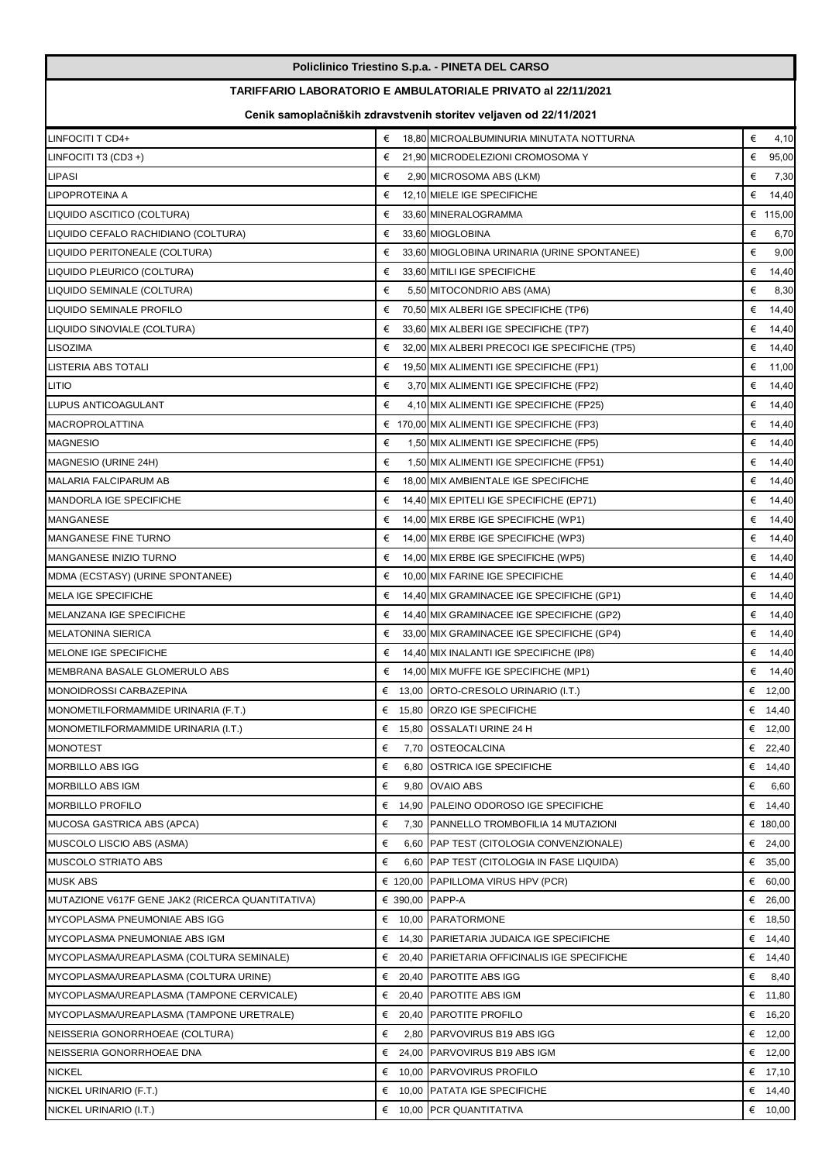| Policlinico Triestino S.p.a. - PINETA DEL CARSO  |                                                                   |                                                              |            |  |  |  |
|--------------------------------------------------|-------------------------------------------------------------------|--------------------------------------------------------------|------------|--|--|--|
|                                                  |                                                                   | TARIFFARIO LABORATORIO E AMBULATORIALE PRIVATO al 22/11/2021 |            |  |  |  |
|                                                  | Cenik samoplačniških zdravstvenih storitev veljaven od 22/11/2021 |                                                              |            |  |  |  |
| LINFOCITI T CD4+                                 | €                                                                 | 18,80 MICROALBUMINURIA MINUTATA NOTTURNA                     | €<br>4,10  |  |  |  |
| LINFOCITI T3 (CD3+)                              | €                                                                 | 21,90 MICRODELEZIONI CROMOSOMA Y                             | €<br>95,00 |  |  |  |
| LIPASI                                           | €                                                                 | 2,90 MICROSOMA ABS (LKM)                                     | €<br>7,30  |  |  |  |
| LIPOPROTEINA A                                   | €                                                                 | 12,10 MIELE IGE SPECIFICHE                                   | €<br>14,40 |  |  |  |
| LIQUIDO ASCITICO (COLTURA)                       | €                                                                 | 33,60 MINERALOGRAMMA                                         | € 115,00   |  |  |  |
| LIQUIDO CEFALO RACHIDIANO (COLTURA)              | €                                                                 | 33,60 MIOGLOBINA                                             | €<br>6,70  |  |  |  |
| LIQUIDO PERITONEALE (COLTURA)                    | €                                                                 | 33,60 MIOGLOBINA URINARIA (URINE SPONTANEE)                  | €<br>9,00  |  |  |  |
| LIQUIDO PLEURICO (COLTURA)                       | €                                                                 | 33,60 MITILI IGE SPECIFICHE                                  | €<br>14,40 |  |  |  |
| LIQUIDO SEMINALE (COLTURA)                       | €                                                                 | 5,50 MITOCONDRIO ABS (AMA)                                   | €<br>8,30  |  |  |  |
| LIQUIDO SEMINALE PROFILO                         | €                                                                 | 70,50 MIX ALBERI IGE SPECIFICHE (TP6)                        | €<br>14,40 |  |  |  |
| LIQUIDO SINOVIALE (COLTURA)                      | €                                                                 | 33,60 MIX ALBERI IGE SPECIFICHE (TP7)                        | €<br>14,40 |  |  |  |
| <b>LISOZIMA</b>                                  | €                                                                 | 32,00 MIX ALBERI PRECOCI IGE SPECIFICHE (TP5)                | €<br>14,40 |  |  |  |
| LISTERIA ABS TOTALI                              | €                                                                 | 19,50 MIX ALIMENTI IGE SPECIFICHE (FP1)                      | €<br>11,00 |  |  |  |
| <b>LITIO</b>                                     | €                                                                 | 3,70 MIX ALIMENTI IGE SPECIFICHE (FP2)                       | €<br>14,40 |  |  |  |
| LUPUS ANTICOAGULANT                              | €                                                                 | 4,10 MIX ALIMENTI IGE SPECIFICHE (FP25)                      | €<br>14,40 |  |  |  |
| <b>MACROPROLATTINA</b>                           |                                                                   | $\epsilon$ 170,00 MIX ALIMENTI IGE SPECIFICHE (FP3)          | €<br>14,40 |  |  |  |
| <b>MAGNESIO</b>                                  | €                                                                 | 1,50 MIX ALIMENTI IGE SPECIFICHE (FP5)                       | €<br>14,40 |  |  |  |
| MAGNESIO (URINE 24H)                             | €                                                                 | 1,50 MIX ALIMENTI IGE SPECIFICHE (FP51)                      | €<br>14,40 |  |  |  |
| MALARIA FALCIPARUM AB                            | €                                                                 | 18,00 MIX AMBIENTALE IGE SPECIFICHE                          | €<br>14,40 |  |  |  |
| <b>MANDORLA IGE SPECIFICHE</b>                   | €                                                                 | 14,40 MIX EPITELI IGE SPECIFICHE (EP71)                      | €<br>14,40 |  |  |  |
| <b>MANGANESE</b>                                 | €                                                                 | 14,00 MIX ERBE IGE SPECIFICHE (WP1)                          | €<br>14,40 |  |  |  |
| MANGANESE FINE TURNO                             | €                                                                 | 14,00 MIX ERBE IGE SPECIFICHE (WP3)                          | €<br>14,40 |  |  |  |
| <b>MANGANESE INIZIO TURNO</b>                    | €                                                                 | 14,00 MIX ERBE IGE SPECIFICHE (WP5)                          | €<br>14,40 |  |  |  |
| MDMA (ECSTASY) (URINE SPONTANEE)                 | €                                                                 | 10,00 MIX FARINE IGE SPECIFICHE                              | €<br>14,40 |  |  |  |
| <b>MELA IGE SPECIFICHE</b>                       | €                                                                 | 14,40 MIX GRAMINACEE IGE SPECIFICHE (GP1)                    | €<br>14,40 |  |  |  |
| MELANZANA IGE SPECIFICHE                         | €                                                                 | 14,40 MIX GRAMINACEE IGE SPECIFICHE (GP2)                    | €<br>14,40 |  |  |  |
| <b>MELATONINA SIERICA</b>                        | €                                                                 | 33,00 MIX GRAMINACEE IGE SPECIFICHE (GP4)                    | € 14,40    |  |  |  |
| MELONE IGE SPECIFICHE                            | €                                                                 | 14,40 MIX INALANTI IGE SPECIFICHE (IP8)                      | €<br>14,40 |  |  |  |
| MEMBRANA BASALE GLOMERULO ABS                    | €                                                                 | 14,00 MIX MUFFE IGE SPECIFICHE (MP1)                         | €<br>14,40 |  |  |  |
| MONOIDROSSI CARBAZEPINA                          | € $13,00$                                                         | ORTO-CRESOLO URINARIO (I.T.)                                 | € $12,00$  |  |  |  |
| MONOMETILFORMAMMIDE URINARIA (F.T.)              | €<br>15,80                                                        | <b>ORZO IGE SPECIFICHE</b>                                   | € 14,40    |  |  |  |
| MONOMETILFORMAMMIDE URINARIA (I.T.)              | €<br>15,80                                                        | <b>OSSALATI URINE 24 H</b>                                   | € 12,00    |  |  |  |
| <b>MONOTEST</b>                                  | €<br>7,70                                                         | <b>OSTEOCALCINA</b>                                          | €<br>22,40 |  |  |  |
| MORBILLO ABS IGG                                 | €<br>6,80                                                         | <b>OSTRICA IGE SPECIFICHE</b>                                | € 14,40    |  |  |  |
| <b>MORBILLO ABS IGM</b>                          | €<br>9,80                                                         | <b>OVAIO ABS</b>                                             | €<br>6,60  |  |  |  |
| MORBILLO PROFILO                                 | €<br>14,90                                                        | PALEINO ODOROSO IGE SPECIFICHE                               | € $14,40$  |  |  |  |
| MUCOSA GASTRICA ABS (APCA)                       | €<br>7,30                                                         | PANNELLO TROMBOFILIA 14 MUTAZIONI                            | € 180,00   |  |  |  |
| MUSCOLO LISCIO ABS (ASMA)                        | €                                                                 | 6,60 PAP TEST (CITOLOGIA CONVENZIONALE)                      | € 24,00    |  |  |  |
| MUSCOLO STRIATO ABS                              | €                                                                 | 6,60 PAP TEST (CITOLOGIA IN FASE LIQUIDA)                    | € 35,00    |  |  |  |
| <b>MUSK ABS</b>                                  | € 120,00                                                          | PAPILLOMA VIRUS HPV (PCR)                                    | € 60,00    |  |  |  |
| MUTAZIONE V617F GENE JAK2 (RICERCA QUANTITATIVA) | € 390,00 PAPP-A                                                   |                                                              | € 26,00    |  |  |  |
| MYCOPLASMA PNEUMONIAE ABS IGG                    |                                                                   | € 10,00 PARATORMONE                                          | € 18,50    |  |  |  |
| MYCOPLASMA PNEUMONIAE ABS IGM                    |                                                                   | € 14,30 PARIETARIA JUDAICA IGE SPECIFICHE                    | € 14,40    |  |  |  |
| MYCOPLASMA/UREAPLASMA (COLTURA SEMINALE)         |                                                                   | € 20,40 PARIETARIA OFFICINALIS IGE SPECIFICHE                | € 14,40    |  |  |  |
| MYCOPLASMA/UREAPLASMA (COLTURA URINE)            | €                                                                 | 20,40 PAROTITE ABS IGG                                       | €<br>8,40  |  |  |  |
| MYCOPLASMA/UREAPLASMA (TAMPONE CERVICALE)        | €<br>20,40                                                        | <b>PAROTITE ABS IGM</b>                                      | €<br>11,80 |  |  |  |
| MYCOPLASMA/UREAPLASMA (TAMPONE URETRALE)         | 20,40<br>€                                                        | <b>PAROTITE PROFILO</b>                                      | € 16,20    |  |  |  |
| NEISSERIA GONORRHOEAE (COLTURA)                  | €                                                                 | 2,80 PARVOVIRUS B19 ABS IGG                                  | €<br>12,00 |  |  |  |
| NEISSERIA GONORRHOEAE DNA                        | €                                                                 | 24,00 PARVOVIRUS B19 ABS IGM                                 | € 12,00    |  |  |  |
| <b>NICKEL</b>                                    | €                                                                 | 10,00 PARVOVIRUS PROFILO                                     | € 17,10    |  |  |  |
| NICKEL URINARIO (F.T.)                           | €                                                                 | 10,00 PATATA IGE SPECIFICHE                                  | € 14,40    |  |  |  |
|                                                  |                                                                   |                                                              |            |  |  |  |
| NICKEL URINARIO (I.T.)                           |                                                                   | € 10,00 PCR QUANTITATIVA                                     | € $10,00$  |  |  |  |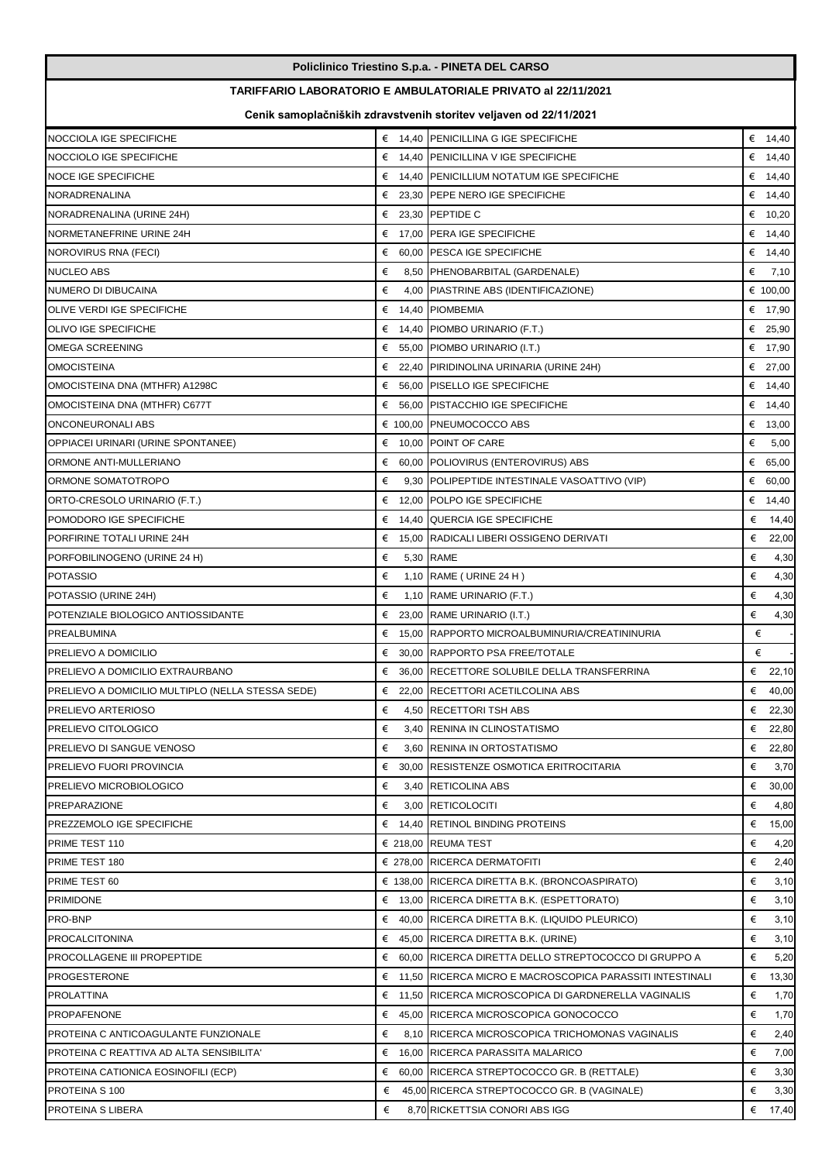| TARIFFARIO LABORATORIO E AMBULATORIALE PRIVATO al 22/11/2021<br>Cenik samoplačniških zdravstvenih storitev veljaven od 22/11/2021<br>€ 14,40 PENICILLINA G IGE SPECIFICHE<br>NOCCIOLA IGE SPECIFICHE<br>€ $14,40$<br>NOCCIOLO IGE SPECIFICHE<br>€ 14,40 PENICILLINA V IGE SPECIFICHE<br>€ 14,40<br>NOCE IGE SPECIFICHE<br>€ 14,40 PENICILLIUM NOTATUM IGE SPECIFICHE<br>€ $14,40$<br>NORADRENALINA<br>€ 23,30 PEPE NERO IGE SPECIFICHE<br>€ 14,40<br>€ 23,30 PEPTIDE C<br>€ $10,20$<br>NORADRENALINA (URINE 24H)<br>€ 17,00 PERA IGE SPECIFICHE<br>NORMETANEFRINE URINE 24H<br>€ 14,40<br>60,00 PESCA IGE SPECIFICHE<br>€ 14,40<br>NOROVIRUS RNA (FECI)<br>€<br>NUCLEO ABS<br>€<br>8,50 PHENOBARBITAL (GARDENALE)<br>€<br>7,10<br>NUMERO DI DIBUCAINA<br>€<br>4,00 PIASTRINE ABS (IDENTIFICAZIONE)<br>€ 100,00<br>14,40 PIOMBEMIA<br>€<br>OLIVE VERDI IGE SPECIFICHE<br>€ 17,90<br>OLIVO IGE SPECIFICHE<br>$\epsilon$ 14,40 PIOMBO URINARIO (F.T.)<br>€ 25,90<br>OMEGA SCREENING<br>55,00 PIOMBO URINARIO (I.T.)<br>€ 17,90<br>€<br><b>OMOCISTEINA</b><br>€<br>22,40 PIRIDINOLINA URINARIA (URINE 24H)<br>€ 27,00<br>€<br>56,00 PISELLO IGE SPECIFICHE<br>€ $14,40$<br>OMOCISTEINA DNA (MTHFR) A1298C<br>€ $14,40$<br>OMOCISTEINA DNA (MTHFR) C677T<br>€ 56,00 PISTACCHIO IGE SPECIFICHE<br>ONCONEURONALI ABS<br>€ 100,00 PNEUMOCOCCO ABS<br>€ 13,00<br>$\epsilon$ 10,00 POINT OF CARE<br>€<br>OPPIACEI URINARI (URINE SPONTANEE)<br>5,00<br>€ 60,00 POLIOVIRUS (ENTEROVIRUS) ABS<br>€ 65,00<br>ORMONE ANTI-MULLERIANO<br>ORMONE SOMATOTROPO<br>€<br>9,30 POLIPEPTIDE INTESTINALE VASOATTIVO (VIP)<br>€ 60,00<br>€<br>12,00 POLPO IGE SPECIFICHE<br>ORTO-CRESOLO URINARIO (F.T.)<br>€ 14,40<br>POMODORO IGE SPECIFICHE<br>€ 14,40 QUERCIA IGE SPECIFICHE<br>€<br>14,40<br>PORFIRINE TOTALI URINE 24H<br>15,00 RADICALI LIBERI OSSIGENO DERIVATI<br>€<br>€<br>22,00<br>5,30 RAME<br>€<br>€<br>4,30<br>PORFOBILINOGENO (URINE 24 H)<br>€<br>€<br>4,30<br>POTASSIO<br>1,10 RAME ( URINE 24 H)<br>€<br>€<br>1,10 RAME URINARIO (F.T.)<br>POTASSIO (URINE 24H)<br>4,30<br>€<br>POTENZIALE BIOLOGICO ANTIOSSIDANTE<br>€<br>23,00 RAME URINARIO (I.T.)<br>4,30<br>€<br>PREALBUMINA<br>€<br>15.00 RAPPORTO MICROALBUMINURIA/CREATININURIA<br>€<br>PRELIEVO A DOMICILIO<br>€ 30.00 RAPPORTO PSA FREE/TOTALE<br>€ 36,00 RECETTORE SOLUBILE DELLA TRANSFERRINA<br>€ 22,10<br>PRELIEVO A DOMICILIO EXTRAURBANO<br>PRELIEVO A DOMICILIO MULTIPLO (NELLA STESSA SEDE)<br>€ 22,00 RECETTORI ACETILCOLINA ABS<br>€ 40,00<br>PRELIEVO ARTERIOSO<br>€<br>4,50 RECETTORI TSH ABS<br>€<br>22,30<br>PRELIEVO CITOLOGICO<br>€<br>3,40 RENINA IN CLINOSTATISMO<br>€ 22,80<br>€<br>3,60 RENINA IN ORTOSTATISMO<br>€ 22,80<br>PRELIEVO DI SANGUE VENOSO<br>€<br>PRELIEVO FUORI PROVINCIA<br>€ 30,00 RESISTENZE OSMOTICA ERITROCITARIA<br>3,70<br>PRELIEVO MICROBIOLOGICO<br>€<br>3,40 RETICOLINA ABS<br>€<br>30,00<br>€<br><b>PREPARAZIONE</b><br>€<br>3,00 RETICOLOCITI<br>4,80<br>€<br>PREZZEMOLO IGE SPECIFICHE<br>$\epsilon$ 14.40 RETINOL BINDING PROTEINS<br>15,00<br>€<br>PRIME TEST 110<br>$\epsilon$ 218,00 REUMA TEST<br>4,20<br>€ 278,00 RICERCA DERMATOFITI<br>€<br>PRIME TEST 180<br>2,40<br>€<br>$\epsilon$ 138,00 RICERCA DIRETTA B.K. (BRONCOASPIRATO)<br>3,10<br>PRIME TEST 60<br>€<br>PRIMIDONE<br>$\epsilon$ 13,00 RICERCA DIRETTA B.K. (ESPETTORATO)<br>3,10<br>€<br>PRO-BNP<br>$\epsilon$ 40,00 RICERCA DIRETTA B.K. (LIQUIDO PLEURICO)<br>3,10<br>€<br><b>PROCALCITONINA</b><br>$\epsilon$ 45,00 RICERCA DIRETTA B.K. (URINE)<br>3,10<br>€<br>PROCOLLAGENE III PROPEPTIDE<br>€ 60,00 RICERCA DIRETTA DELLO STREPTOCOCCO DI GRUPPO A<br>5,20<br>PROGESTERONE<br>€ 11,50 RICERCA MICRO E MACROSCOPICA PARASSITI INTESTINALI<br>€<br>13,30<br>€<br>PROLATTINA<br>€ 11,50 RICERCA MICROSCOPICA DI GARDNERELLA VAGINALIS<br>1,70<br>€<br>PROPAFENONE<br>€ 45,00 RICERCA MICROSCOPICA GONOCOCCO<br>1,70<br>€<br>PROTEINA C ANTICOAGULANTE FUNZIONALE<br>€<br>8,10 RICERCA MICROSCOPICA TRICHOMONAS VAGINALIS<br>2,40<br>PROTEINA C REATTIVA AD ALTA SENSIBILITA'<br>€ 16,00 RICERCA PARASSITA MALARICO<br>€<br>7,00<br>€<br>PROTEINA CATIONICA EOSINOFILI (ECP)<br>$60,00$ RICERCA STREPTOCOCCO GR. B (RETTALE)<br>3,30<br>€<br>PROTEINA S 100<br>€<br>45,00 RICERCA STREPTOCOCCO GR. B (VAGINALE)<br>3,30<br>8,70 RICKETTSIA CONORI ABS IGG | Policlinico Triestino S.p.a. - PINETA DEL CARSO |   |  |         |  |  |  |  |
|-------------------------------------------------------------------------------------------------------------------------------------------------------------------------------------------------------------------------------------------------------------------------------------------------------------------------------------------------------------------------------------------------------------------------------------------------------------------------------------------------------------------------------------------------------------------------------------------------------------------------------------------------------------------------------------------------------------------------------------------------------------------------------------------------------------------------------------------------------------------------------------------------------------------------------------------------------------------------------------------------------------------------------------------------------------------------------------------------------------------------------------------------------------------------------------------------------------------------------------------------------------------------------------------------------------------------------------------------------------------------------------------------------------------------------------------------------------------------------------------------------------------------------------------------------------------------------------------------------------------------------------------------------------------------------------------------------------------------------------------------------------------------------------------------------------------------------------------------------------------------------------------------------------------------------------------------------------------------------------------------------------------------------------------------------------------------------------------------------------------------------------------------------------------------------------------------------------------------------------------------------------------------------------------------------------------------------------------------------------------------------------------------------------------------------------------------------------------------------------------------------------------------------------------------------------------------------------------------------------------------------------------------------------------------------------------------------------------------------------------------------------------------------------------------------------------------------------------------------------------------------------------------------------------------------------------------------------------------------------------------------------------------------------------------------------------------------------------------------------------------------------------------------------------------------------------------------------------------------------------------------------------------------------------------------------------------------------------------------------------------------------------------------------------------------------------------------------------------------------------------------------------------------------------------------------------------------------------------------------------------------------------------------------------------------------------------------------------------------------------------------------------------------------------------------------------------------------------------------------------------------------------------------------------------------------------------------------------------------------------------------------------------------------------------------------------------------------------------------------------------------------------------------------------------------------------------------------------------------------------------------------------------------------------------------------------------------------|-------------------------------------------------|---|--|---------|--|--|--|--|
|                                                                                                                                                                                                                                                                                                                                                                                                                                                                                                                                                                                                                                                                                                                                                                                                                                                                                                                                                                                                                                                                                                                                                                                                                                                                                                                                                                                                                                                                                                                                                                                                                                                                                                                                                                                                                                                                                                                                                                                                                                                                                                                                                                                                                                                                                                                                                                                                                                                                                                                                                                                                                                                                                                                                                                                                                                                                                                                                                                                                                                                                                                                                                                                                                                                                                                                                                                                                                                                                                                                                                                                                                                                                                                                                                                                                                                                                                                                                                                                                                                                                                                                                                                                                                                                                                                                                     |                                                 |   |  |         |  |  |  |  |
|                                                                                                                                                                                                                                                                                                                                                                                                                                                                                                                                                                                                                                                                                                                                                                                                                                                                                                                                                                                                                                                                                                                                                                                                                                                                                                                                                                                                                                                                                                                                                                                                                                                                                                                                                                                                                                                                                                                                                                                                                                                                                                                                                                                                                                                                                                                                                                                                                                                                                                                                                                                                                                                                                                                                                                                                                                                                                                                                                                                                                                                                                                                                                                                                                                                                                                                                                                                                                                                                                                                                                                                                                                                                                                                                                                                                                                                                                                                                                                                                                                                                                                                                                                                                                                                                                                                                     |                                                 |   |  |         |  |  |  |  |
|                                                                                                                                                                                                                                                                                                                                                                                                                                                                                                                                                                                                                                                                                                                                                                                                                                                                                                                                                                                                                                                                                                                                                                                                                                                                                                                                                                                                                                                                                                                                                                                                                                                                                                                                                                                                                                                                                                                                                                                                                                                                                                                                                                                                                                                                                                                                                                                                                                                                                                                                                                                                                                                                                                                                                                                                                                                                                                                                                                                                                                                                                                                                                                                                                                                                                                                                                                                                                                                                                                                                                                                                                                                                                                                                                                                                                                                                                                                                                                                                                                                                                                                                                                                                                                                                                                                                     |                                                 |   |  |         |  |  |  |  |
|                                                                                                                                                                                                                                                                                                                                                                                                                                                                                                                                                                                                                                                                                                                                                                                                                                                                                                                                                                                                                                                                                                                                                                                                                                                                                                                                                                                                                                                                                                                                                                                                                                                                                                                                                                                                                                                                                                                                                                                                                                                                                                                                                                                                                                                                                                                                                                                                                                                                                                                                                                                                                                                                                                                                                                                                                                                                                                                                                                                                                                                                                                                                                                                                                                                                                                                                                                                                                                                                                                                                                                                                                                                                                                                                                                                                                                                                                                                                                                                                                                                                                                                                                                                                                                                                                                                                     |                                                 |   |  |         |  |  |  |  |
|                                                                                                                                                                                                                                                                                                                                                                                                                                                                                                                                                                                                                                                                                                                                                                                                                                                                                                                                                                                                                                                                                                                                                                                                                                                                                                                                                                                                                                                                                                                                                                                                                                                                                                                                                                                                                                                                                                                                                                                                                                                                                                                                                                                                                                                                                                                                                                                                                                                                                                                                                                                                                                                                                                                                                                                                                                                                                                                                                                                                                                                                                                                                                                                                                                                                                                                                                                                                                                                                                                                                                                                                                                                                                                                                                                                                                                                                                                                                                                                                                                                                                                                                                                                                                                                                                                                                     |                                                 |   |  |         |  |  |  |  |
|                                                                                                                                                                                                                                                                                                                                                                                                                                                                                                                                                                                                                                                                                                                                                                                                                                                                                                                                                                                                                                                                                                                                                                                                                                                                                                                                                                                                                                                                                                                                                                                                                                                                                                                                                                                                                                                                                                                                                                                                                                                                                                                                                                                                                                                                                                                                                                                                                                                                                                                                                                                                                                                                                                                                                                                                                                                                                                                                                                                                                                                                                                                                                                                                                                                                                                                                                                                                                                                                                                                                                                                                                                                                                                                                                                                                                                                                                                                                                                                                                                                                                                                                                                                                                                                                                                                                     |                                                 |   |  |         |  |  |  |  |
|                                                                                                                                                                                                                                                                                                                                                                                                                                                                                                                                                                                                                                                                                                                                                                                                                                                                                                                                                                                                                                                                                                                                                                                                                                                                                                                                                                                                                                                                                                                                                                                                                                                                                                                                                                                                                                                                                                                                                                                                                                                                                                                                                                                                                                                                                                                                                                                                                                                                                                                                                                                                                                                                                                                                                                                                                                                                                                                                                                                                                                                                                                                                                                                                                                                                                                                                                                                                                                                                                                                                                                                                                                                                                                                                                                                                                                                                                                                                                                                                                                                                                                                                                                                                                                                                                                                                     |                                                 |   |  |         |  |  |  |  |
|                                                                                                                                                                                                                                                                                                                                                                                                                                                                                                                                                                                                                                                                                                                                                                                                                                                                                                                                                                                                                                                                                                                                                                                                                                                                                                                                                                                                                                                                                                                                                                                                                                                                                                                                                                                                                                                                                                                                                                                                                                                                                                                                                                                                                                                                                                                                                                                                                                                                                                                                                                                                                                                                                                                                                                                                                                                                                                                                                                                                                                                                                                                                                                                                                                                                                                                                                                                                                                                                                                                                                                                                                                                                                                                                                                                                                                                                                                                                                                                                                                                                                                                                                                                                                                                                                                                                     |                                                 |   |  |         |  |  |  |  |
|                                                                                                                                                                                                                                                                                                                                                                                                                                                                                                                                                                                                                                                                                                                                                                                                                                                                                                                                                                                                                                                                                                                                                                                                                                                                                                                                                                                                                                                                                                                                                                                                                                                                                                                                                                                                                                                                                                                                                                                                                                                                                                                                                                                                                                                                                                                                                                                                                                                                                                                                                                                                                                                                                                                                                                                                                                                                                                                                                                                                                                                                                                                                                                                                                                                                                                                                                                                                                                                                                                                                                                                                                                                                                                                                                                                                                                                                                                                                                                                                                                                                                                                                                                                                                                                                                                                                     |                                                 |   |  |         |  |  |  |  |
|                                                                                                                                                                                                                                                                                                                                                                                                                                                                                                                                                                                                                                                                                                                                                                                                                                                                                                                                                                                                                                                                                                                                                                                                                                                                                                                                                                                                                                                                                                                                                                                                                                                                                                                                                                                                                                                                                                                                                                                                                                                                                                                                                                                                                                                                                                                                                                                                                                                                                                                                                                                                                                                                                                                                                                                                                                                                                                                                                                                                                                                                                                                                                                                                                                                                                                                                                                                                                                                                                                                                                                                                                                                                                                                                                                                                                                                                                                                                                                                                                                                                                                                                                                                                                                                                                                                                     |                                                 |   |  |         |  |  |  |  |
|                                                                                                                                                                                                                                                                                                                                                                                                                                                                                                                                                                                                                                                                                                                                                                                                                                                                                                                                                                                                                                                                                                                                                                                                                                                                                                                                                                                                                                                                                                                                                                                                                                                                                                                                                                                                                                                                                                                                                                                                                                                                                                                                                                                                                                                                                                                                                                                                                                                                                                                                                                                                                                                                                                                                                                                                                                                                                                                                                                                                                                                                                                                                                                                                                                                                                                                                                                                                                                                                                                                                                                                                                                                                                                                                                                                                                                                                                                                                                                                                                                                                                                                                                                                                                                                                                                                                     |                                                 |   |  |         |  |  |  |  |
|                                                                                                                                                                                                                                                                                                                                                                                                                                                                                                                                                                                                                                                                                                                                                                                                                                                                                                                                                                                                                                                                                                                                                                                                                                                                                                                                                                                                                                                                                                                                                                                                                                                                                                                                                                                                                                                                                                                                                                                                                                                                                                                                                                                                                                                                                                                                                                                                                                                                                                                                                                                                                                                                                                                                                                                                                                                                                                                                                                                                                                                                                                                                                                                                                                                                                                                                                                                                                                                                                                                                                                                                                                                                                                                                                                                                                                                                                                                                                                                                                                                                                                                                                                                                                                                                                                                                     |                                                 |   |  |         |  |  |  |  |
|                                                                                                                                                                                                                                                                                                                                                                                                                                                                                                                                                                                                                                                                                                                                                                                                                                                                                                                                                                                                                                                                                                                                                                                                                                                                                                                                                                                                                                                                                                                                                                                                                                                                                                                                                                                                                                                                                                                                                                                                                                                                                                                                                                                                                                                                                                                                                                                                                                                                                                                                                                                                                                                                                                                                                                                                                                                                                                                                                                                                                                                                                                                                                                                                                                                                                                                                                                                                                                                                                                                                                                                                                                                                                                                                                                                                                                                                                                                                                                                                                                                                                                                                                                                                                                                                                                                                     |                                                 |   |  |         |  |  |  |  |
|                                                                                                                                                                                                                                                                                                                                                                                                                                                                                                                                                                                                                                                                                                                                                                                                                                                                                                                                                                                                                                                                                                                                                                                                                                                                                                                                                                                                                                                                                                                                                                                                                                                                                                                                                                                                                                                                                                                                                                                                                                                                                                                                                                                                                                                                                                                                                                                                                                                                                                                                                                                                                                                                                                                                                                                                                                                                                                                                                                                                                                                                                                                                                                                                                                                                                                                                                                                                                                                                                                                                                                                                                                                                                                                                                                                                                                                                                                                                                                                                                                                                                                                                                                                                                                                                                                                                     |                                                 |   |  |         |  |  |  |  |
|                                                                                                                                                                                                                                                                                                                                                                                                                                                                                                                                                                                                                                                                                                                                                                                                                                                                                                                                                                                                                                                                                                                                                                                                                                                                                                                                                                                                                                                                                                                                                                                                                                                                                                                                                                                                                                                                                                                                                                                                                                                                                                                                                                                                                                                                                                                                                                                                                                                                                                                                                                                                                                                                                                                                                                                                                                                                                                                                                                                                                                                                                                                                                                                                                                                                                                                                                                                                                                                                                                                                                                                                                                                                                                                                                                                                                                                                                                                                                                                                                                                                                                                                                                                                                                                                                                                                     |                                                 |   |  |         |  |  |  |  |
|                                                                                                                                                                                                                                                                                                                                                                                                                                                                                                                                                                                                                                                                                                                                                                                                                                                                                                                                                                                                                                                                                                                                                                                                                                                                                                                                                                                                                                                                                                                                                                                                                                                                                                                                                                                                                                                                                                                                                                                                                                                                                                                                                                                                                                                                                                                                                                                                                                                                                                                                                                                                                                                                                                                                                                                                                                                                                                                                                                                                                                                                                                                                                                                                                                                                                                                                                                                                                                                                                                                                                                                                                                                                                                                                                                                                                                                                                                                                                                                                                                                                                                                                                                                                                                                                                                                                     |                                                 |   |  |         |  |  |  |  |
|                                                                                                                                                                                                                                                                                                                                                                                                                                                                                                                                                                                                                                                                                                                                                                                                                                                                                                                                                                                                                                                                                                                                                                                                                                                                                                                                                                                                                                                                                                                                                                                                                                                                                                                                                                                                                                                                                                                                                                                                                                                                                                                                                                                                                                                                                                                                                                                                                                                                                                                                                                                                                                                                                                                                                                                                                                                                                                                                                                                                                                                                                                                                                                                                                                                                                                                                                                                                                                                                                                                                                                                                                                                                                                                                                                                                                                                                                                                                                                                                                                                                                                                                                                                                                                                                                                                                     |                                                 |   |  |         |  |  |  |  |
|                                                                                                                                                                                                                                                                                                                                                                                                                                                                                                                                                                                                                                                                                                                                                                                                                                                                                                                                                                                                                                                                                                                                                                                                                                                                                                                                                                                                                                                                                                                                                                                                                                                                                                                                                                                                                                                                                                                                                                                                                                                                                                                                                                                                                                                                                                                                                                                                                                                                                                                                                                                                                                                                                                                                                                                                                                                                                                                                                                                                                                                                                                                                                                                                                                                                                                                                                                                                                                                                                                                                                                                                                                                                                                                                                                                                                                                                                                                                                                                                                                                                                                                                                                                                                                                                                                                                     |                                                 |   |  |         |  |  |  |  |
|                                                                                                                                                                                                                                                                                                                                                                                                                                                                                                                                                                                                                                                                                                                                                                                                                                                                                                                                                                                                                                                                                                                                                                                                                                                                                                                                                                                                                                                                                                                                                                                                                                                                                                                                                                                                                                                                                                                                                                                                                                                                                                                                                                                                                                                                                                                                                                                                                                                                                                                                                                                                                                                                                                                                                                                                                                                                                                                                                                                                                                                                                                                                                                                                                                                                                                                                                                                                                                                                                                                                                                                                                                                                                                                                                                                                                                                                                                                                                                                                                                                                                                                                                                                                                                                                                                                                     |                                                 |   |  |         |  |  |  |  |
|                                                                                                                                                                                                                                                                                                                                                                                                                                                                                                                                                                                                                                                                                                                                                                                                                                                                                                                                                                                                                                                                                                                                                                                                                                                                                                                                                                                                                                                                                                                                                                                                                                                                                                                                                                                                                                                                                                                                                                                                                                                                                                                                                                                                                                                                                                                                                                                                                                                                                                                                                                                                                                                                                                                                                                                                                                                                                                                                                                                                                                                                                                                                                                                                                                                                                                                                                                                                                                                                                                                                                                                                                                                                                                                                                                                                                                                                                                                                                                                                                                                                                                                                                                                                                                                                                                                                     |                                                 |   |  |         |  |  |  |  |
|                                                                                                                                                                                                                                                                                                                                                                                                                                                                                                                                                                                                                                                                                                                                                                                                                                                                                                                                                                                                                                                                                                                                                                                                                                                                                                                                                                                                                                                                                                                                                                                                                                                                                                                                                                                                                                                                                                                                                                                                                                                                                                                                                                                                                                                                                                                                                                                                                                                                                                                                                                                                                                                                                                                                                                                                                                                                                                                                                                                                                                                                                                                                                                                                                                                                                                                                                                                                                                                                                                                                                                                                                                                                                                                                                                                                                                                                                                                                                                                                                                                                                                                                                                                                                                                                                                                                     |                                                 |   |  |         |  |  |  |  |
|                                                                                                                                                                                                                                                                                                                                                                                                                                                                                                                                                                                                                                                                                                                                                                                                                                                                                                                                                                                                                                                                                                                                                                                                                                                                                                                                                                                                                                                                                                                                                                                                                                                                                                                                                                                                                                                                                                                                                                                                                                                                                                                                                                                                                                                                                                                                                                                                                                                                                                                                                                                                                                                                                                                                                                                                                                                                                                                                                                                                                                                                                                                                                                                                                                                                                                                                                                                                                                                                                                                                                                                                                                                                                                                                                                                                                                                                                                                                                                                                                                                                                                                                                                                                                                                                                                                                     |                                                 |   |  |         |  |  |  |  |
|                                                                                                                                                                                                                                                                                                                                                                                                                                                                                                                                                                                                                                                                                                                                                                                                                                                                                                                                                                                                                                                                                                                                                                                                                                                                                                                                                                                                                                                                                                                                                                                                                                                                                                                                                                                                                                                                                                                                                                                                                                                                                                                                                                                                                                                                                                                                                                                                                                                                                                                                                                                                                                                                                                                                                                                                                                                                                                                                                                                                                                                                                                                                                                                                                                                                                                                                                                                                                                                                                                                                                                                                                                                                                                                                                                                                                                                                                                                                                                                                                                                                                                                                                                                                                                                                                                                                     |                                                 |   |  |         |  |  |  |  |
|                                                                                                                                                                                                                                                                                                                                                                                                                                                                                                                                                                                                                                                                                                                                                                                                                                                                                                                                                                                                                                                                                                                                                                                                                                                                                                                                                                                                                                                                                                                                                                                                                                                                                                                                                                                                                                                                                                                                                                                                                                                                                                                                                                                                                                                                                                                                                                                                                                                                                                                                                                                                                                                                                                                                                                                                                                                                                                                                                                                                                                                                                                                                                                                                                                                                                                                                                                                                                                                                                                                                                                                                                                                                                                                                                                                                                                                                                                                                                                                                                                                                                                                                                                                                                                                                                                                                     |                                                 |   |  |         |  |  |  |  |
|                                                                                                                                                                                                                                                                                                                                                                                                                                                                                                                                                                                                                                                                                                                                                                                                                                                                                                                                                                                                                                                                                                                                                                                                                                                                                                                                                                                                                                                                                                                                                                                                                                                                                                                                                                                                                                                                                                                                                                                                                                                                                                                                                                                                                                                                                                                                                                                                                                                                                                                                                                                                                                                                                                                                                                                                                                                                                                                                                                                                                                                                                                                                                                                                                                                                                                                                                                                                                                                                                                                                                                                                                                                                                                                                                                                                                                                                                                                                                                                                                                                                                                                                                                                                                                                                                                                                     |                                                 |   |  |         |  |  |  |  |
|                                                                                                                                                                                                                                                                                                                                                                                                                                                                                                                                                                                                                                                                                                                                                                                                                                                                                                                                                                                                                                                                                                                                                                                                                                                                                                                                                                                                                                                                                                                                                                                                                                                                                                                                                                                                                                                                                                                                                                                                                                                                                                                                                                                                                                                                                                                                                                                                                                                                                                                                                                                                                                                                                                                                                                                                                                                                                                                                                                                                                                                                                                                                                                                                                                                                                                                                                                                                                                                                                                                                                                                                                                                                                                                                                                                                                                                                                                                                                                                                                                                                                                                                                                                                                                                                                                                                     |                                                 |   |  |         |  |  |  |  |
|                                                                                                                                                                                                                                                                                                                                                                                                                                                                                                                                                                                                                                                                                                                                                                                                                                                                                                                                                                                                                                                                                                                                                                                                                                                                                                                                                                                                                                                                                                                                                                                                                                                                                                                                                                                                                                                                                                                                                                                                                                                                                                                                                                                                                                                                                                                                                                                                                                                                                                                                                                                                                                                                                                                                                                                                                                                                                                                                                                                                                                                                                                                                                                                                                                                                                                                                                                                                                                                                                                                                                                                                                                                                                                                                                                                                                                                                                                                                                                                                                                                                                                                                                                                                                                                                                                                                     |                                                 |   |  |         |  |  |  |  |
|                                                                                                                                                                                                                                                                                                                                                                                                                                                                                                                                                                                                                                                                                                                                                                                                                                                                                                                                                                                                                                                                                                                                                                                                                                                                                                                                                                                                                                                                                                                                                                                                                                                                                                                                                                                                                                                                                                                                                                                                                                                                                                                                                                                                                                                                                                                                                                                                                                                                                                                                                                                                                                                                                                                                                                                                                                                                                                                                                                                                                                                                                                                                                                                                                                                                                                                                                                                                                                                                                                                                                                                                                                                                                                                                                                                                                                                                                                                                                                                                                                                                                                                                                                                                                                                                                                                                     |                                                 |   |  |         |  |  |  |  |
|                                                                                                                                                                                                                                                                                                                                                                                                                                                                                                                                                                                                                                                                                                                                                                                                                                                                                                                                                                                                                                                                                                                                                                                                                                                                                                                                                                                                                                                                                                                                                                                                                                                                                                                                                                                                                                                                                                                                                                                                                                                                                                                                                                                                                                                                                                                                                                                                                                                                                                                                                                                                                                                                                                                                                                                                                                                                                                                                                                                                                                                                                                                                                                                                                                                                                                                                                                                                                                                                                                                                                                                                                                                                                                                                                                                                                                                                                                                                                                                                                                                                                                                                                                                                                                                                                                                                     |                                                 |   |  |         |  |  |  |  |
|                                                                                                                                                                                                                                                                                                                                                                                                                                                                                                                                                                                                                                                                                                                                                                                                                                                                                                                                                                                                                                                                                                                                                                                                                                                                                                                                                                                                                                                                                                                                                                                                                                                                                                                                                                                                                                                                                                                                                                                                                                                                                                                                                                                                                                                                                                                                                                                                                                                                                                                                                                                                                                                                                                                                                                                                                                                                                                                                                                                                                                                                                                                                                                                                                                                                                                                                                                                                                                                                                                                                                                                                                                                                                                                                                                                                                                                                                                                                                                                                                                                                                                                                                                                                                                                                                                                                     |                                                 |   |  |         |  |  |  |  |
|                                                                                                                                                                                                                                                                                                                                                                                                                                                                                                                                                                                                                                                                                                                                                                                                                                                                                                                                                                                                                                                                                                                                                                                                                                                                                                                                                                                                                                                                                                                                                                                                                                                                                                                                                                                                                                                                                                                                                                                                                                                                                                                                                                                                                                                                                                                                                                                                                                                                                                                                                                                                                                                                                                                                                                                                                                                                                                                                                                                                                                                                                                                                                                                                                                                                                                                                                                                                                                                                                                                                                                                                                                                                                                                                                                                                                                                                                                                                                                                                                                                                                                                                                                                                                                                                                                                                     |                                                 |   |  |         |  |  |  |  |
|                                                                                                                                                                                                                                                                                                                                                                                                                                                                                                                                                                                                                                                                                                                                                                                                                                                                                                                                                                                                                                                                                                                                                                                                                                                                                                                                                                                                                                                                                                                                                                                                                                                                                                                                                                                                                                                                                                                                                                                                                                                                                                                                                                                                                                                                                                                                                                                                                                                                                                                                                                                                                                                                                                                                                                                                                                                                                                                                                                                                                                                                                                                                                                                                                                                                                                                                                                                                                                                                                                                                                                                                                                                                                                                                                                                                                                                                                                                                                                                                                                                                                                                                                                                                                                                                                                                                     |                                                 |   |  |         |  |  |  |  |
|                                                                                                                                                                                                                                                                                                                                                                                                                                                                                                                                                                                                                                                                                                                                                                                                                                                                                                                                                                                                                                                                                                                                                                                                                                                                                                                                                                                                                                                                                                                                                                                                                                                                                                                                                                                                                                                                                                                                                                                                                                                                                                                                                                                                                                                                                                                                                                                                                                                                                                                                                                                                                                                                                                                                                                                                                                                                                                                                                                                                                                                                                                                                                                                                                                                                                                                                                                                                                                                                                                                                                                                                                                                                                                                                                                                                                                                                                                                                                                                                                                                                                                                                                                                                                                                                                                                                     |                                                 |   |  |         |  |  |  |  |
|                                                                                                                                                                                                                                                                                                                                                                                                                                                                                                                                                                                                                                                                                                                                                                                                                                                                                                                                                                                                                                                                                                                                                                                                                                                                                                                                                                                                                                                                                                                                                                                                                                                                                                                                                                                                                                                                                                                                                                                                                                                                                                                                                                                                                                                                                                                                                                                                                                                                                                                                                                                                                                                                                                                                                                                                                                                                                                                                                                                                                                                                                                                                                                                                                                                                                                                                                                                                                                                                                                                                                                                                                                                                                                                                                                                                                                                                                                                                                                                                                                                                                                                                                                                                                                                                                                                                     |                                                 |   |  |         |  |  |  |  |
|                                                                                                                                                                                                                                                                                                                                                                                                                                                                                                                                                                                                                                                                                                                                                                                                                                                                                                                                                                                                                                                                                                                                                                                                                                                                                                                                                                                                                                                                                                                                                                                                                                                                                                                                                                                                                                                                                                                                                                                                                                                                                                                                                                                                                                                                                                                                                                                                                                                                                                                                                                                                                                                                                                                                                                                                                                                                                                                                                                                                                                                                                                                                                                                                                                                                                                                                                                                                                                                                                                                                                                                                                                                                                                                                                                                                                                                                                                                                                                                                                                                                                                                                                                                                                                                                                                                                     |                                                 |   |  |         |  |  |  |  |
|                                                                                                                                                                                                                                                                                                                                                                                                                                                                                                                                                                                                                                                                                                                                                                                                                                                                                                                                                                                                                                                                                                                                                                                                                                                                                                                                                                                                                                                                                                                                                                                                                                                                                                                                                                                                                                                                                                                                                                                                                                                                                                                                                                                                                                                                                                                                                                                                                                                                                                                                                                                                                                                                                                                                                                                                                                                                                                                                                                                                                                                                                                                                                                                                                                                                                                                                                                                                                                                                                                                                                                                                                                                                                                                                                                                                                                                                                                                                                                                                                                                                                                                                                                                                                                                                                                                                     |                                                 |   |  |         |  |  |  |  |
|                                                                                                                                                                                                                                                                                                                                                                                                                                                                                                                                                                                                                                                                                                                                                                                                                                                                                                                                                                                                                                                                                                                                                                                                                                                                                                                                                                                                                                                                                                                                                                                                                                                                                                                                                                                                                                                                                                                                                                                                                                                                                                                                                                                                                                                                                                                                                                                                                                                                                                                                                                                                                                                                                                                                                                                                                                                                                                                                                                                                                                                                                                                                                                                                                                                                                                                                                                                                                                                                                                                                                                                                                                                                                                                                                                                                                                                                                                                                                                                                                                                                                                                                                                                                                                                                                                                                     |                                                 |   |  |         |  |  |  |  |
|                                                                                                                                                                                                                                                                                                                                                                                                                                                                                                                                                                                                                                                                                                                                                                                                                                                                                                                                                                                                                                                                                                                                                                                                                                                                                                                                                                                                                                                                                                                                                                                                                                                                                                                                                                                                                                                                                                                                                                                                                                                                                                                                                                                                                                                                                                                                                                                                                                                                                                                                                                                                                                                                                                                                                                                                                                                                                                                                                                                                                                                                                                                                                                                                                                                                                                                                                                                                                                                                                                                                                                                                                                                                                                                                                                                                                                                                                                                                                                                                                                                                                                                                                                                                                                                                                                                                     |                                                 |   |  |         |  |  |  |  |
|                                                                                                                                                                                                                                                                                                                                                                                                                                                                                                                                                                                                                                                                                                                                                                                                                                                                                                                                                                                                                                                                                                                                                                                                                                                                                                                                                                                                                                                                                                                                                                                                                                                                                                                                                                                                                                                                                                                                                                                                                                                                                                                                                                                                                                                                                                                                                                                                                                                                                                                                                                                                                                                                                                                                                                                                                                                                                                                                                                                                                                                                                                                                                                                                                                                                                                                                                                                                                                                                                                                                                                                                                                                                                                                                                                                                                                                                                                                                                                                                                                                                                                                                                                                                                                                                                                                                     |                                                 |   |  |         |  |  |  |  |
|                                                                                                                                                                                                                                                                                                                                                                                                                                                                                                                                                                                                                                                                                                                                                                                                                                                                                                                                                                                                                                                                                                                                                                                                                                                                                                                                                                                                                                                                                                                                                                                                                                                                                                                                                                                                                                                                                                                                                                                                                                                                                                                                                                                                                                                                                                                                                                                                                                                                                                                                                                                                                                                                                                                                                                                                                                                                                                                                                                                                                                                                                                                                                                                                                                                                                                                                                                                                                                                                                                                                                                                                                                                                                                                                                                                                                                                                                                                                                                                                                                                                                                                                                                                                                                                                                                                                     |                                                 |   |  |         |  |  |  |  |
|                                                                                                                                                                                                                                                                                                                                                                                                                                                                                                                                                                                                                                                                                                                                                                                                                                                                                                                                                                                                                                                                                                                                                                                                                                                                                                                                                                                                                                                                                                                                                                                                                                                                                                                                                                                                                                                                                                                                                                                                                                                                                                                                                                                                                                                                                                                                                                                                                                                                                                                                                                                                                                                                                                                                                                                                                                                                                                                                                                                                                                                                                                                                                                                                                                                                                                                                                                                                                                                                                                                                                                                                                                                                                                                                                                                                                                                                                                                                                                                                                                                                                                                                                                                                                                                                                                                                     |                                                 |   |  |         |  |  |  |  |
|                                                                                                                                                                                                                                                                                                                                                                                                                                                                                                                                                                                                                                                                                                                                                                                                                                                                                                                                                                                                                                                                                                                                                                                                                                                                                                                                                                                                                                                                                                                                                                                                                                                                                                                                                                                                                                                                                                                                                                                                                                                                                                                                                                                                                                                                                                                                                                                                                                                                                                                                                                                                                                                                                                                                                                                                                                                                                                                                                                                                                                                                                                                                                                                                                                                                                                                                                                                                                                                                                                                                                                                                                                                                                                                                                                                                                                                                                                                                                                                                                                                                                                                                                                                                                                                                                                                                     |                                                 |   |  |         |  |  |  |  |
|                                                                                                                                                                                                                                                                                                                                                                                                                                                                                                                                                                                                                                                                                                                                                                                                                                                                                                                                                                                                                                                                                                                                                                                                                                                                                                                                                                                                                                                                                                                                                                                                                                                                                                                                                                                                                                                                                                                                                                                                                                                                                                                                                                                                                                                                                                                                                                                                                                                                                                                                                                                                                                                                                                                                                                                                                                                                                                                                                                                                                                                                                                                                                                                                                                                                                                                                                                                                                                                                                                                                                                                                                                                                                                                                                                                                                                                                                                                                                                                                                                                                                                                                                                                                                                                                                                                                     |                                                 |   |  |         |  |  |  |  |
|                                                                                                                                                                                                                                                                                                                                                                                                                                                                                                                                                                                                                                                                                                                                                                                                                                                                                                                                                                                                                                                                                                                                                                                                                                                                                                                                                                                                                                                                                                                                                                                                                                                                                                                                                                                                                                                                                                                                                                                                                                                                                                                                                                                                                                                                                                                                                                                                                                                                                                                                                                                                                                                                                                                                                                                                                                                                                                                                                                                                                                                                                                                                                                                                                                                                                                                                                                                                                                                                                                                                                                                                                                                                                                                                                                                                                                                                                                                                                                                                                                                                                                                                                                                                                                                                                                                                     |                                                 |   |  |         |  |  |  |  |
|                                                                                                                                                                                                                                                                                                                                                                                                                                                                                                                                                                                                                                                                                                                                                                                                                                                                                                                                                                                                                                                                                                                                                                                                                                                                                                                                                                                                                                                                                                                                                                                                                                                                                                                                                                                                                                                                                                                                                                                                                                                                                                                                                                                                                                                                                                                                                                                                                                                                                                                                                                                                                                                                                                                                                                                                                                                                                                                                                                                                                                                                                                                                                                                                                                                                                                                                                                                                                                                                                                                                                                                                                                                                                                                                                                                                                                                                                                                                                                                                                                                                                                                                                                                                                                                                                                                                     |                                                 |   |  |         |  |  |  |  |
|                                                                                                                                                                                                                                                                                                                                                                                                                                                                                                                                                                                                                                                                                                                                                                                                                                                                                                                                                                                                                                                                                                                                                                                                                                                                                                                                                                                                                                                                                                                                                                                                                                                                                                                                                                                                                                                                                                                                                                                                                                                                                                                                                                                                                                                                                                                                                                                                                                                                                                                                                                                                                                                                                                                                                                                                                                                                                                                                                                                                                                                                                                                                                                                                                                                                                                                                                                                                                                                                                                                                                                                                                                                                                                                                                                                                                                                                                                                                                                                                                                                                                                                                                                                                                                                                                                                                     |                                                 |   |  |         |  |  |  |  |
|                                                                                                                                                                                                                                                                                                                                                                                                                                                                                                                                                                                                                                                                                                                                                                                                                                                                                                                                                                                                                                                                                                                                                                                                                                                                                                                                                                                                                                                                                                                                                                                                                                                                                                                                                                                                                                                                                                                                                                                                                                                                                                                                                                                                                                                                                                                                                                                                                                                                                                                                                                                                                                                                                                                                                                                                                                                                                                                                                                                                                                                                                                                                                                                                                                                                                                                                                                                                                                                                                                                                                                                                                                                                                                                                                                                                                                                                                                                                                                                                                                                                                                                                                                                                                                                                                                                                     |                                                 |   |  |         |  |  |  |  |
|                                                                                                                                                                                                                                                                                                                                                                                                                                                                                                                                                                                                                                                                                                                                                                                                                                                                                                                                                                                                                                                                                                                                                                                                                                                                                                                                                                                                                                                                                                                                                                                                                                                                                                                                                                                                                                                                                                                                                                                                                                                                                                                                                                                                                                                                                                                                                                                                                                                                                                                                                                                                                                                                                                                                                                                                                                                                                                                                                                                                                                                                                                                                                                                                                                                                                                                                                                                                                                                                                                                                                                                                                                                                                                                                                                                                                                                                                                                                                                                                                                                                                                                                                                                                                                                                                                                                     |                                                 |   |  |         |  |  |  |  |
|                                                                                                                                                                                                                                                                                                                                                                                                                                                                                                                                                                                                                                                                                                                                                                                                                                                                                                                                                                                                                                                                                                                                                                                                                                                                                                                                                                                                                                                                                                                                                                                                                                                                                                                                                                                                                                                                                                                                                                                                                                                                                                                                                                                                                                                                                                                                                                                                                                                                                                                                                                                                                                                                                                                                                                                                                                                                                                                                                                                                                                                                                                                                                                                                                                                                                                                                                                                                                                                                                                                                                                                                                                                                                                                                                                                                                                                                                                                                                                                                                                                                                                                                                                                                                                                                                                                                     |                                                 |   |  |         |  |  |  |  |
|                                                                                                                                                                                                                                                                                                                                                                                                                                                                                                                                                                                                                                                                                                                                                                                                                                                                                                                                                                                                                                                                                                                                                                                                                                                                                                                                                                                                                                                                                                                                                                                                                                                                                                                                                                                                                                                                                                                                                                                                                                                                                                                                                                                                                                                                                                                                                                                                                                                                                                                                                                                                                                                                                                                                                                                                                                                                                                                                                                                                                                                                                                                                                                                                                                                                                                                                                                                                                                                                                                                                                                                                                                                                                                                                                                                                                                                                                                                                                                                                                                                                                                                                                                                                                                                                                                                                     |                                                 |   |  |         |  |  |  |  |
|                                                                                                                                                                                                                                                                                                                                                                                                                                                                                                                                                                                                                                                                                                                                                                                                                                                                                                                                                                                                                                                                                                                                                                                                                                                                                                                                                                                                                                                                                                                                                                                                                                                                                                                                                                                                                                                                                                                                                                                                                                                                                                                                                                                                                                                                                                                                                                                                                                                                                                                                                                                                                                                                                                                                                                                                                                                                                                                                                                                                                                                                                                                                                                                                                                                                                                                                                                                                                                                                                                                                                                                                                                                                                                                                                                                                                                                                                                                                                                                                                                                                                                                                                                                                                                                                                                                                     |                                                 |   |  |         |  |  |  |  |
|                                                                                                                                                                                                                                                                                                                                                                                                                                                                                                                                                                                                                                                                                                                                                                                                                                                                                                                                                                                                                                                                                                                                                                                                                                                                                                                                                                                                                                                                                                                                                                                                                                                                                                                                                                                                                                                                                                                                                                                                                                                                                                                                                                                                                                                                                                                                                                                                                                                                                                                                                                                                                                                                                                                                                                                                                                                                                                                                                                                                                                                                                                                                                                                                                                                                                                                                                                                                                                                                                                                                                                                                                                                                                                                                                                                                                                                                                                                                                                                                                                                                                                                                                                                                                                                                                                                                     |                                                 |   |  |         |  |  |  |  |
|                                                                                                                                                                                                                                                                                                                                                                                                                                                                                                                                                                                                                                                                                                                                                                                                                                                                                                                                                                                                                                                                                                                                                                                                                                                                                                                                                                                                                                                                                                                                                                                                                                                                                                                                                                                                                                                                                                                                                                                                                                                                                                                                                                                                                                                                                                                                                                                                                                                                                                                                                                                                                                                                                                                                                                                                                                                                                                                                                                                                                                                                                                                                                                                                                                                                                                                                                                                                                                                                                                                                                                                                                                                                                                                                                                                                                                                                                                                                                                                                                                                                                                                                                                                                                                                                                                                                     |                                                 |   |  |         |  |  |  |  |
|                                                                                                                                                                                                                                                                                                                                                                                                                                                                                                                                                                                                                                                                                                                                                                                                                                                                                                                                                                                                                                                                                                                                                                                                                                                                                                                                                                                                                                                                                                                                                                                                                                                                                                                                                                                                                                                                                                                                                                                                                                                                                                                                                                                                                                                                                                                                                                                                                                                                                                                                                                                                                                                                                                                                                                                                                                                                                                                                                                                                                                                                                                                                                                                                                                                                                                                                                                                                                                                                                                                                                                                                                                                                                                                                                                                                                                                                                                                                                                                                                                                                                                                                                                                                                                                                                                                                     | <b>PROTEINA S LIBERA</b>                        | € |  | € 17,40 |  |  |  |  |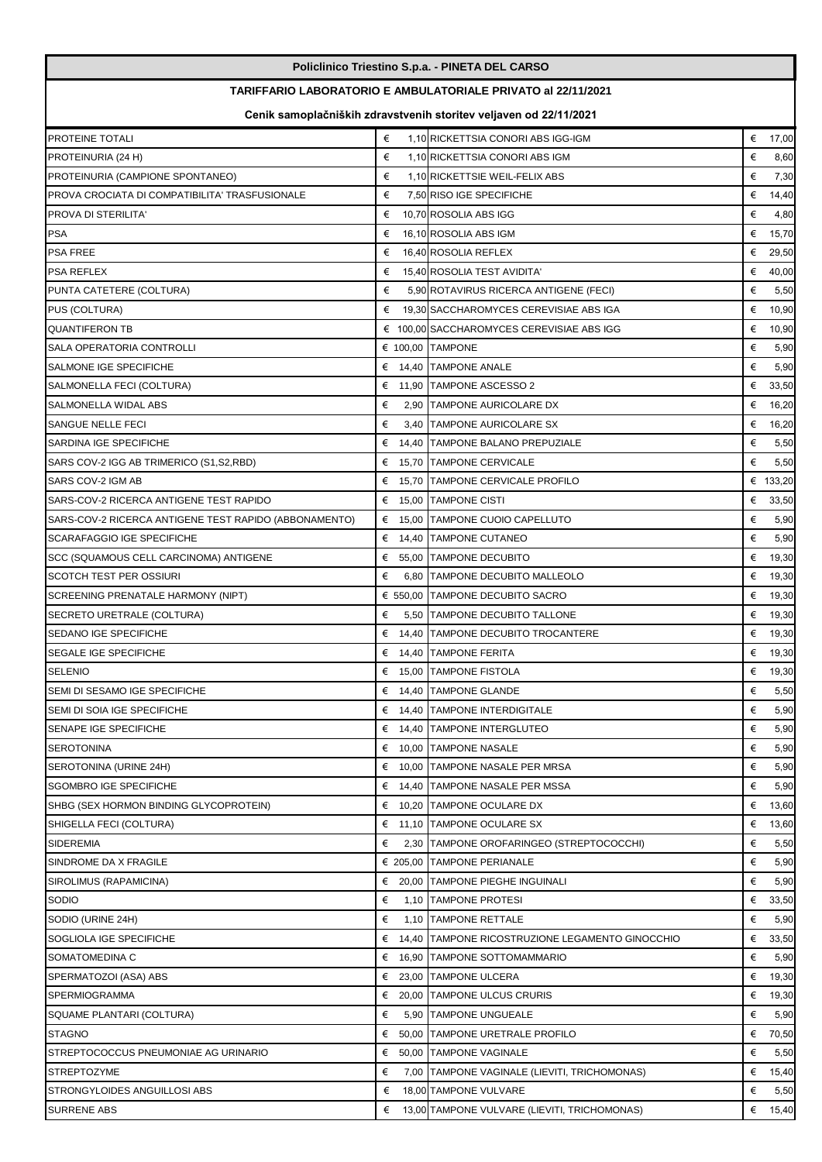|                                                                   |            | Policlinico Triestino S.p.a. - PINETA DEL CARSO              |            |  |  |
|-------------------------------------------------------------------|------------|--------------------------------------------------------------|------------|--|--|
|                                                                   |            | TARIFFARIO LABORATORIO E AMBULATORIALE PRIVATO al 22/11/2021 |            |  |  |
| Cenik samoplačniških zdravstvenih storitev veljaven od 22/11/2021 |            |                                                              |            |  |  |
| PROTEINE TOTALI                                                   | €          | 1,10 RICKETTSIA CONORI ABS IGG-IGM                           | € 17,00    |  |  |
| PROTEINURIA (24 H)                                                | €          | 1,10 RICKETTSIA CONORI ABS IGM                               | €<br>8,60  |  |  |
| PROTEINURIA (CAMPIONE SPONTANEO)                                  | €          | 1,10 RICKETTSIE WEIL-FELIX ABS                               | €<br>7,30  |  |  |
| PROVA CROCIATA DI COMPATIBILITA' TRASFUSIONALE                    | €          | 7,50 RISO IGE SPECIFICHE                                     | €<br>14,40 |  |  |
| PROVA DI STERILITA'                                               | €          | 10,70 ROSOLIA ABS IGG                                        | €<br>4,80  |  |  |
| <b>PSA</b>                                                        | €          | 16.10 ROSOLIA ABS IGM                                        | €<br>15,70 |  |  |
| <b>PSA FREE</b>                                                   | €          | 16,40 ROSOLIA REFLEX                                         | €<br>29,50 |  |  |
| PSA REFLEX                                                        | €          | 15,40 ROSOLIA TEST AVIDITA'                                  | €<br>40,00 |  |  |
| PUNTA CATETERE (COLTURA)                                          | €          | 5,90 ROTAVIRUS RICERCA ANTIGENE (FECI)                       | €<br>5,50  |  |  |
| PUS (COLTURA)                                                     | €          | 19,30 SACCHAROMYCES CEREVISIAE ABS IGA                       | €<br>10,90 |  |  |
| <b>QUANTIFERON TB</b>                                             |            | € 100,00 SACCHAROMYCES CEREVISIAE ABS IGG                    | €<br>10,90 |  |  |
| <b>SALA OPERATORIA CONTROLLI</b>                                  |            | € 100,00 TAMPONE                                             | €<br>5,90  |  |  |
| SALMONE IGE SPECIFICHE                                            |            | € 14,40 TAMPONE ANALE                                        | €<br>5,90  |  |  |
| SALMONELLA FECI (COLTURA)                                         | €          | 11,90 TAMPONE ASCESSO 2                                      | €<br>33,50 |  |  |
| SALMONELLA WIDAL ABS                                              | €          | 2.90 TAMPONE AURICOLARE DX                                   | €<br>16,20 |  |  |
| SANGUE NELLE FECI                                                 | €          | 3,40 TAMPONE AURICOLARE SX                                   | € 16,20    |  |  |
| SARDINA IGE SPECIFICHE                                            | €          | 14,40 TAMPONE BALANO PREPUZIALE                              | €<br>5,50  |  |  |
| SARS COV-2 IGG AB TRIMERICO (S1,S2,RBD)                           |            | € 15,70 TAMPONE CERVICALE                                    | €<br>5,50  |  |  |
| SARS COV-2 IGM AB                                                 |            | € 15,70 TAMPONE CERVICALE PROFILO                            | € 133,20   |  |  |
| SARS-COV-2 RICERCA ANTIGENE TEST RAPIDO                           |            | € 15,00 TAMPONE CISTI                                        | €<br>33,50 |  |  |
| SARS-COV-2 RICERCA ANTIGENE TEST RAPIDO (ABBONAMENTO)             |            | € 15,00 TAMPONE CUOIO CAPELLUTO                              | €<br>5,90  |  |  |
| SCARAFAGGIO IGE SPECIFICHE                                        | €          | 14,40 TAMPONE CUTANEO                                        | €<br>5,90  |  |  |
| SCC (SQUAMOUS CELL CARCINOMA) ANTIGENE                            | €          | 55,00 TAMPONE DECUBITO                                       | €<br>19,30 |  |  |
| SCOTCH TEST PER OSSIURI                                           | €          | 6,80 TAMPONE DECUBITO MALLEOLO                               | €<br>19,30 |  |  |
| SCREENING PRENATALE HARMONY (NIPT)                                | € 550,00   | <b>TAMPONE DECUBITO SACRO</b>                                | €<br>19,30 |  |  |
| SECRETO URETRALE (COLTURA)                                        | €          | 5,50 TAMPONE DECUBITO TALLONE                                | € 19,30    |  |  |
| SEDANO IGE SPECIFICHE                                             | €          | 14,40 TAMPONE DECUBITO TROCANTERE                            | €<br>19,30 |  |  |
| SEGALE IGE SPECIFICHE                                             | €          | 14,40 TAMPONE FERITA                                         | €<br>19,30 |  |  |
| SELENIO                                                           |            | € 15,00 TAMPONE FISTOLA                                      | € 19,30    |  |  |
| SEMI DI SESAMO IGE SPECIFICHE                                     |            | € 14,40 TAMPONE GLANDE                                       | €<br>5,50  |  |  |
| SEMI DI SOIA IGE SPECIFICHE                                       |            | € 14,40 TAMPONE INTERDIGITALE                                | €<br>5,90  |  |  |
| SENAPE IGE SPECIFICHE                                             | €          | 14,40 TAMPONE INTERGLUTEO                                    | €<br>5,90  |  |  |
| SEROTONINA                                                        |            | € 10,00 TAMPONE NASALE                                       | €<br>5,90  |  |  |
| SEROTONINA (URINE 24H)                                            | €          | 10.00 TAMPONE NASALE PER MRSA                                | €<br>5,90  |  |  |
| SGOMBRO IGE SPECIFICHE                                            | €          | 14,40 TAMPONE NASALE PER MSSA                                | €<br>5,90  |  |  |
| SHBG (SEX HORMON BINDING GLYCOPROTEIN)                            | €          | 10,20 TAMPONE OCULARE DX                                     | €<br>13,60 |  |  |
| SHIGELLA FECI (COLTURA)                                           | €          | 11,10 TAMPONE OCULARE SX                                     | €<br>13,60 |  |  |
| SIDEREMIA                                                         | €          | 2,30 TAMPONE OROFARINGEO (STREPTOCOCCHI)                     | €<br>5,50  |  |  |
| SINDROME DA X FRAGILE                                             |            | € 205,00 TAMPONE PERIANALE                                   | €<br>5,90  |  |  |
| SIROLIMUS (RAPAMICINA)                                            |            | € 20,00 TAMPONE PIEGHE INGUINALI                             | €<br>5,90  |  |  |
| Sodio                                                             | €          | 1,10 TAMPONE PROTESI                                         | €<br>33,50 |  |  |
| SODIO (URINE 24H)                                                 | €          | 1,10 TAMPONE RETTALE                                         | €<br>5,90  |  |  |
| SOGLIOLA IGE SPECIFICHE                                           | €<br>14,40 | TAMPONE RICOSTRUZIONE LEGAMENTO GINOCCHIO                    | €<br>33,50 |  |  |
| SOMATOMEDINA C                                                    | €          | 16,90 TAMPONE SOTTOMAMMARIO                                  | €<br>5,90  |  |  |
| SPERMATOZOI (ASA) ABS                                             |            | € 23,00 TAMPONE ULCERA                                       | €<br>19,30 |  |  |
| SPERMIOGRAMMA                                                     | €          | 20,00 TAMPONE ULCUS CRURIS                                   | €<br>19,30 |  |  |
| SQUAME PLANTARI (COLTURA)                                         | €          | 5,90 TAMPONE UNGUEALE                                        | €<br>5,90  |  |  |
| <b>STAGNO</b>                                                     | €          | 50,00 TAMPONE URETRALE PROFILO                               | €<br>70,50 |  |  |
| STREPTOCOCCUS PNEUMONIAE AG URINARIO                              | €          | 50,00 TAMPONE VAGINALE                                       | €<br>5,50  |  |  |
| <b>STREPTOZYME</b>                                                | €          | 7,00 TAMPONE VAGINALE (LIEVITI, TRICHOMONAS)                 | €<br>15,40 |  |  |
| STRONGYLOIDES ANGUILLOSI ABS                                      | €          | 18,00 TAMPONE VULVARE                                        | €<br>5,50  |  |  |
| <b>SURRENE ABS</b>                                                | €          | 13,00 TAMPONE VULVARE (LIEVITI, TRICHOMONAS)                 | €<br>15,40 |  |  |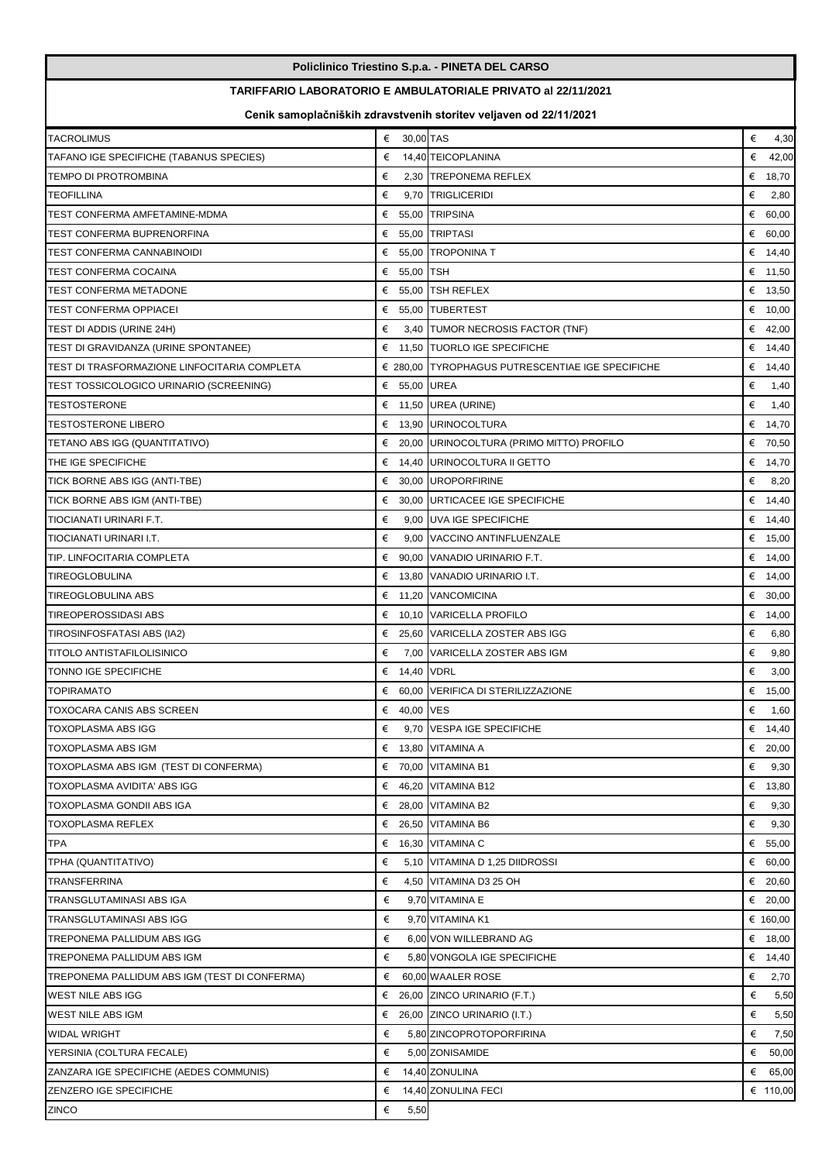|                                               |                                                                     | Policlinico Triestino S.p.a. - PINETA DEL CARSO                   |            |  |  |  |
|-----------------------------------------------|---------------------------------------------------------------------|-------------------------------------------------------------------|------------|--|--|--|
|                                               | <b>TARIFFARIO LABORATORIO E AMBULATORIALE PRIVATO al 22/11/2021</b> |                                                                   |            |  |  |  |
|                                               |                                                                     | Cenik samoplačniških zdravstvenih storitev veljaven od 22/11/2021 |            |  |  |  |
| <b>TACROLIMUS</b>                             | € 30,00 TAS                                                         |                                                                   | €<br>4,30  |  |  |  |
| TAFANO IGE SPECIFICHE (TABANUS SPECIES)       | €                                                                   | 14,40 TEICOPLANINA                                                | €<br>42,00 |  |  |  |
| TEMPO DI PROTROMBINA                          | €                                                                   | 2,30 TREPONEMA REFLEX                                             | € 18,70    |  |  |  |
| TEOFILLINA                                    | €<br>9,70                                                           | TRIGLICERIDI                                                      | €<br>2,80  |  |  |  |
| TEST CONFERMA AMFETAMINE-MDMA                 |                                                                     | € 55.00 TRIPSINA                                                  | € 60,00    |  |  |  |
| TEST CONFERMA BUPRENORFINA                    |                                                                     | € 55,00 TRIPTASI                                                  | € 60,00    |  |  |  |
| TEST CONFERMA CANNABINOIDI                    | €                                                                   | 55.00 TROPONINA T                                                 | € 14,40    |  |  |  |
| TEST CONFERMA COCAINA                         | €<br>55,00 TSH                                                      |                                                                   | € 11,50    |  |  |  |
| TEST CONFERMA METADONE                        |                                                                     | $\epsilon$ 55,00 TSH REFLEX                                       | € 13,50    |  |  |  |
| TEST CONFERMA OPPIACEI                        |                                                                     | € 55,00 TUBERTEST                                                 | € 10,00    |  |  |  |
| TEST DI ADDIS (URINE 24H)                     | €                                                                   | 3,40 TUMOR NECROSIS FACTOR (TNF)                                  | € 42,00    |  |  |  |
| TEST DI GRAVIDANZA (URINE SPONTANEE)          | €                                                                   | 11,50 TUORLO IGE SPECIFICHE                                       | € 14,40    |  |  |  |
| TEST DI TRASFORMAZIONE LINFOCITARIA COMPLETA  |                                                                     | € 280,00 TYROPHAGUS PUTRESCENTIAE IGE SPECIFICHE                  | € $14,40$  |  |  |  |
| TEST TOSSICOLOGICO URINARIO (SCREENING)       | € 55,00 UREA                                                        |                                                                   | €<br>1,40  |  |  |  |
| TESTOSTERONE                                  |                                                                     | € 11,50 UREA (URINE)                                              | €<br>1,40  |  |  |  |
| <b>TESTOSTERONE LIBERO</b>                    |                                                                     | € 13,90 URINOCOLTURA                                              | € 14,70    |  |  |  |
| TETANO ABS IGG (QUANTITATIVO)                 |                                                                     | € 20,00 URINOCOLTURA (PRIMO MITTO) PROFILO                        | € 70,50    |  |  |  |
| THE IGE SPECIFICHE                            | €                                                                   | 14,40 URINOCOLTURA II GETTO                                       | € 14,70    |  |  |  |
| TICK BORNE ABS IGG (ANTI-TBE)                 |                                                                     | € 30,00 UROPORFIRINE                                              | €<br>8,20  |  |  |  |
| TICK BORNE ABS IGM (ANTI-TBE)                 | €                                                                   | 30,00 URTICACEE IGE SPECIFICHE                                    | € 14,40    |  |  |  |
| TIOCIANATI URINARI F.T.                       | €                                                                   | 9,00 UVA IGE SPECIFICHE                                           | € 14,40    |  |  |  |
| TIOCIANATI URINARI I.T.                       | €                                                                   | 9,00 VACCINO ANTINFLUENZALE                                       | € 15,00    |  |  |  |
| TIP. LINFOCITARIA COMPLETA                    | €                                                                   | 90,00 VANADIO URINARIO F.T.                                       | € 14,00    |  |  |  |
| TIREOGLOBULINA                                | €                                                                   | 13,80 VANADIO URINARIO I.T.                                       | € 14,00    |  |  |  |
| TIREOGLOBULINA ABS                            | €                                                                   | 11,20 VANCOMICINA                                                 | € 30,00    |  |  |  |
| TIREOPEROSSIDASI ABS                          | €                                                                   | 10,10 VARICELLA PROFILO                                           | € 14,00    |  |  |  |
| TIROSINFOSFATASI ABS (IA2)                    |                                                                     | € 25.60 VARICELLA ZOSTER ABS IGG                                  | €<br>6,80  |  |  |  |
| TITOLO ANTISTAFILOLISINICO                    | €                                                                   | 7.00 VARICELLA ZOSTER ABS IGM                                     | €<br>9,80  |  |  |  |
| <b>TONNO IGE SPECIFICHE</b>                   | €<br>14,40 VDRL                                                     |                                                                   | €<br>3,00  |  |  |  |
| <b>TOPIRAMATO</b>                             |                                                                     | € 60,00 VERIFICA DI STERILIZZAZIONE                               | € 15,00    |  |  |  |
| TOXOCARA CANIS ABS SCREEN                     | € 40,00 VES                                                         |                                                                   | €<br>1,60  |  |  |  |
| TOXOPLASMA ABS IGG                            | €                                                                   | 9.70 VESPA IGE SPECIFICHE                                         | € $14,40$  |  |  |  |
| TOXOPLASMA ABS IGM                            | €                                                                   | 13,80 VITAMINA A                                                  | € 20,00    |  |  |  |
| TOXOPLASMA ABS IGM (TEST DI CONFERMA)         |                                                                     | € 70,00 VITAMINA B1                                               | €<br>9,30  |  |  |  |
| TOXOPLASMA AVIDITA' ABS IGG                   | €                                                                   | 46,20 VITAMINA B12                                                | € $13,80$  |  |  |  |
| TOXOPLASMA GONDII ABS IGA                     |                                                                     | $\epsilon$ 28,00 VITAMINA B2                                      | €<br>9,30  |  |  |  |
| TOXOPLASMA REFLEX                             |                                                                     | $\epsilon$ 26,50 VITAMINA B6                                      | €<br>9,30  |  |  |  |
| TPA                                           | €                                                                   | 16,30 VITAMINA C                                                  | € 55,00    |  |  |  |
| TPHA (QUANTITATIVO)                           | €                                                                   | 5,10 VITAMINA D 1,25 DIIDROSSI                                    | € 60,00    |  |  |  |
| TRANSFERRINA                                  | €                                                                   | 4,50 VITAMINA D3 25 OH                                            | € 20,60    |  |  |  |
| TRANSGLUTAMINASI ABS IGA                      | €                                                                   | 9,70 VITAMINA E                                                   | € 20,00    |  |  |  |
| TRANSGLUTAMINASI ABS IGG                      | €                                                                   | 9,70 VITAMINA K1                                                  | € 160,00   |  |  |  |
| TREPONEMA PALLIDUM ABS IGG                    | €                                                                   | 6,00 VON WILLEBRAND AG                                            | € 18,00    |  |  |  |
| TREPONEMA PALLIDUM ABS IGM                    | €                                                                   | 5,80 VONGOLA IGE SPECIFICHE                                       | € 14,40    |  |  |  |
| TREPONEMA PALLIDUM ABS IGM (TEST DI CONFERMA) | €                                                                   | 60,00 WAALER ROSE                                                 | €<br>2,70  |  |  |  |
| WEST NILE ABS IGG                             |                                                                     | $\epsilon$ 26,00 ZINCO URINARIO (F.T.)                            | €<br>5,50  |  |  |  |
| WEST NILE ABS IGM                             |                                                                     | € 26,00 ZINCO URINARIO (I.T.)                                     | €<br>5,50  |  |  |  |
| <b>WIDAL WRIGHT</b>                           | €                                                                   | 5,80 ZINCOPROTOPORFIRINA                                          | €<br>7,50  |  |  |  |
| YERSINIA (COLTURA FECALE)                     | €                                                                   | 5,00 ZONISAMIDE                                                   | €<br>50,00 |  |  |  |
| ZANZARA IGE SPECIFICHE (AEDES COMMUNIS)       | €                                                                   | 14,40 ZONULINA                                                    | € 65,00    |  |  |  |
| ZENZERO IGE SPECIFICHE                        | €                                                                   | 14,40 ZONULINA FECI                                               | € 110,00   |  |  |  |
| <b>ZINCO</b>                                  | €<br>5,50                                                           |                                                                   |            |  |  |  |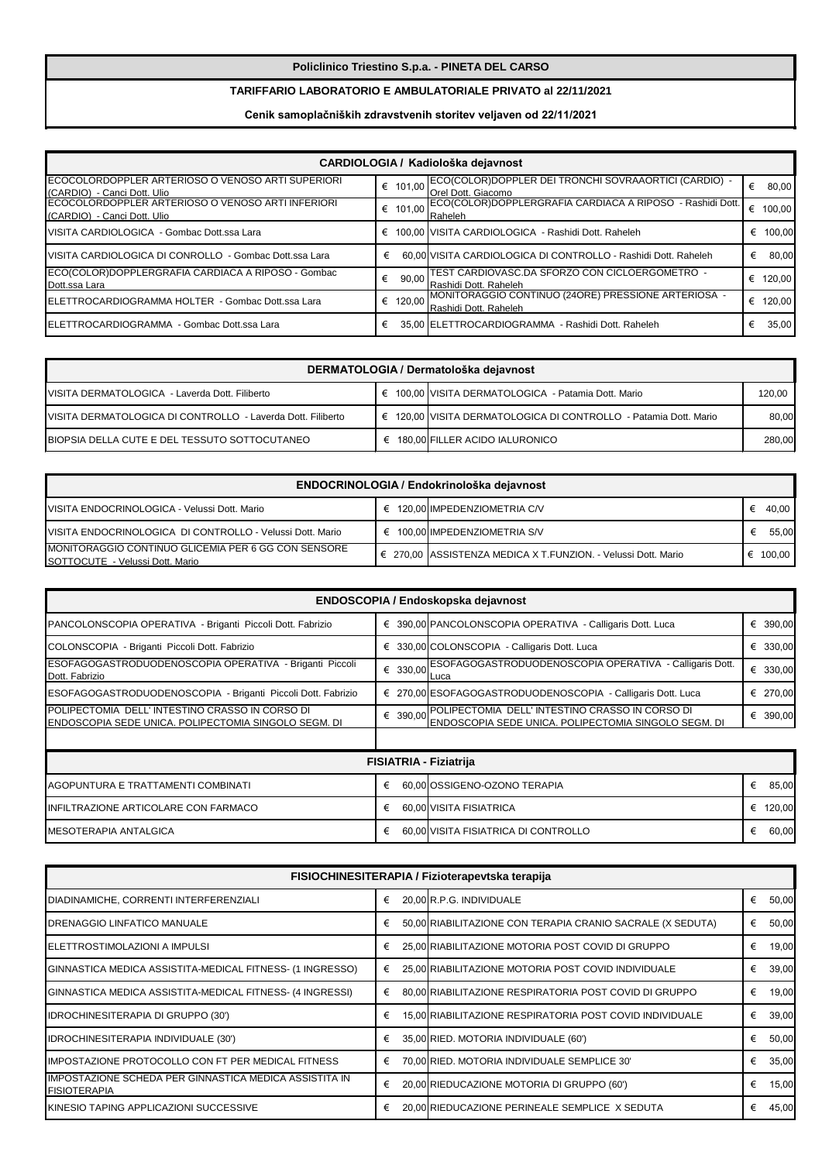## **Policlinico Triestino S.p.a. - PINETA DEL CARSO**

## **TARIFFARIO LABORATORIO E AMBULATORIALE PRIVATO al 22/11/2021**

# **Cenik samoplačniških zdravstvenih storitev veljaven od 22/11/2021**

| CARDIOLOGIA / Kadiološka dejavnost                                                        |             |                                                                              |   |        |
|-------------------------------------------------------------------------------------------|-------------|------------------------------------------------------------------------------|---|--------|
| <b>I</b> ECOCOLORDOPPLER ARTERIOSO O VENOSO ARTI SUPERIORI<br>(CARDIO) - Canci Dott. Ulio | 101.00<br>€ | ECO(COLOR)DOPPLER DEI TRONCHI SOVRAAORTICI (CARDIO) -<br>Orel Dott. Giacomo  | € | 80,00  |
| ECOCOLORDOPPLER ARTERIOSO O VENOSO ARTI INFERIORI<br>(CARDIO) - Canci Dott. Ulio          | 101.00      | ECO(COLOR)DOPPLERGRAFIA CARDIACA A RIPOSO - Rashidi Dott.<br>Raheleh         | € | 100,00 |
| VISITA CARDIOLOGICA - Gombac Dott.ssa Lara                                                | €           | 100,00 VISITA CARDIOLOGICA - Rashidi Dott. Raheleh                           | € | 100.00 |
| VISITA CARDIOLOGICA DI CONROLLO - Gombac Dott ssa Lara                                    | €           | 60.00 VISITA CARDIOLOGICA DI CONTROLLO - Rashidi Dott. Raheleh               | € | 80.00  |
| ECO(COLOR)DOPPLERGRAFIA CARDIACA A RIPOSO - Gombac<br>Dott.ssa Lara                       | 90,00<br>€  | ITEST CARDIOVASC.DA SFORZO CON CICLOERGOMETRO  -<br>Rashidi Dott. Raheleh    | € | 120.00 |
| ELETTROCARDIOGRAMMA HOLTER - Gombac Dott.ssa Lara                                         | 120.00<br>€ | MONITORAGGIO CONTINUO (24ORE) PRESSIONE ARTERIOSA -<br>Rashidi Dott, Raheleh | € | 120.00 |
| ELETTROCARDIOGRAMMA - Gombac Dott.ssa Lara                                                | €           | 35,00 ELETTROCARDIOGRAMMA - Rashidi Dott. Raheleh                            | € | 35.00  |

| DERMATOLOGIA / Dermatološka dejavnost                        |  |                                                                  |        |  |  |
|--------------------------------------------------------------|--|------------------------------------------------------------------|--------|--|--|
| VISITA DERMATOLOGICA - Laverda Dott. Filiberto               |  | € 100,00 VISITA DERMATOLOGICA - Patamia Dott. Mario              | 120.00 |  |  |
| IVISITA DERMATOLOGICA DI CONTROLLO - Laverda Dott. Filiberto |  | € 120,00 VISITA DERMATOLOGICA DI CONTROLLO - Patamia Dott. Mario | 80.00  |  |  |
| <b>IBIOPSIA DELLA CUTE E DEL TESSUTO SOTTOCUTANEO</b>        |  | € 180,00 FILLER ACIDO IALURONICO                                 | 280.00 |  |  |

| ENDOCRINOLOGIA / Endokrinološka dejavnost                                              |  |                                                               |  |        |  |  |
|----------------------------------------------------------------------------------------|--|---------------------------------------------------------------|--|--------|--|--|
| VISITA ENDOCRINOLOGICA - Velussi Dott. Mario                                           |  | € 120.00 IMPEDENZIOMETRIA C/V                                 |  | 40.00  |  |  |
| VISITA ENDOCRINOLOGICA DI CONTROLLO - Velussi Dott. Mario                              |  | 100.00 IMPEDENZIOMETRIA S/V                                   |  | 55.00  |  |  |
| MONITORAGGIO CONTINUO GLICEMIA PER 6 GG CON SENSORE<br>SOTTOCUTE - Velussi Dott. Mario |  | € 270,00 ASSISTENZA MEDICA X T.FUNZION. - Velussi Dott. Mario |  | 100.00 |  |  |

| ENDOSCOPIA / Endoskopska dejavnost                                                                     |                               |                                                                                                                  |            |  |  |  |
|--------------------------------------------------------------------------------------------------------|-------------------------------|------------------------------------------------------------------------------------------------------------------|------------|--|--|--|
| PANCOLONSCOPIA OPERATIVA - Briganti Piccoli Dott. Fabrizio                                             |                               | € 390,00 PANCOLONSCOPIA OPERATIVA - Calligaris Dott. Luca                                                        | € 390,00   |  |  |  |
| COLONSCOPIA - Briganti Piccoli Dott. Fabrizio                                                          |                               | € 330,00 COLONSCOPIA - Calligaris Dott. Luca                                                                     | € 330,00   |  |  |  |
| ESOFAGOGASTRODUODENOSCOPIA OPERATIVA - Briganti Piccoli<br>Dott. Fabrizio                              | € 330,00                      | ESOFAGOGASTRODUODENOSCOPIA OPERATIVA - Calligaris Dott.<br>Luca                                                  | € 330,00   |  |  |  |
| ESOFAGOGASTRODUODENOSCOPIA - Briganti Piccoli Dott. Fabrizio                                           |                               | € 270,00 ESOFAGOGASTRODUODENOSCOPIA - Calligaris Dott. Luca                                                      | € 270,00   |  |  |  |
| POLIPECTOMIA DELL'INTESTINO CRASSO IN CORSO DI<br>ENDOSCOPIA SEDE UNICA. POLIPECTOMIA SINGOLO SEGM. DI |                               | € 390,00 POLIPECTOMIA DELL' INTESTINO CRASSO IN CORSO DI<br>ENDOSCOPIA SEDE UNICA. POLIPECTOMIA SINGOLO SEGM. DI | € 390,00   |  |  |  |
|                                                                                                        |                               |                                                                                                                  |            |  |  |  |
|                                                                                                        | <b>FISIATRIA - Fiziatrija</b> |                                                                                                                  |            |  |  |  |
| AGOPUNTURA E TRATTAMENTI COMBINATI                                                                     | €                             | 60,00 OSSIGENO-OZONO TERAPIA                                                                                     | €<br>85,00 |  |  |  |
| INFILTRAZIONE ARTICOLARE CON FARMACO                                                                   | €                             | 60,00 VISITA FISIATRICA                                                                                          | € 120,00   |  |  |  |
| <b>IMESOTERAPIA ANTALGICA</b>                                                                          | €                             | 60,00 VISITA FISIATRICA DI CONTROLLO                                                                             | €<br>60,00 |  |  |  |

| FISIOCHINESITERAPIA / Fizioterapevtska terapija                                      |   |                                                            |   |       |  |  |
|--------------------------------------------------------------------------------------|---|------------------------------------------------------------|---|-------|--|--|
| DIADINAMICHE, CORRENTI INTERFERENZIALI                                               | € | 20.00 R.P.G. INDIVIDUALE                                   | € | 50,00 |  |  |
| <b>DRENAGGIO LINFATICO MANUALE</b>                                                   | € | 50,00 RIABILITAZIONE CON TERAPIA CRANIO SACRALE (X SEDUTA) | € | 50,00 |  |  |
| <b>IELETTROSTIMOLAZIONI A IMPULSI</b>                                                | € | 25,00 RIABILITAZIONE MOTORIA POST COVID DI GRUPPO          | € | 19,00 |  |  |
| GINNASTICA MEDICA ASSISTITA-MEDICAL FITNESS- (1 INGRESSO)                            | € | 25,00 RIABILITAZIONE MOTORIA POST COVID INDIVIDUALE        | € | 39,00 |  |  |
| GINNASTICA MEDICA ASSISTITA-MEDICAL FITNESS- (4 INGRESSI)                            | € | 80,00 RIABILITAZIONE RESPIRATORIA POST COVID DI GRUPPO     | € | 19,00 |  |  |
| <b>IDROCHINESITERAPIA DI GRUPPO (30')</b>                                            | € | 15,00 RIABILITAZIONE RESPIRATORIA POST COVID INDIVIDUALE   | € | 39,00 |  |  |
| IDROCHINESITERAPIA INDIVIDUALE (30')                                                 | € | 35,00 RIED. MOTORIA INDIVIDUALE (60')                      | € | 50,00 |  |  |
| IIMPOSTAZIONE PROTOCOLLO CON FT PER MEDICAL FITNESS                                  | € | 70,00 RIED. MOTORIA INDIVIDUALE SEMPLICE 30'               | € | 35,00 |  |  |
| <b>IMPOSTAZIONE SCHEDA PER GINNASTICA MEDICA ASSISTITA IN</b><br><b>FISIOTERAPIA</b> | € | 20,00 RIEDUCAZIONE MOTORIA DI GRUPPO (60')                 | € | 15,00 |  |  |
| IKINESIO TAPING APPLICAZIONI SUCCESSIVE                                              |   | 20,00 RIEDUCAZIONE PERINEALE SEMPLICE X SEDUTA             | € | 45,00 |  |  |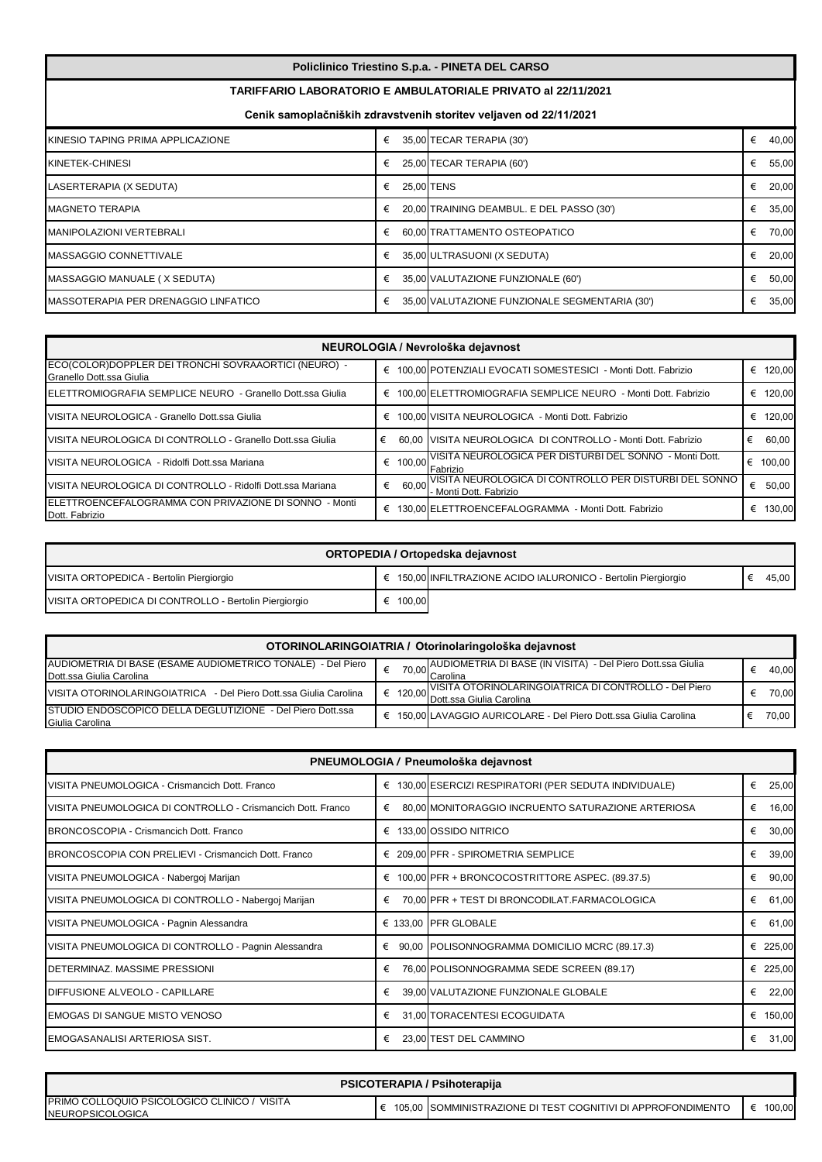| Policlinico Triestino S.p.a. - PINETA DEL CARSO |
|-------------------------------------------------|
|-------------------------------------------------|

## **TARIFFARIO LABORATORIO E AMBULATORIALE PRIVATO al 22/11/2021**

**Cenik samoplačniških zdravstvenih storitev veljaven od 22/11/2021**

| KINESIO TAPING PRIMA APPLICAZIONE     | € | 35,00 TECAR TERAPIA (30')                      | € | 40,00 |
|---------------------------------------|---|------------------------------------------------|---|-------|
| KINETEK-CHINESI                       |   | 25,00 TECAR TERAPIA (60')                      | € | 55,00 |
| LASERTERAPIA (X SEDUTA)               | € | 25.00 TENS                                     | € | 20,00 |
| <b>IMAGNETO TERAPIA</b>               | € | 20,00 TRAINING DEAMBUL. E DEL PASSO (30')      | € | 35,00 |
| <b>MANIPOLAZIONI VERTEBRALI</b>       | € | 60.00 TRATTAMENTO OSTEOPATICO                  | € | 70,00 |
| MASSAGGIO CONNETTIVALE                | € | 35,00 ULTRASUONI (X SEDUTA)                    | € | 20,00 |
| MASSAGGIO MANUALE (X SEDUTA)          | € | 35,00 VALUTAZIONE FUNZIONALE (60')             | € | 50,00 |
| IMASSOTERAPIA PER DRENAGGIO LINFATICO | € | 35,00 VALUTAZIONE FUNZIONALE SEGMENTARIA (30') | € | 35,00 |

| NEUROLOGIA / Nevrološka dejavnost                                                |             |                                                                                  |   |        |  |  |
|----------------------------------------------------------------------------------|-------------|----------------------------------------------------------------------------------|---|--------|--|--|
| ECO(COLOR)DOPPLER DEI TRONCHI SOVRAAORTICI (NEURO) -<br>Granello Dott.ssa Giulia | €           | 100,00 POTENZIALI EVOCATI SOMESTESICI - Monti Dott. Fabrizio                     | € | 120.00 |  |  |
| ELETTROMIOGRAFIA SEMPLICE NEURO - Granello Dott.ssa Giulia                       | €           | 100.00 ELETTROMIOGRAFIA SEMPLICE NEURO - Monti Dott. Fabrizio                    | € | 120.00 |  |  |
| VISITA NEUROLOGICA - Granello Dott.ssa Giulia                                    | €           | 100,00 VISITA NEUROLOGICA - Monti Dott. Fabrizio                                 |   | 120.00 |  |  |
| VISITA NEUROLOGICA DI CONTROLLO - Granello Dott.ssa Giulia                       | €           | 60.00 VISITA NEUROLOGICA DI CONTROLLO - Monti Dott. Fabrizio                     | € | 60.00  |  |  |
| VISITA NEUROLOGICA - Ridolfi Dott.ssa Mariana                                    | 100.00<br>€ | VISITA NEUROLOGICA PER DISTURBI DEL SONNO - Monti Dott.<br>Fabrizio              | € | 100.00 |  |  |
| IVISITA NEUROLOGICA DI CONTROLLO - Ridolfi Dott.ssa Mariana                      | €<br>60.00  | VISITA NEUROLOGICA DI CONTROLLO PER DISTURBI DEL SONNO<br>- Monti Dott. Fabrizio | € | 50,00  |  |  |
| <b>IELETTROENCEFALOGRAMMA CON PRIVAZIONE DI SONNO - Monti</b><br>Dott. Fabrizio  | €           | 130.00 ELETTROENCEFALOGRAMMA - Monti Dott. Fabrizio                              | € | 130.00 |  |  |

| ORTOPEDIA / Ortopedska dejavnost                      |        |                                                                |  |       |  |  |
|-------------------------------------------------------|--------|----------------------------------------------------------------|--|-------|--|--|
| VISITA ORTOPEDICA - Bertolin Piergiorgio              |        | € 150,00 INFILTRAZIONE ACIDO IALURONICO - Bertolin Piergiorgio |  | 45,00 |  |  |
| VISITA ORTOPEDICA DI CONTROLLO - Bertolin Piergiorgio | 100,00 |                                                                |  |       |  |  |

| OTORINOLARINGOIATRIA / Otorinolaringološka dejavnost              |        |                                                                 |  |       |  |  |
|-------------------------------------------------------------------|--------|-----------------------------------------------------------------|--|-------|--|--|
| AUDIOMETRIA DI BASE (ESAME AUDIOMETRICO TONALE) - Del Piero       | 70,00, | AUDIOMETRIA DI BASE (IN VISITA) - Del Piero Dott.ssa Giulia     |  | 40.00 |  |  |
| Dott.ssa Giulia Carolina                                          |        | <b>Carolina</b>                                                 |  |       |  |  |
|                                                                   |        | , VISITA OTORINOLARINGOIATRICA DI CONTROLLO - Del Piero         |  | 70.00 |  |  |
| VISITA OTORINOLARINGOIATRICA - Del Piero Dott.ssa Giulia Carolina |        | I € 120,00 Dott.ssa Giulia Carolina                             |  |       |  |  |
| <b>STUDIO ENDOSCOPICO DELLA DEGLUTIZIONE - Del Piero Dott.ssa</b> | €      | 150,00 LAVAGGIO AURICOLARE - Del Piero Dott.ssa Giulia Carolina |  | 70.00 |  |  |
| Giulia Carolina                                                   |        |                                                                 |  |       |  |  |

| PNEUMOLOGIA / Pneumološka dejavnost                         |            |                                                            |             |  |  |  |
|-------------------------------------------------------------|------------|------------------------------------------------------------|-------------|--|--|--|
| VISITA PNEUMOLOGICA - Crismancich Dott. Franco              |            | € 130,00 ESERCIZI RESPIRATORI (PER SEDUTA INDIVIDUALE)     | 25,00<br>€  |  |  |  |
| VISITA PNEUMOLOGICA DI CONTROLLO - Crismancich Dott. Franco | €          | 80,00 MONITORAGGIO INCRUENTO SATURAZIONE ARTERIOSA         | 16,00<br>€  |  |  |  |
| BRONCOSCOPIA - Crismancich Dott. Franco                     |            | € 133,00 OSSIDO NITRICO                                    | 30,00<br>€  |  |  |  |
| BRONCOSCOPIA CON PRELIEVI - Crismancich Dott. Franco        |            | € 209,00 PFR - SPIROMETRIA SEMPLICE                        | 39,00<br>€  |  |  |  |
| VISITA PNEUMOLOGICA - Nabergoj Marijan                      |            | $\epsilon$ 100,00 PFR + BRONCOCOSTRITTORE ASPEC. (89.37.5) | 90,00<br>€  |  |  |  |
| VISITA PNEUMOLOGICA DI CONTROLLO - Nabergoj Marijan         | €          | 70,00 PFR + TEST DI BRONCODILAT.FARMACOLOGICA              | 61,00<br>€  |  |  |  |
| VISITA PNEUMOLOGICA - Pagnin Alessandra                     |            | € 133,00 PFR GLOBALE                                       | 61,00<br>€  |  |  |  |
| VISITA PNEUMOLOGICA DI CONTROLLO - Pagnin Alessandra        | $\epsilon$ | 90,00 POLISONNOGRAMMA DOMICILIO MCRC (89.17.3)             | € 225,00    |  |  |  |
| DETERMINAZ. MASSIME PRESSIONI                               | €          | 76,00 POLISONNOGRAMMA SEDE SCREEN (89.17)                  | € 225,00    |  |  |  |
| DIFFUSIONE ALVEOLO - CAPILLARE                              | €          | 39,00 VALUTAZIONE FUNZIONALE GLOBALE                       | 22,00<br>€  |  |  |  |
| EMOGAS DI SANGUE MISTO VENOSO                               | €          | 31,00 TORACENTESI ECOGUIDATA                               | 150,00<br>€ |  |  |  |
| EMOGASANALISI ARTERIOSA SIST.                               | €          | 23,00 TEST DEL CAMMINO                                     | 31,00<br>€  |  |  |  |

| PSICOTERAPIA / Psihoterapija                                                        |  |                                                               |        |  |  |  |
|-------------------------------------------------------------------------------------|--|---------------------------------------------------------------|--------|--|--|--|
| <b>IPRIMO COLLOQUIO PSICOLOGICO CLINICO /</b><br>VISITA<br><b>INEUROPSICOLOGICA</b> |  | 105.00 ISOMMINISTRAZIONE DI TEST COGNITIVI DI APPROFONDIMENTO | 100,00 |  |  |  |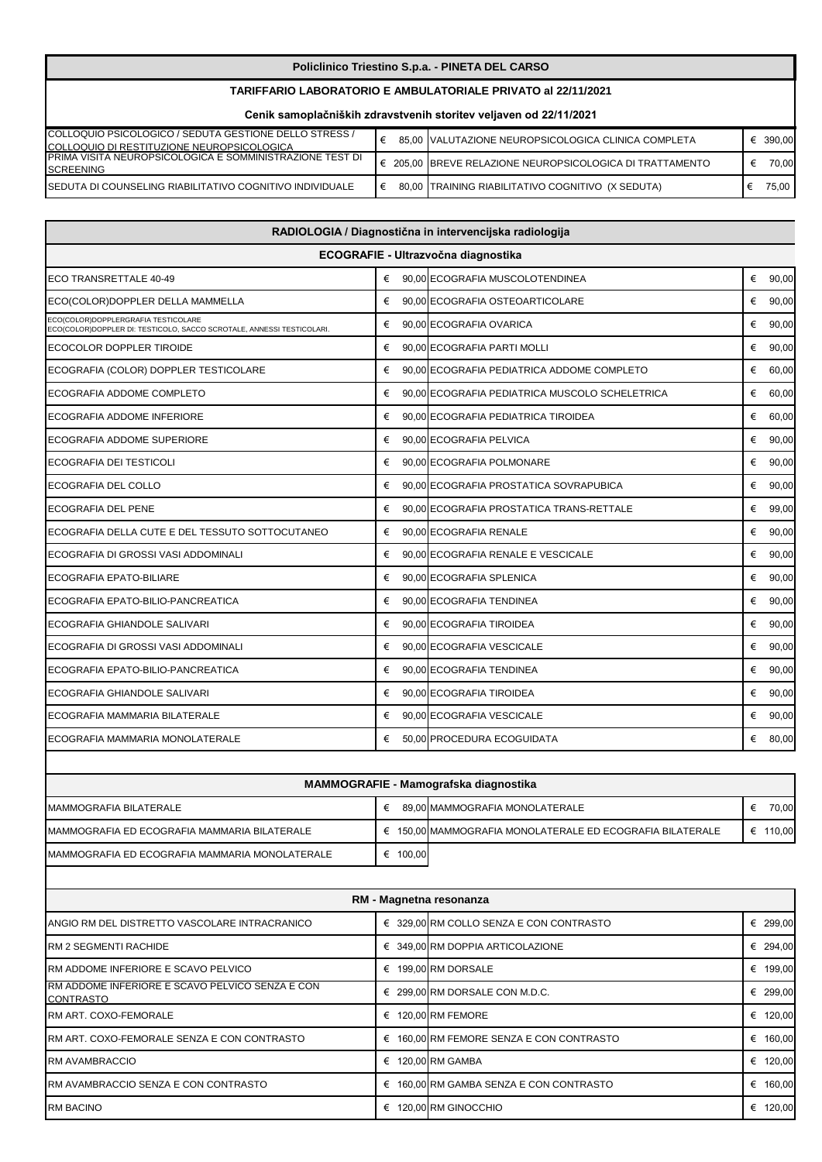## **Policlinico Triestino S.p.a. - PINETA DEL CARSO**

## **TARIFFARIO LABORATORIO E AMBULATORIALE PRIVATO al 22/11/2021**

**Cenik samoplačniških zdravstvenih storitev veljaven od 22/11/2021**

| COLLOQUIO PSICOLOGICO / SEDUTA GESTIONE DELLO STRESS /           |  | 85,00 VALUTAZIONE NEUROPSICOLOGICA CLINICA COMPLETA     | 390.00 |
|------------------------------------------------------------------|--|---------------------------------------------------------|--------|
| <b>ICOLLOQUIO DI RESTITUZIONE NEUROPSICOLOGICA</b>               |  |                                                         |        |
| <b>IPRIMA VISITA NEUROPSICOLOGICA E SOMMINISTRAZIONE TEST DI</b> |  | 205.00 IBREVE RELAZIONE NEUROPSICOLOGICA DI TRATTAMENTO | 70.00  |
| <b>ISCREENING</b>                                                |  |                                                         |        |
| <b>ISEDUTA DI COUNSELING RIABILITATIVO COGNITIVO INDIVIDUALE</b> |  | 80,00 TRAINING RIABILITATIVO COGNITIVO (X SEDUTA)       | 75.00  |
|                                                                  |  |                                                         |        |

| RADIOLOGIA / Diagnostična in intervencijska radiologija                                                      |                                     |                                                |            |  |  |  |  |  |
|--------------------------------------------------------------------------------------------------------------|-------------------------------------|------------------------------------------------|------------|--|--|--|--|--|
|                                                                                                              | ECOGRAFIE - Ultrazvočna diagnostika |                                                |            |  |  |  |  |  |
| ECO TRANSRETTALE 40-49                                                                                       |                                     | € 90,00 ECOGRAFIA MUSCOLOTENDINEA              | 90,00<br>€ |  |  |  |  |  |
| ECO(COLOR)DOPPLER DELLA MAMMELLA                                                                             | €                                   | 90,00 ECOGRAFIA OSTEOARTICOLARE                | 90,00<br>€ |  |  |  |  |  |
| ECO(COLOR)DOPPLERGRAFIA TESTICOLARE<br>ECO(COLOR)DOPPLER DI: TESTICOLO, SACCO SCROTALE, ANNESSI TESTICOLARI. | €                                   | 90,00 ECOGRAFIA OVARICA                        | 90,00<br>€ |  |  |  |  |  |
| ECOCOLOR DOPPLER TIROIDE                                                                                     | €                                   | 90.00 ECOGRAFIA PARTI MOLLI                    | €<br>90,00 |  |  |  |  |  |
| ECOGRAFIA (COLOR) DOPPLER TESTICOLARE                                                                        | €                                   | 90.00 ECOGRAFIA PEDIATRICA ADDOME COMPLETO     | 60,00<br>€ |  |  |  |  |  |
| ECOGRAFIA ADDOME COMPLETO                                                                                    | €                                   | 90,00 ECOGRAFIA PEDIATRICA MUSCOLO SCHELETRICA | 60,00<br>€ |  |  |  |  |  |
| ECOGRAFIA ADDOME INFERIORE                                                                                   | €                                   | 90,00 ECOGRAFIA PEDIATRICA TIROIDEA            | €<br>60,00 |  |  |  |  |  |
| ECOGRAFIA ADDOME SUPERIORE                                                                                   | €                                   | 90,00 ECOGRAFIA PELVICA                        | 90,00<br>€ |  |  |  |  |  |
| <b>ECOGRAFIA DEI TESTICOLI</b>                                                                               | €                                   | 90.00 ECOGRAFIA POLMONARE                      | 90,00<br>€ |  |  |  |  |  |
| ECOGRAFIA DEL COLLO                                                                                          | €                                   | 90.00 ECOGRAFIA PROSTATICA SOVRAPUBICA         | €<br>90,00 |  |  |  |  |  |
| <b>ECOGRAFIA DEL PENE</b>                                                                                    | €                                   | 90.00 ECOGRAFIA PROSTATICA TRANS-RETTALE       | 99,00<br>€ |  |  |  |  |  |
| ECOGRAFIA DELLA CUTE E DEL TESSUTO SOTTOCUTANEO                                                              | €                                   | 90,00 ECOGRAFIA RENALE                         | 90,00<br>€ |  |  |  |  |  |
| ECOGRAFIA DI GROSSI VASI ADDOMINALI                                                                          | €                                   | 90.00 ECOGRAFIA RENALE E VESCICALE             | €<br>90,00 |  |  |  |  |  |
| <b>ECOGRAFIA EPATO-BILIARE</b>                                                                               | €                                   | 90,00 ECOGRAFIA SPLENICA                       | 90,00<br>€ |  |  |  |  |  |
| ECOGRAFIA EPATO-BILIO-PANCREATICA                                                                            | €                                   | 90,00 ECOGRAFIA TENDINEA                       | 90,00<br>€ |  |  |  |  |  |
| ECOGRAFIA GHIANDOLE SALIVARI                                                                                 | €                                   | 90.00 ECOGRAFIA TIROIDEA                       | 90,00<br>€ |  |  |  |  |  |
| ECOGRAFIA DI GROSSI VASI ADDOMINALI                                                                          | €                                   | 90,00 ECOGRAFIA VESCICALE                      | 90,00<br>€ |  |  |  |  |  |
| ECOGRAFIA EPATO-BILIO-PANCREATICA                                                                            | €                                   | 90,00 ECOGRAFIA TENDINEA                       | €<br>90,00 |  |  |  |  |  |
| ECOGRAFIA GHIANDOLE SALIVARI                                                                                 | €                                   | 90,00 ECOGRAFIA TIROIDEA                       | €<br>90,00 |  |  |  |  |  |
| ECOGRAFIA MAMMARIA BILATERALE                                                                                | €                                   | 90,00 ECOGRAFIA VESCICALE                      | 90,00<br>€ |  |  |  |  |  |
| ECOGRAFIA MAMMARIA MONOLATERALE                                                                              | €                                   | 50,00 PROCEDURA ECOGUIDATA                     | €<br>80,00 |  |  |  |  |  |
|                                                                                                              |                                     |                                                |            |  |  |  |  |  |

| MAMMOGRAFIE - Mamografska diagnostika           |   |        |                                                                    |        |  |
|-------------------------------------------------|---|--------|--------------------------------------------------------------------|--------|--|
| MAMMOGRAFIA BILATERALE                          |   |        | 89.00 MAMMOGRAFIA MONOLATERALE                                     | 70.00  |  |
| MAMMOGRAFIA ED ECOGRAFIA MAMMARIA BILATERALE    |   |        | $\epsilon$ 150.00 MAMMOGRAFIA MONOLATERALE ED ECOGRAFIA BILATERALE | 110.00 |  |
| IMAMMOGRAFIA ED ECOGRAFIA MAMMARIA MONOLATERALE | € | 100.00 |                                                                    |        |  |

 $\overline{\phantom{a}}$ 

| RM - Magnetna resonanza                                             |   |                                          |             |
|---------------------------------------------------------------------|---|------------------------------------------|-------------|
| IANGIO RM DEL DISTRETTO VASCOLARE INTRACRANICO                      |   | € 329,00 RM COLLO SENZA E CON CONTRASTO  | € 299,00    |
| <b>IRM 2 SEGMENTI RACHIDE</b>                                       |   | € 349,00 RM DOPPIA ARTICOLAZIONE         | € 294,00    |
| <b>IRM ADDOME INFERIORE E SCAVO PELVICO</b>                         |   | € 199,00 RM DORSALE                      | 199,00<br>€ |
| RM ADDOME INFERIORE E SCAVO PELVICO SENZA E CON<br><b>CONTRASTO</b> |   | € 299,00 RM DORSALE CON M.D.C.           | € 299,00    |
| <b>RM ART. COXO-FEMORALE</b>                                        |   | $\epsilon$ 120.00 RM FEMORE              | 120,00<br>€ |
| IRM ART. COXO-FEMORALE SENZA E CON CONTRASTO                        |   | € 160,00 RM FEMORE SENZA E CON CONTRASTO | 160,00<br>€ |
| <b>RM AVAMBRACCIO</b>                                               | € | 120.00 RM GAMBA                          | 120,00<br>€ |
| IRM AVAMBRACCIO SENZA E CON CONTRASTO                               | € | 160,00 RM GAMBA SENZA E CON CONTRASTO    | 160,00<br>€ |
| <b>RM BACINO</b>                                                    | € | 120,00 RM GINOCCHIO                      | 120,00<br>€ |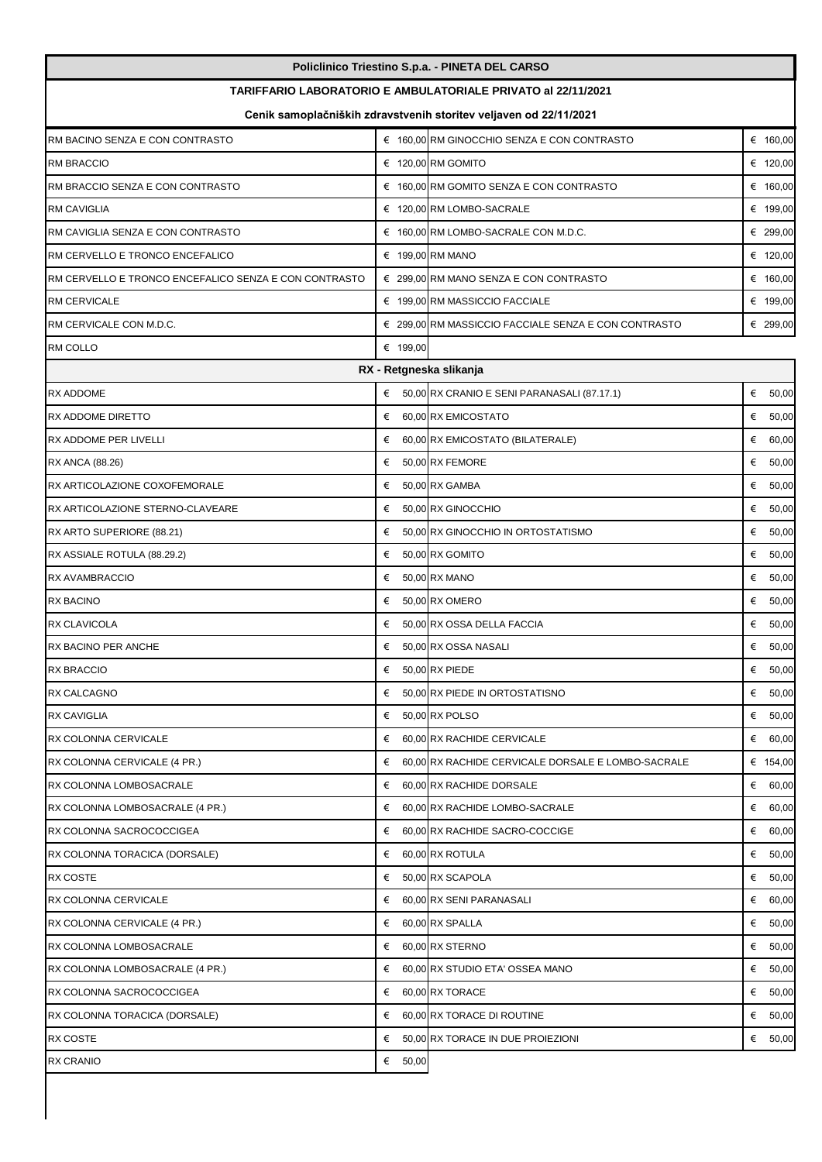| Policlinico Triestino S.p.a. - PINETA DEL CARSO                     |                                                                   |                                                      |            |  |  |  |
|---------------------------------------------------------------------|-------------------------------------------------------------------|------------------------------------------------------|------------|--|--|--|
| <b>TARIFFARIO LABORATORIO E AMBULATORIALE PRIVATO al 22/11/2021</b> |                                                                   |                                                      |            |  |  |  |
|                                                                     | Cenik samoplačniških zdravstvenih storitev veljaven od 22/11/2021 |                                                      |            |  |  |  |
| RM BACINO SENZA E CON CONTRASTO                                     |                                                                   | € 160,00 RM GINOCCHIO SENZA E CON CONTRASTO          | € 160,00   |  |  |  |
| <b>RM BRACCIO</b>                                                   |                                                                   | € 120,00 RM GOMITO                                   | € 120,00   |  |  |  |
| RM BRACCIO SENZA E CON CONTRASTO                                    |                                                                   | € 160,00 RM GOMITO SENZA E CON CONTRASTO             | € 160,00   |  |  |  |
| RM CAVIGLIA                                                         |                                                                   | € 120,00 RM LOMBO-SACRALE                            | € 199,00   |  |  |  |
| RM CAVIGLIA SENZA E CON CONTRASTO                                   |                                                                   | € 160,00 RM LOMBO-SACRALE CON M.D.C.                 | € 299,00   |  |  |  |
| RM CERVELLO E TRONCO ENCEFALICO                                     |                                                                   | € 199,00 RM MANO                                     | € 120,00   |  |  |  |
| RM CERVELLO E TRONCO ENCEFALICO SENZA E CON CONTRASTO               |                                                                   | € 299,00 RM MANO SENZA E CON CONTRASTO               | € 160,00   |  |  |  |
| <b>RM CERVICALE</b>                                                 |                                                                   | € 199,00 RM MASSICCIO FACCIALE                       | € 199,00   |  |  |  |
| RM CERVICALE CON M.D.C.                                             |                                                                   | € 299,00 RM MASSICCIO FACCIALE SENZA E CON CONTRASTO | € 299.00   |  |  |  |
| <b>RM COLLO</b>                                                     | € 199,00                                                          |                                                      |            |  |  |  |
|                                                                     |                                                                   | RX - Retgneska slikanja                              |            |  |  |  |
| RX ADDOME                                                           |                                                                   | € 50,00 RX CRANIO E SENI PARANASALI (87.17.1)        | € $50,00$  |  |  |  |
| <b>RX ADDOME DIRETTO</b>                                            | €                                                                 | 60,00 RX EMICOSTATO                                  | €<br>50,00 |  |  |  |
| RX ADDOME PER LIVELLI                                               | €                                                                 | 60,00 RX EMICOSTATO (BILATERALE)                     | €<br>60,00 |  |  |  |
| RX ANCA (88.26)                                                     | €                                                                 | 50,00 RX FEMORE                                      | €<br>50,00 |  |  |  |
| RX ARTICOLAZIONE COXOFEMORALE                                       | €                                                                 | 50,00 RX GAMBA                                       | €<br>50,00 |  |  |  |
| RX ARTICOLAZIONE STERNO-CLAVEARE                                    | €                                                                 | 50,00 RX GINOCCHIO                                   | €<br>50,00 |  |  |  |
| RX ARTO SUPERIORE (88.21)                                           | €                                                                 | 50,00 RX GINOCCHIO IN ORTOSTATISMO                   | €<br>50,00 |  |  |  |
| RX ASSIALE ROTULA (88.29.2)                                         | €                                                                 | 50,00 RX GOMITO                                      | €<br>50,00 |  |  |  |
| RX AVAMBRACCIO                                                      | €                                                                 | 50,00 RX MANO                                        | €<br>50,00 |  |  |  |
| RX BACINO                                                           | €                                                                 | 50,00 RX OMERO                                       | € $50,00$  |  |  |  |
| RX CLAVICOLA                                                        | €                                                                 | 50,00 RX OSSA DELLA FACCIA                           | €<br>50,00 |  |  |  |
| RX BACINO PER ANCHE                                                 | €                                                                 | 50.00 RX OSSA NASALI                                 | €<br>50,00 |  |  |  |
| <b>RX BRACCIO</b>                                                   | €                                                                 | 50,00 RX PIEDE                                       | €<br>50,00 |  |  |  |
| RX CALCAGNO                                                         |                                                                   | € 50,00 RX PIEDE IN ORTOSTATISNO                     | € $50,00$  |  |  |  |
| <b>RX CAVIGLIA</b>                                                  |                                                                   | € 50,00 RX POLSO                                     | € $50,00$  |  |  |  |
| RX COLONNA CERVICALE                                                | €                                                                 | 60,00 RX RACHIDE CERVICALE                           | € 60,00    |  |  |  |
| RX COLONNA CERVICALE (4 PR.)                                        | €                                                                 | 60,00 RX RACHIDE CERVICALE DORSALE E LOMBO-SACRALE   | € 154,00   |  |  |  |
| RX COLONNA LOMBOSACRALE                                             |                                                                   | $60,00$ RX RACHIDE DORSALE                           | € 60,00    |  |  |  |
| RX COLONNA LOMBOSACRALE (4 PR.)                                     | €                                                                 | 60,00 RX RACHIDE LOMBO-SACRALE                       | € 60,00    |  |  |  |
| RX COLONNA SACROCOCCIGEA                                            | €                                                                 | 60,00 RX RACHIDE SACRO-COCCIGE                       | 60,00<br>€ |  |  |  |
| RX COLONNA TORACICA (DORSALE)                                       | €                                                                 | 60,00 RX ROTULA                                      | €<br>50,00 |  |  |  |
| RX COSTE                                                            | €                                                                 | 50,00 RX SCAPOLA                                     | €<br>50,00 |  |  |  |
| RX COLONNA CERVICALE                                                | €                                                                 | 60,00 RX SENI PARANASALI                             | € 60,00    |  |  |  |
| RX COLONNA CERVICALE (4 PR.)                                        | €                                                                 | 60,00 RX SPALLA                                      | € $50,00$  |  |  |  |
| RX COLONNA LOMBOSACRALE                                             | €                                                                 | 60,00 RX STERNO                                      | €<br>50,00 |  |  |  |
| RX COLONNA LOMBOSACRALE (4 PR.)                                     | €                                                                 | 60,00 RX STUDIO ETA' OSSEA MANO                      | € $50,00$  |  |  |  |
| RX COLONNA SACROCOCCIGEA                                            | €                                                                 | 60,00 RX TORACE                                      | €<br>50,00 |  |  |  |
| RX COLONNA TORACICA (DORSALE)                                       | €                                                                 | 60,00 RX TORACE DI ROUTINE                           | €<br>50,00 |  |  |  |
| RX COSTE                                                            | €                                                                 | 50,00 RX TORACE IN DUE PROIEZIONI                    | €<br>50,00 |  |  |  |
| RX CRANIO                                                           | € $50,00$                                                         |                                                      |            |  |  |  |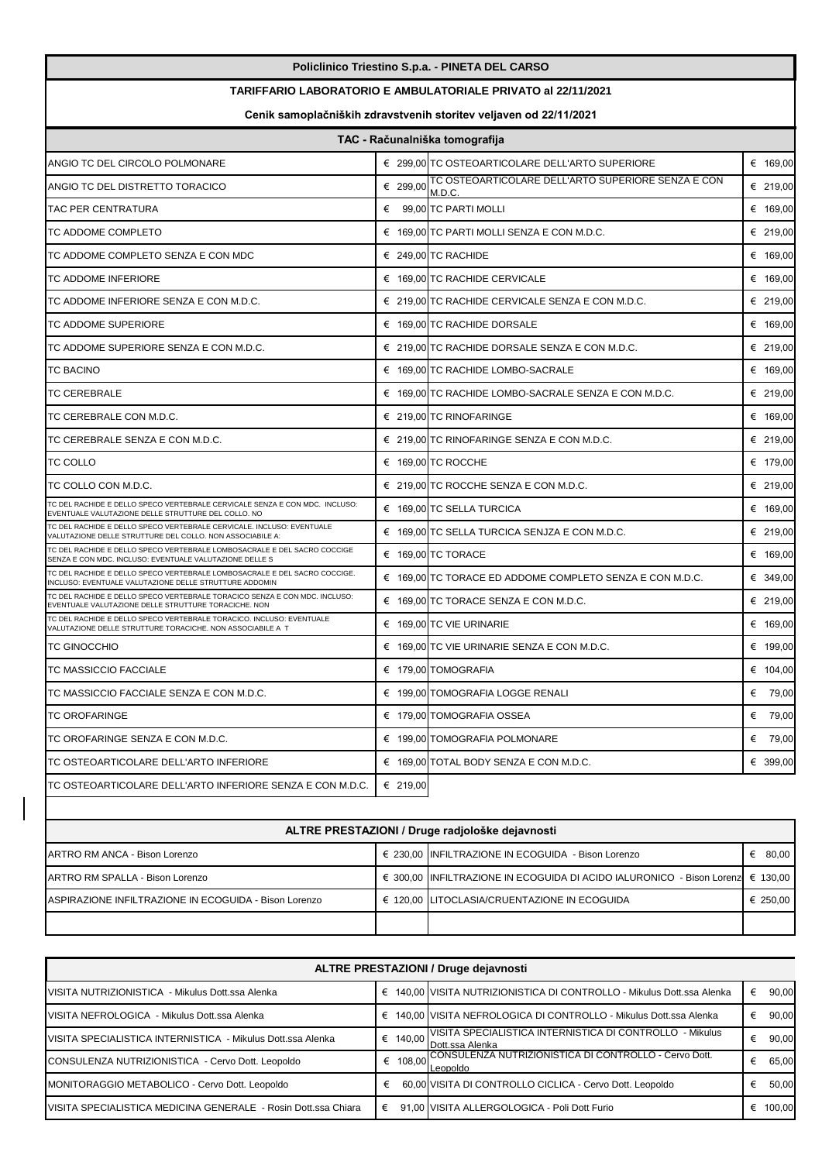|                                                                                                                                          |          | Policlinico Triestino S.p.a. - PINETA DEL CARSO               |          |  |
|------------------------------------------------------------------------------------------------------------------------------------------|----------|---------------------------------------------------------------|----------|--|
| <b>TARIFFARIO LABORATORIO E AMBULATORIALE PRIVATO al 22/11/2021</b><br>Cenik samoplačniških zdravstvenih storitev veljaven od 22/11/2021 |          |                                                               |          |  |
|                                                                                                                                          |          |                                                               |          |  |
| ANGIO TC DEL CIRCOLO POLMONARE                                                                                                           |          | € 299,00 TC OSTEOARTICOLARE DELL'ARTO SUPERIORE               | € 169,00 |  |
| ANGIO TC DEL DISTRETTO TORACICO                                                                                                          | € 299,00 | TC OSTEOARTICOLARE DELL'ARTO SUPERIORE SENZA E CON<br>M.D.C.  | € 219,00 |  |
| TAC PER CENTRATURA                                                                                                                       |          | € 99,00 TC PARTI MOLLI                                        | € 169,00 |  |
| TC ADDOME COMPLETO                                                                                                                       |          | € 169,00 TC PARTI MOLLI SENZA E CON M.D.C.                    | € 219,00 |  |
| TC ADDOME COMPLETO SENZA E CON MDC                                                                                                       |          | € 249,00 TC RACHIDE                                           | € 169,00 |  |
| TC ADDOME INFERIORE                                                                                                                      |          | € 169,00 TC RACHIDE CERVICALE                                 | € 169,00 |  |
| TC ADDOME INFERIORE SENZA E CON M.D.C.                                                                                                   |          | € 219,00 TC RACHIDE CERVICALE SENZA E CON M.D.C.              | € 219,00 |  |
| TC ADDOME SUPERIORE                                                                                                                      |          | € 169,00 TC RACHIDE DORSALE                                   | € 169,00 |  |
| TC ADDOME SUPERIORE SENZA E CON M.D.C.                                                                                                   |          | € 219,00 TC RACHIDE DORSALE SENZA E CON M.D.C.                | € 219,00 |  |
| <b>TC BACINO</b>                                                                                                                         |          | € 169.00 TC RACHIDE LOMBO-SACRALE                             | € 169,00 |  |
| <b>TC CEREBRALE</b>                                                                                                                      |          | $\epsilon$ 169,00 TC RACHIDE LOMBO-SACRALE SENZA E CON M.D.C. | € 219,00 |  |
| TC CEREBRALE CON M.D.C.                                                                                                                  |          | € 219.00 TC RINOFARINGE                                       | € 169,00 |  |
| TC CEREBRALE SENZA E CON M.D.C.                                                                                                          |          | $\epsilon$ 219.00 TC RINOFARINGE SENZA E CON M.D.C.           | € 219,00 |  |
| TC COLLO                                                                                                                                 |          | € 169,00 TC ROCCHE                                            | € 179,00 |  |
| TC COLLO CON M.D.C.                                                                                                                      |          | € 219,00 TC ROCCHE SENZA E CON M.D.C.                         | € 219,00 |  |
| TC DEL RACHIDE E DELLO SPECO VERTEBRALE CERVICALE SENZA E CON MDC. INCLUSO:<br>EVENTUALE VALUTAZIONE DELLE STRUTTURE DEL COLLO. NO       |          | € 169,00 TC SELLA TURCICA                                     | € 169,00 |  |
| TC DEL RACHIDE E DELLO SPECO VERTEBRALE CERVICALE. INCLUSO: EVENTUALE<br>VALUTAZIONE DELLE STRUTTURE DEL COLLO. NON ASSOCIABILE A:       |          | € 169,00 TC SELLA TURCICA SENJZA E CON M.D.C.                 | € 219,00 |  |
| TC DEL RACHIDE E DELLO SPECO VERTEBRALE LOMBOSACRALE E DEL SACRO COCCIGE<br>SENZA E CON MDC. INCLUSO: EVENTUALE VALUTAZIONE DELLE S      |          | € 169,00 TC TORACE                                            | € 169,00 |  |
| TC DEL RACHIDE E DELLO SPECO VERTEBRALE LOMBOSACRALE E DEL SACRO COCCIGE.<br>INCLUSO: EVENTUALE VALUTAZIONE DELLE STRUTTURE ADDOMIN      |          | € 169,00 TC TORACE ED ADDOME COMPLETO SENZA E CON M.D.C.      | € 349,00 |  |
| TC DEL RACHIDE E DELLO SPECO VERTEBRALE TORACICO SENZA E CON MDC. INCLUSO:<br>EVENTUALE VALUTAZIONE DELLE STRUTTURE TORACICHE. NON       |          | € 169,00 TC TORACE SENZA E CON M.D.C.                         | € 219,00 |  |
| TC DEL RACHIDE E DELLO SPECO VERTEBRALE TORACICO. INCLUSO: EVENTUALE<br>VALUTAZIONE DELLE STRUTTURE TORACICHE. NON ASSOCIABILE A T       |          | € 169,00 TC VIE URINARIE                                      | € 169,00 |  |
| <b>TC GINOCCHIO</b>                                                                                                                      |          | € 169,00 TC VIE URINARIE SENZA E CON M.D.C.                   | € 199,00 |  |
| TC MASSICCIO FACCIALE                                                                                                                    |          | € 179,00 TOMOGRAFIA                                           | € 104,00 |  |
| TC MASSICCIO FACCIALE SENZA E CON M.D.C.                                                                                                 |          | € 199,00 TOMOGRAFIA LOGGE RENALI                              | € 79,00  |  |
| <b>TC OROFARINGE</b>                                                                                                                     |          | € 179,00 TOMOGRAFIA OSSEA                                     | € 79,00  |  |
| TC OROFARINGE SENZA E CON M.D.C.                                                                                                         |          | € 199,00 TOMOGRAFIA POLMONARE                                 | € 79,00  |  |
| TC OSTEOARTICOLARE DELL'ARTO INFERIORE                                                                                                   |          | € 169,00 TOTAL BODY SENZA E CON M.D.C.                        | € 399,00 |  |
| TC OSTEOARTICOLARE DELL'ARTO INFERIORE SENZA E CON M.D.C.                                                                                | € 219,00 |                                                               |          |  |

| ALTRE PRESTAZIONI / Druge radjološke dejavnosti       |  |                                                                                         |          |
|-------------------------------------------------------|--|-----------------------------------------------------------------------------------------|----------|
| ARTRO RM ANCA - Bison Lorenzo                         |  | € 230,00 INFILTRAZIONE IN ECOGUIDA - Bison Lorenzo                                      | 80,00    |
| <b>JARTRO RM SPALLA - Bison Lorenzo</b>               |  | € 300,00 INFILTRAZIONE IN ECOGUIDA DI ACIDO IALURONICO - Bison Lorenz $\epsilon$ 130,00 |          |
| ASPIRAZIONE INFILTRAZIONE IN ECOGUIDA - Bison Lorenzo |  | $\epsilon$ 120,00 LITOCLASIA/CRUENTAZIONE IN ECOGUIDA                                   | € 250.00 |
|                                                       |  |                                                                                         |          |

| ALTRE PRESTAZIONI / Druge dejavnosti                           |            |                                                                                    |            |  |
|----------------------------------------------------------------|------------|------------------------------------------------------------------------------------|------------|--|
| VISITA NUTRIZIONISTICA - Mikulus Dott.ssa Alenka               |            | € 140,00 VISITA NUTRIZIONISTICA DI CONTROLLO - Mikulus Dott.ssa Alenka             | 90.00<br>€ |  |
| VISITA NEFROLOGICA - Mikulus Dott.ssa Alenka                   |            | € 140,00 VISITA NEFROLOGICA DI CONTROLLO - Mikulus Dott.ssa Alenka                 | 90.00<br>€ |  |
| VISITA SPECIALISTICA INTERNISTICA - Mikulus Dott.ssa Alenka    | € $140.00$ | VISITA SPECIALISTICA INTERNISTICA DI CONTROLLO - Mikulus<br><b>Dott.ssa Alenka</b> | 90.00<br>€ |  |
| CONSULENZA NUTRIZIONISTICA - Cervo Dott. Leopoldo              | $108,00$ . | CONSULENZA NUTRIZIONISTICA DI CONTROLLO - Cervo Dott.<br>Leopoldo                  | 65.00      |  |
| MONITORAGGIO METABOLICO - Cervo Dott. Leopoldo                 |            | 60,00 VISITA DI CONTROLLO CICLICA - Cervo Dott. Leopoldo                           | 50.00      |  |
| VISITA SPECIALISTICA MEDICINA GENERALE - Rosin Dott.ssa Chiara | €          | 91,00 VISITA ALLERGOLOGICA - Poli Dott Furio                                       | 100,00     |  |